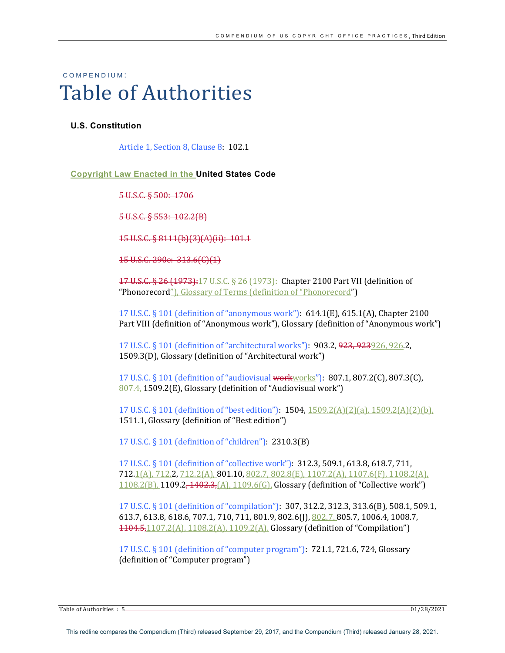# COMPENDIUM : Table of Authorities

#### **U.S. Constitution**

Article 1, Section 8, Clause 8: 102.1

#### **Copyright Law Enacted in the United States Code**

5 U.S.C. § 500: 1706

5 U.S.C. § 553: 102.2(B)

15 U.S.C. § 8111(b)(3)(A)(ii): 101.1

15 U.S.C. 290e: 313.6(C)(1)

17 U.S.C. § 26 (1973):17 U.S.C. § 26 (1973): Chapter 2100 Part VII (definition of "Phonorecord"), Glossary of Terms (definition of "Phonorecord")

17 U.S.C. § 101 (definition of "anonymous work"):  $614.1(E)$ ,  $615.1(A)$ , Chapter 2100 Part VIII (definition of "Anonymous work"), Glossary (definition of "Anonymous work")

17 U.S.C. § 101 (definition of "architectural works"): **903.2, <del>923, 923</del>**926, 926.2, 1509.3(D), Glossary (definition of "Architectural work")

17 U.S.C. § 101 (definition of "audiovisual workworks"):  $807.1, 807.2(C)$ ,  $807.3(C)$ ,  $807.4$ , 1509.2(E), Glossary (definition of "Audiovisual work")

17 U.S.C. § 101 (definition of "best edition"):  $1504$ ,  $1509.2(A)(2)(a)$ ,  $1509.2(A)(2)(b)$ , 1511.1, Glossary (definition of "Best edition")

17 U.S.C. § 101 (definition of "children"): 2310.3(B)

17 U.S.C. § 101 (definition of "collective work"): **312.3, 509.1, 613.8, 618.7, 711,**  $712.1(A)$ ,  $712.2$ ,  $712.2(A)$ ,  $801.10$ ,  $802.7$ ,  $802.8(E)$ ,  $1107.2(A)$ ,  $1107.6(F)$ ,  $1108.2(A)$ ,  $1108.2(B)$ , 1109.2, 1402.3, (A), 1109.6(G), Glossary (definition of "Collective work")

17 U.S.C. § 101 (definition of "compilation"): 307, 312.2, 312.3, 313.6(B), 508.1, 509.1, 613.7, 613.8, 618.6, 707.1, 710, 711, 801.9, 802.6(J), 802.7, 805.7, 1006.4, 1008.7,  $1104.5,1107.2(A), 1108.2(A), 1109.2(A),$  Glossary (definition of "Compilation")

17 U.S.C. § 101 (definition of "computer program"):  $721.1$ ,  $721.6$ ,  $724$ , Glossary (definition of "Computer program")

Table of Authorities : 5 01/28/2021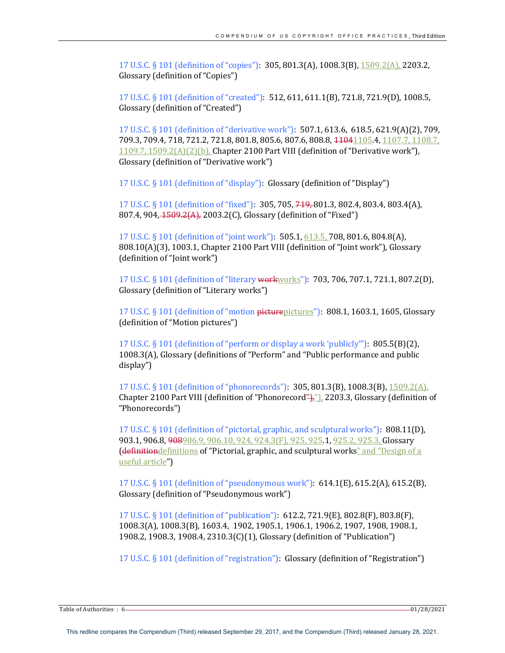17 U.S.C. § 101 (definition of "copies"): 305, 801.3(A), 1008.3(B), 1509.2(A), 2203.2, Glossary (definition of "Copies")

17 U.S.C. § 101 (definition of "created"): 512, 611, 611.1(B), 721.8, 721.9(D), 1008.5, Glossary (definition of "Created")

17 U.S.C. § 101 (definition of "derivative work"): **507.1, 613.6, 618.5, 621.9(A)(2), 709,** 709.3, 709.4, 718, 721.2, 721.8, 801.8, 805.6, 807.6, 808.8, <del>1104</del>1105.4, 1107.7, 1108.7,  $1109.7$ ,  $1509.2(A)(2)(b)$ , Chapter 2100 Part VIII (definition of "Derivative work"), Glossary (definition of "Derivative work")

17 U.S.C. § 101 (definition of "display"): Glossary (definition of "Display")

17 U.S.C. § 101 (definition of "fixed"): 305, 705, 749, 801.3, 802.4, 803.4, 803.4(A), 807.4, 904, 1509.2(A), 2003.2(C), Glossary (definition of "Fixed")

17 U.S.C. § 101 (definition of "joint work"): **505.1**, 613.5, **708**, 801.6, 804.8(A),  $808.10(A)(3)$ , 1003.1, Chapter 2100 Part VIII (definition of "Joint work"), Glossary (definition of "Joint work")

17 U.S.C. § 101 (definition of "literary workworks"): **703, 706, 707.1, 721.1, 807.2(D),** Glossary (definition of "Literary works")

17 U.S.C.  $\S$  101 (definition of "motion  $\frac{p^2}{p^2}$  pictures"): 808.1, 1603.1, 1605, Glossary (definition of "Motion pictures")

17 U.S.C.  $\S$  101 (definition of "perform or display a work 'publicly'"):  $805.5(B)(2)$ , 1008.3(A), Glossary (definitions of "Perform" and "Public performance and public display")

17 U.S.C. § 101 (definition of "phonorecords"): **305, 801.3(B), 1008.3(B)**, 1509.2(A), Chapter 2100 Part VIII (definition of "Phonorecord"), 2203.3, Glossary (definition of "Phonorecords")

17 U.S.C. § 101 (definition of "pictorial, graphic, and sculptural works"): 808.11(D), 903.1, 906.8, 908906.9, 906.10, 924, 924.3(F), 925, 925.1, 925.2, 925.3, Glossary **(definitiondefinitions of "Pictorial, graphic, and sculptural works" and "Design of a** useful article")

17 U.S.C. § 101 (definition of "pseudonymous work"): 614.1(E), 615.2(A), 615.2(B), Glossary (definition of "Pseudonymous work")

17 U.S.C. § 101 (definition of "publication"): 612.2, 721.9(E), 802.8(F), 803.8(F), 1008.3(A), 1008.3(B), 1603.4, 1902, 1905.1, 1906.1, 1906.2, 1907, 1908, 1908.1, 1908.2, 1908.3, 1908.4, 2310.3(C)(1), Glossary (definition of "Publication")

17 U.S.C. § 101 (definition of "registration"): Glossary (definition of "Registration")

Table of Authorities : 6 01/28/2021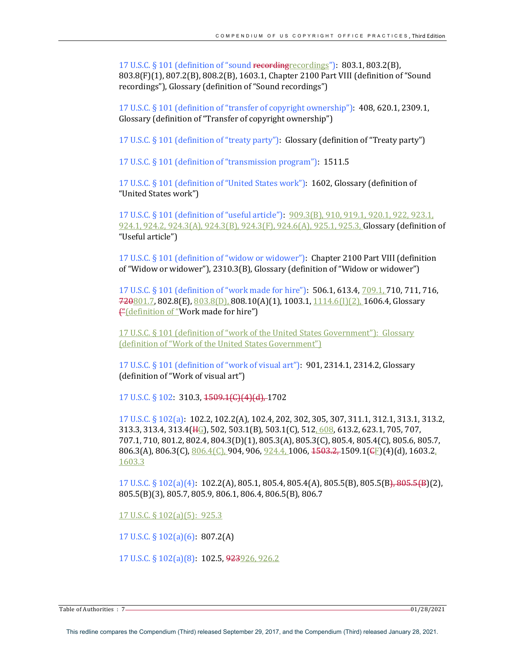17 U.S.C. § 101 (definition of "sound recordingrecordings"): 803.1, 803.2(B), 803.8(F)(1), 807.2(B), 808.2(B), 1603.1, Chapter 2100 Part VIII (definition of "Sound recordings"), Glossary (definition of "Sound recordings")

17 U.S.C.  $\S$  101 (definition of "transfer of copyright ownership"):  $408,620.1,2309.1,$ Glossary (definition of "Transfer of copyright ownership")

17 U.S.C.  $\S$  101 (definition of "treaty party"): Glossary (definition of "Treaty party")

17 U.S.C. § 101 (definition of "transmission program"): 1511.5

17 U.S.C. § 101 (definition of "United States work"): 1602, Glossary (definition of "United States work")

17 U.S.C. § 101 (definition of "useful article"):  $909.3(B)$ , 910, 919.1, 920.1, 922, 923.1, 924.1, 924.2, 924.3(A), 924.3(B), 924.3(F), 924.6(A), 925.1, 925.3, Glossary (definition of "Useful article")

17 U.S.C. § 101 (definition of "widow or widower"): Chapter 2100 Part VIII (definition of "Widow or widower"),  $2310.3(B)$ , Glossary (definition of "Widow or widower")

17 U.S.C. § 101 (definition of "work made for hire"): **506.1, 613.4,** 709.1, 710, 711, 716,  $720801.7$ ,  $802.8$ (E),  $803.8$ (D),  $808.10$ (A)(1),  $1003.1$ ,  $1114.6$ (I)(2),  $1606.4$ , Glossary <del>("</del>(definition of "Work made for hire")

17 U.S.C. § 101 (definition of "work of the United States Government"): Glossary (definition of "Work of the United States Government")

17 U.S.C.  $\S$  101 (definition of "work of visual art"):  $901, 2314.1, 2314.2,$  Glossary (definition of "Work of visual art")

17 U.S.C. § 102: 310.3, <del>1509.1(C)(4)(d),</del> 1702

17 U.S.C. § 102(a): 102.2, 102.2(A), 102.4, 202, 302, 305, 307, 311.1, 312.1, 313.1, 313.2, 313.3, 313.4, 313.4( $H_G$ ), 502, 503.1(B), 503.1(C), 512, 608, 613.2, 623.1, 705, 707, 707.1, 710, 801.2, 802.4, 804.3(D)(1), 805.3(A), 805.3(C), 805.4, 805.4(C), 805.6, 805.7, 806.3(A), 806.3(C),  $806.4(C)$ , 904, 906,  $924.4$ , 1006,  $4503.2$ , 1509.1( $\epsilon$ F)(4)(d), 1603.2, 1603.3

17 U.S.C. § 102(a)(4): 102.2(A), 805.1, 805.4, 805.4(A), 805.5(B), 805.5(B), 805.5(B)(2), 805.5(B)(3), 805.7, 805.9, 806.1, 806.4, 806.5(B), 806.7

17 U.S.C.  $\S$  102(a)(5): 925.3

17 U.S.C.  $\S 102(a)(6)$ : 807.2(A)

17 U.S.C. § 102(a)(8): 102.5, 923926, 926.2

Table of Authorities : 7 001/28/2021 01/28/2021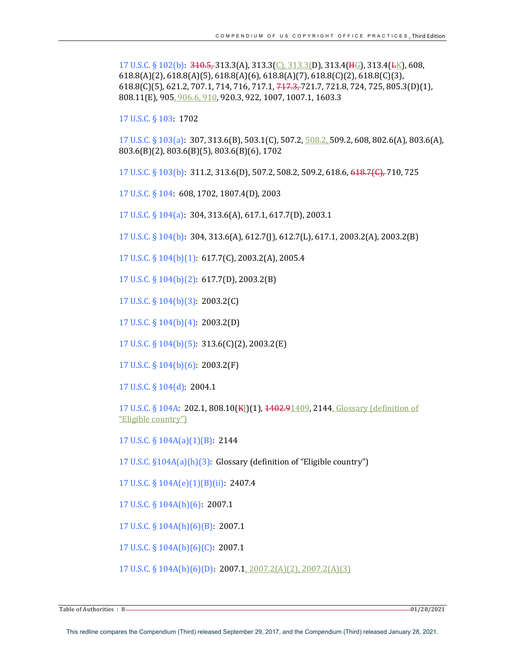17 U.S.C. § 102(b):  $310.5$ , 313.3(A), 313.3(C), 313.3(D), 313.4( $H_G$ ), 313.4( $L_K$ ), 608,  $618.8(A)(2)$ ,  $618.8(A)(5)$ ,  $618.8(A)(6)$ ,  $618.8(A)(7)$ ,  $618.8(C)(2)$ ,  $618.8(C)(3)$ , 618.8(C)(5), 621.2, 707.1, 714, 716, 717.1,  $717.3, 721.7, 721.8, 724, 725, 805.3(D)(1),$ 808.11(E), 905, 906.6, 910, 920.3, 922, 1007, 1007.1, 1603.3

17 U.S.C. § 103: 1702

 $17 \text{ U.S.C.}$  §  $103(a)$ :  $307, 313.6(B)$ ,  $503.1(C)$ ,  $507.2$ ,  $\frac{508.2}{509.2}$ ,  $509.2$ ,  $608, 802.6(A)$ ,  $803.6(A)$ , 803.6(B)(2), 803.6(B)(5), 803.6(B)(6), 1702

17 U.S.C. § 103(b): 311.2, 313.6(D), 507.2, 508.2, 509.2, 618.6, 618.7(C), 710, 725

17 U.S.C. § 104: 608, 1702, 1807.4(D), 2003

17 U.S.C.  $\S 104(a)$ : 304, 313.6(A), 617.1, 617.7(D), 2003.1

17 U.S.C. § 104(b): 304, 313.6(A), 612.7(J), 612.7(L), 617.1, 2003.2(A), 2003.2(B)

17 U.S.C. § 104(b)(1): 617.7(C), 2003.2(A), 2005.4

17 U.S.C. § 104(b)(2): 617.7(D), 2003.2(B)

17 U.S.C. § 104(b)(3): 2003.2(C)

17 U.S.C. § 104(b)(4): 2003.2(D)

17 U.S.C. § 104(b)(5): 313.6(C)(2), 2003.2(E)

17 U.S.C.  $\S$  104(b)(6): 2003.2(F)

17 U.S.C. § 104(d): 2004.1

17 U.S.C. § 104A: 202.1, 808.10(KI)(1), 1402.91409, 2144, Glossary (definition of "Eligible country")

17 U.S.C. §  $104A(a)(1)(B)$ : 2144

17 U.S.C.  $\S 104A(a)(h)(3)$ : Glossary (definition of "Eligible country")

17 U.S.C. § 104A(e)(1)(B)(ii): 2407.4

 $17$  U.S.C. §  $104A(h)(6)$ : 2007.1

17 U.S.C. §  $104A(h)(6)(B)$ : 2007.1

17 U.S.C.  $\S$  104A(h)(6)(C): 2007.1

17 U.S.C. § 104A(h)(6)(D): 2007.1, 2007.2(A)(2), 2007.2(A)(3)

Table of Authorities : 8 2021 01/28/2021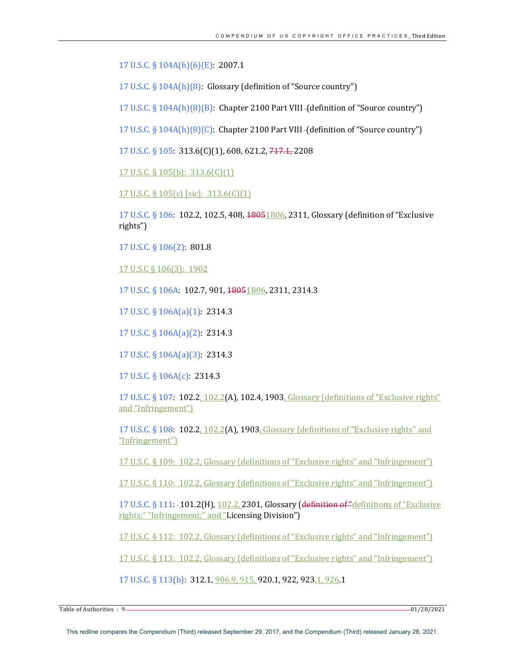17 U.S.C. § 104A(h)(6)(E): 2007.1

17 U.S.C.  $\S$  104A(h)(8): Glossary (definition of "Source country")

17 U.S.C.  $\S$  104A(h)(8)(B): Chapter 2100 Part VIII -(definition of "Source country")

17 U.S.C.  $\S$  104A(h)(8)(C): Chapter 2100 Part VIII -(definition of "Source country")

17 U.S.C. § 105:  $313.6(C)(1)$ , 608, 621.2,  $717.1$ , 2208

17 U.S.C. § 105(b):  $313.6(C)(1)$ 

17 U.S.C. § 105(c) [sic]: 313.6(C)(1)

17 U.S.C. § 106: 102.2, 102.5, 408, 48051806, 2311, Glossary (definition of "Exclusive rights")

17 U.S.C. § 106(2): 801.8

17 U.S.C § 106(3): 1902

17 U.S.C. § 106A: 102.7, 901, 18051806, 2311, 2314.3

17 U.S.C. § 106A(a)(1): 2314.3

17 U.S.C. § 106A(a)(2): 2314.3

17 U.S.C. § 106A(a)(3): 2314.3

17 U.S.C. § 106A(c): 2314.3

17 U.S.C.  $\S$  107: 102.2, 102.2(A), 102.4, 1903, Glossary (definitions of "Exclusive rights" and "Infringement")

17 U.S.C.  $\S$  108: 102.2,  $102.2(A)$ , 1903, Glossary (definitions of "Exclusive rights" and "Infringement")

17 U.S.C. § 109: 102.2, Glossary (definitions of "Exclusive rights" and "Infringement")

17 U.S.C. § 110: 102.2, Glossary (definitions of "Exclusive rights" and "Infringement")

17 U.S.C. § 111: -101.2(H), 102.2, 2301, Glossary (definition of "definitions of "Exclusive rights;" "Infringement;" and "Licensing Division")

17 U.S.C. § 112: 102.2, Glossary (definitions of "Exclusive rights" and "Infringement")

17 U.S.C. § 113: 102.2, Glossary (definitions of "Exclusive rights" and "Infringement")

17 U.S.C. § 113(b): 312.1, 906.9, 915, 920.1, 922, 923.1, 926.1

Table of Authorities : 9 001/28/2021 01/28/2021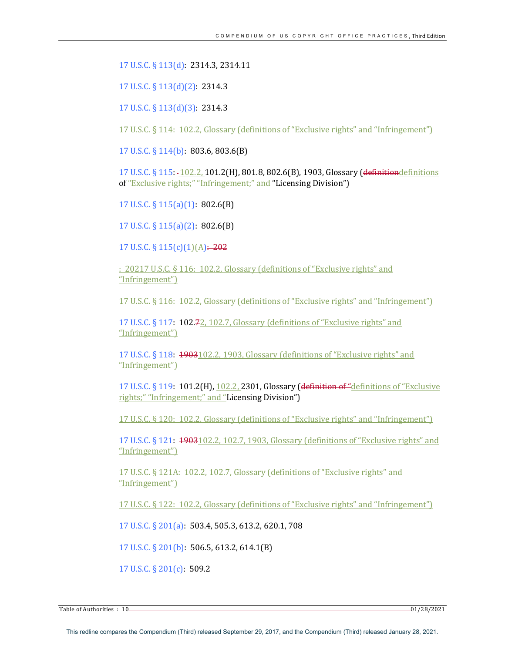17 U.S.C. § 113(d): 2314.3, 2314.11

17 U.S.C. § 113(d)(2): 2314.3

17 U.S.C. § 113(d)(3): 2314.3

17 U.S.C. § 114: 102.2, Glossary (definitions of "Exclusive rights" and "Infringement")

17 U.S.C. § 114(b): 803.6, 803.6(B)

17 U.S.C. § 115: 102.2, 101.2(H), 801.8, 802.6(B), 1903, Glossary (definitiondefinitions of "Exclusive rights;" "Infringement;" and "Licensing Division")

17 U.S.C.  $\S$  115(a)(1): 802.6(B)

17 U.S.C. § 115(a)(2): 802.6(B)

17 U.S.C. §  $115(c)(1)(A) \div 202$ 

: 20217 U.S.C. § 116: 102.2, Glossary (definitions of "Exclusive rights" and "Infringement")

17 U.S.C. § 116: 102.2, Glossary (definitions of "Exclusive rights" and "Infringement")

17 U.S.C.  $\S$  117: 102.7<sub>2</sub>, 102.7, Glossary (definitions of "Exclusive rights" and "Infringement")

17 U.S.C.  $\S$  118:  $\frac{1903102.2}{1903}$ , Glossary (definitions of "Exclusive rights" and "Infringement")

17 U.S.C. § 119:  $101.2$ (H), 102.2, 2301, Glossary (definition of "definitions of "Exclusive rights;" "Infringement;" and "Licensing Division")

17 U.S.C. § 120: 102.2, Glossary (definitions of "Exclusive rights" and "Infringement")

17 U.S.C. § 121: **1903**102.2, 102.7, 1903, Glossary (definitions of "Exclusive rights" and "Infringement")

17 U.S.C. § 121A: 102.2, 102.7, Glossary (definitions of "Exclusive rights" and "Infringement")

17 U.S.C. § 122: 102.2, Glossary (definitions of "Exclusive rights" and "Infringement")

17 U.S.C. § 201(a): 503.4, 505.3, 613.2, 620.1, 708

17 U.S.C. § 201(b): 506.5, 613.2, 614.1(B)

17 U.S.C. § 201(c): 509.2

 $\frac{1}{2}$  Table of Authorities  $\colon 10$   $\longrightarrow$  01/28/2021

This redline compares the Compendium (Third) released September 29, 2017, and the Compendium (Third) released January 28, 2021.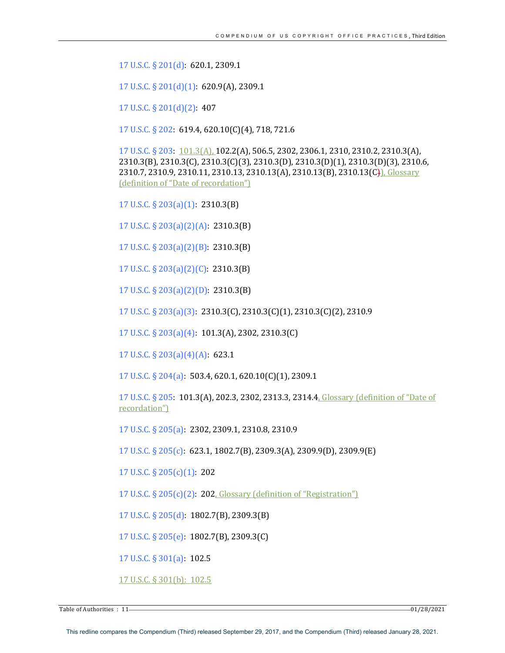17 U.S.C. § 201(d): 620.1, 2309.1

17 U.S.C.  $\S 201(d)(1)$ : 620.9(A), 2309.1

17 U.S.C. § 201(d)(2): 407

17 U.S.C. § 202: 619.4, 620.10(C)(4), 718, 721.6

17 U.S.C. § 203: 101.3(A), 102.2(A), 506.5, 2302, 2306.1, 2310, 2310.2, 2310.3(A), 2310.3(B), 2310.3(C), 2310.3(C)(3), 2310.3(D), 2310.3(D)(1), 2310.3(D)(3), 2310.6, 2310.7, 2310.9, 2310.11, 2310.13, 2310.13(A), 2310.13(B), 2310.13(C)), Glossary (definition of "Date of recordation")

17 U.S.C. § 203(a)(1): 2310.3(B)

17 U.S.C. § 203(a)(2)(A): 2310.3(B)

17 U.S.C.  $\S$  203(a)(2)(B): 2310.3(B)

17 U.S.C. § 203(a)(2)(C): 2310.3(B)

17 U.S.C. § 203(a)(2)(D): 2310.3(B)

17 U.S.C. § 203(a)(3): 2310.3(C), 2310.3(C)(1), 2310.3(C)(2), 2310.9

17 U.S.C. § 203(a)(4): 101.3(A), 2302, 2310.3(C)

17 U.S.C. § 203(a)(4)(A): 623.1

17 U.S.C.  $\S 204(a)$ : 503.4, 620.1, 620.10(C)(1), 2309.1

17 U.S.C. § 205: 101.3(A), 202.3, 2302, 2313.3, 2314.4, Glossary (definition of "Date of recordation")

17 U.S.C. § 205(a): 2302, 2309.1, 2310.8, 2310.9

17 U.S.C. § 205(c): 623.1, 1802.7(B), 2309.3(A), 2309.9(D), 2309.9(E)

17 U.S.C.  $\S$  205(c)(1): 202

17 U.S.C.  $\S 205(c)(2)$ : 202, Glossary (definition of "Registration")

17 U.S.C. § 205(d): 1802.7(B), 2309.3(B)

17 U.S.C.  $\S 205(e)$ : 1802.7(B), 2309.3(C)

17 U.S.C.  $\S 301(a)$ : 102.5

17 U.S.C. § 301(b): 102.5

Table of Authorities : 11 28/2021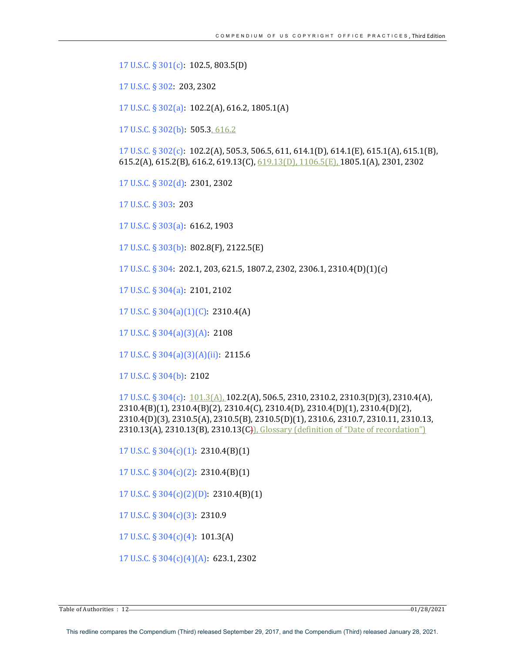17 U.S.C. §  $301(c)$ : 102.5, 803.5(D)

17 U.S.C. § 302: 203, 2302

17 U.S.C. § 302(a): 102.2(A), 616.2, 1805.1(A)

17 U.S.C. § 302(b): 505.3, 616.2

17 U.S.C. § 302(c): **102.2(A),** 505.3, 506.5, 611, 614.1(D), 614.1(E), 615.1(A), 615.1(B), 615.2(A), 615.2(B), 616.2, 619.13(C),  $619.13(D)$ ,  $1106.5(E)$ , 1805.1(A), 2301, 2302

17 U.S.C. § 302(d): 2301, 2302

17 U.S.C. § 303: 203

17 U.S.C. § 303(a): 616.2, 1903

17 U.S.C. § 303(b): 802.8(F), 2122.5(E)

17 U.S.C. § 304: 202.1, 203, 621.5, 1807.2, 2302, 2306.1, 2310.4(D)(1)(c)

17 U.S.C. § 304(a): 2101, 2102

17 U.S.C. § 304(a)(1)(C): 2310.4(A)

17 U.S.C. § 304(a)(3)(A): 2108

17 U.S.C. § 304(a)(3)(A)(ii):  $2115.6$ 

17 U.S.C. § 304(b): 2102

 $17 \text{ U.S.C.}$  §  $304(c)$ :  $101.3(A)$ ,  $102.2(A)$ , 506.5, 2310, 2310.2, 2310.3(D)(3), 2310.4(A), 2310.4(B)(1), 2310.4(B)(2), 2310.4(C), 2310.4(D), 2310.4(D)(1), 2310.4(D)(2), 2310.4(D)(3), 2310.5(A), 2310.5(B), 2310.5(D)(1), 2310.6, 2310.7, 2310.11, 2310.13, 2310.13(A), 2310.13(B), 2310.13(C)), Glossary (definition of "Date of recordation")

17 U.S.C.  $\S 304(c)(1)$ : 2310.4(B)(1)

17 U.S.C.  $\S 304(c)(2)$ : 2310.4(B)(1)

17 U.S.C.  $\S 304(c)(2)(D)$ : 2310.4(B)(1)

17 U.S.C.  $\S 304(c)(3)$ : 2310.9

17 U.S.C.  $\S 304(c)(4)$ : 101.3(A)

17 U.S.C.  $\S 304(c)(4)(A)$ : 623.1, 2302

Table of Authorities : 12 01/28/2021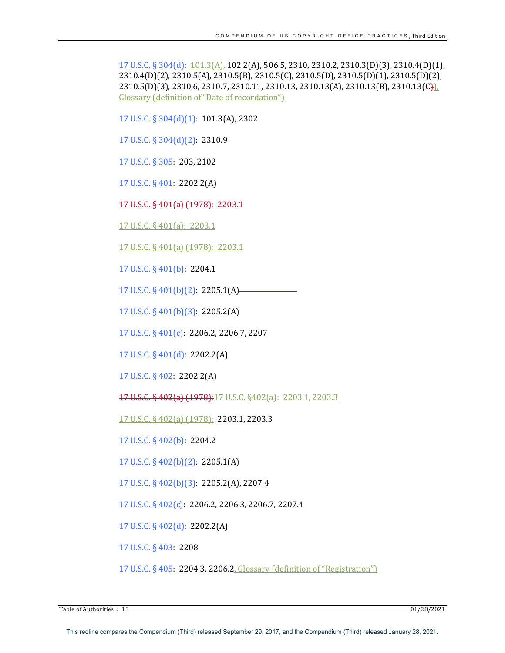17 U.S.C. § 304(d): 101.3(A), 102.2(A), 506.5, 2310, 2310.2, 2310.3(D)(3), 2310.4(D)(1), 2310.4(D)(2), 2310.5(A), 2310.5(B), 2310.5(C), 2310.5(D), 2310.5(D)(1), 2310.5(D)(2),  $2310.5(D)(3)$ ,  $2310.6$ ,  $2310.7$ ,  $2310.11$ ,  $2310.13$ ,  $2310.13(A)$ ,  $2310.13(B)$ ,  $2310.13(C)$ Glossary (definition of "Date of recordation")

17 U.S.C. § 304(d)(1): 101.3(A), 2302

17 U.S.C. § 304(d)(2): 2310.9

17 U.S.C. § 305: 203, 2102

17 U.S.C. § 401: 2202.2(A)

17 U.S.C. § 401(a) (1978): 2203.1

17 U.S.C. § 401(a):  $2203.1$ 

17 U.S.C. § 401(a) (1978): 2203.1

17 U.S.C. § 401(b): 2204.1

17 U.S.C. § 401(b)(2): 2205.1(A) 

17 U.S.C. § 401(b)(3): 2205.2(A)

17 U.S.C. § 401(c): 2206.2, 2206.7, 2207

17 U.S.C. §  $401(d)$ : 2202.2(A)

17 U.S.C. § 402: 2202.2(A)

17 U.S.C. § 402(a) (1978):17 U.S.C. §402(a): 2203.1, 2203.3

17 U.S.C. § 402(a) (1978): 2203.1, 2203.3

17 U.S.C. § 402(b): 2204.2

17 U.S.C. § 402(b)(2): 2205.1(A)

17 U.S.C. § 402(b)(3): 2205.2(A), 2207.4

17 U.S.C. § 402(c): 2206.2, 2206.3, 2206.7, 2207.4

17 U.S.C.  $\S$  402(d): 2202.2(A)

17 U.S.C. § 403: 2208

17 U.S.C. § 405: 2204.3, 2206.2, Glossary (definition of "Registration")

Table of Authorities : 13 01/28/2021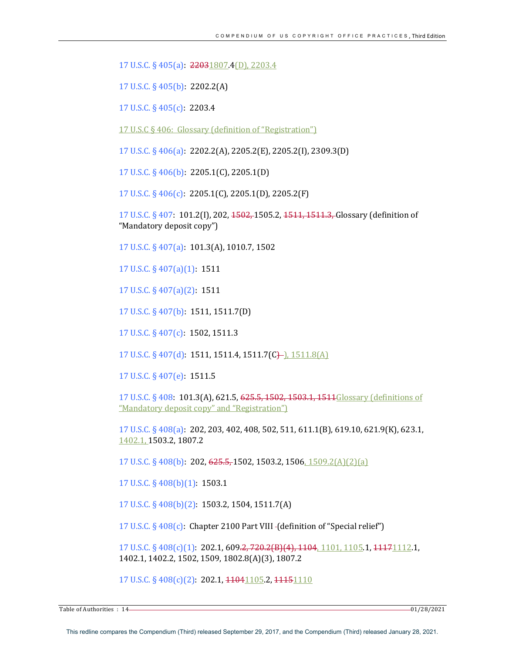17 U.S.C. § 405(a): 22031807.4(D), 2203.4 

17 U.S.C. § 405(b): 2202.2(A)

17 U.S.C. § 405(c): 2203.4

17 U.S.C  $\S$  406: Glossary (definition of "Registration")

17 U.S.C. § 406(a): 2202.2(A), 2205.2(E), 2205.2(I), 2309.3(D)

17 U.S.C. § 406(b): 2205.1(C), 2205.1(D)

17 U.S.C.  $\S$  406(c): 2205.1(C), 2205.1(D), 2205.2(F)

17 U.S.C. § 407: 101.2(I), 202,  $1502, 1505.2, 1511, 1511.3$ , Glossary (definition of "Mandatory deposit copy")

17 U.S.C. § 407(a): 101.3(A), 1010.7, 1502

17 U.S.C. § 407(a)(1): 1511

17 U.S.C. § 407(a)(2): 1511

17 U.S.C. § 407(b): 1511, 1511.7(D)

17 U.S.C. § 407(c): 1502, 1511.3 

 $17 \text{ U.S.C.}$  §  $407(d)$ :  $1511, 1511.4$ ,  $1511.7(C)$ ),  $1511.8(A)$ 

17 U.S.C. § 407(e): 1511.5

17 U.S.C. § 408: 101.3(A), 621.5, 625.5, 1502, 1503.1, 1511Glossary (definitions of "Mandatory deposit copy" and "Registration")

17 U.S.C. § 408(a): 202, 203, 402, 408, 502, 511, 611.1(B), 619.10, 621.9(K), 623.1, 1402.1, 1503.2, 1807.2

17 U.S.C. § 408(b): 202, 625.5, 1502, 1503.2, 1506, 1509.2(A)(2)(a)

 $17 \text{ U.S.C.}$  §  $408(b)(1)$ : 1503.1

17 U.S.C. § 408(b)(2): 1503.2, 1504, 1511.7(A)

17 U.S.C.  $\S$  408 $(c)$ : Chapter 2100 Part VIII - (definition of "Special relief")

17 U.S.C. § 408(c)(1): 202.1, 609.2, 720.2(B)(4), 1104, 1101, 1105.1, 11171112.1, 1402.1, 1402.2, 1502, 1509, 1802.8(A)(3), 1807.2

17 U.S.C. § 408(c)(2): 202.1, 11041105.2, 11151110

Table of Authorities  $\cdot$  14  $-$  01/28/2021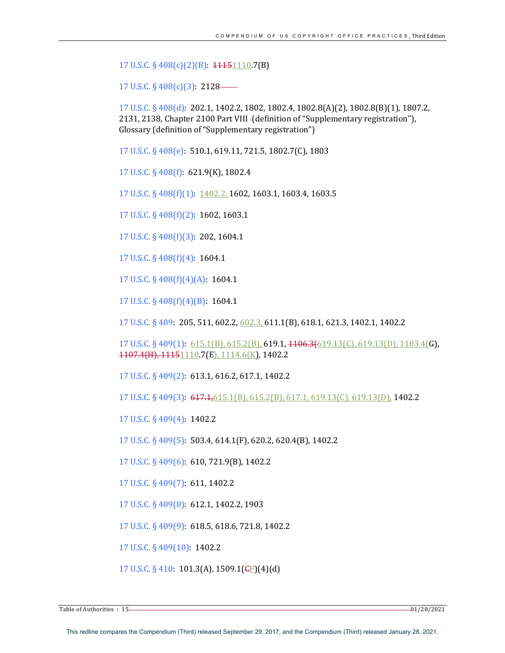17 U.S.C. § 408(c)(2)(B): 11151110.7(B)

17 U.S.C.  $\S$  408(c)(3): 2128–

17 U.S.C. § 408(d): 202.1, 1402.2, 1802, 1802.4, 1802.8(A)(2), 1802.8(B)(1), 1807.2, 2131, 2138, Chapter 2100 Part VIII - (definition of "Supplementary registration"), Glossary (definition of "Supplementary registration")

17 U.S.C. § 408(e): 510.1, 619.11, 721.5, 1802.7(C), 1803

17 U.S.C. § 408(f): 621.9(K), 1802.4

17 U.S.C. § 408(f)(1): 1402.2, 1602, 1603.1, 1603.4, 1603.5

17 U.S.C.  $\S$  408(f)(2): 1602, 1603.1

17 U.S.C. § 408(f)(3): 202, 1604.1

17 U.S.C. § 408(f)(4): 1604.1

17 U.S.C. §  $408(f)(4)(A)$ : 1604.1

17 U.S.C.  $\S$  408(f)(4)(B): 1604.1

17 U.S.C. § 409: 205, 511, 602.2, 602.3, 611.1(B), 618.1, 621.3, 1402.1, 1402.2

17 U.S.C. § 409(1): 615.1(B), 615.2(B), 619.1, 4106.3(619.13(C), 619.13(D), 1103.4(G), 1107.4(H), 11151110.7(E), 1114.6(K), 1402.2

17 U.S.C. § 409(2): 613.1, 616.2, 617.1, 1402.2

17 U.S.C. § 409(3): 617.1,615.1(B), 615.2(B), 617.1, 619.13(C), 619.13(D), 1402.2

17 U.S.C. § 409(4): 1402.2

17 U.S.C. § 409(5): 503.4, 614.1(F), 620.2, 620.4(B), 1402.2

17 U.S.C. § 409(6): 610, 721.9(B), 1402.2

17 U.S.C. § 409(7): 611, 1402.2

17 U.S.C. § 409(8): 612.1, 1402.2, 1903

17 U.S.C. § 409(9): 618.5, 618.6, 721.8, 1402.2

17 U.S.C. § 409(10): 1402.2

17 U.S.C. § 410: 101.3(A), 1509.1( $E$ )(4)(d)

 $\frac{1}{2}$  Table of Authorities  $\colon 15$   $\longrightarrow$  01/28/2021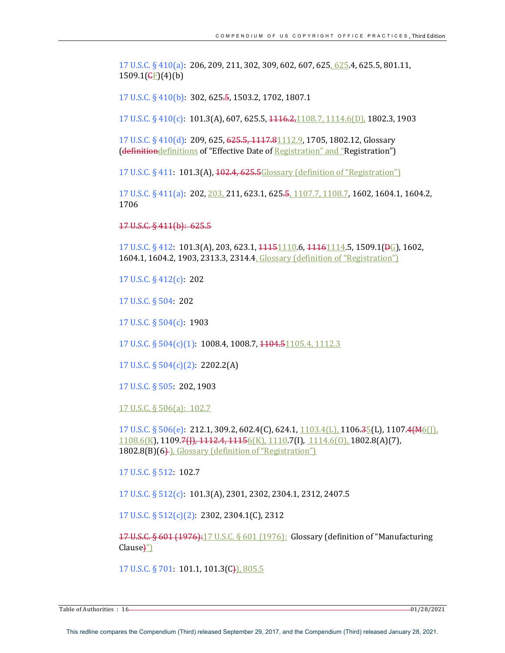17 U.S.C. § 410(a): 206, 209, 211, 302, 309, 602, 607, 625, 625.4, 625.5, 801.11,  $1509.1$ ( $\text{CF}$ )(4)(b)

17 U.S.C. § 410(b): 302, 625.5, 1503.2, 1702, 1807.1

17 U.S.C. § 410(c): 101.3(A), 607, 625.5,  $1146.2,1108.7, 1114.6(D)$ , 1802.3, 1903

17 U.S.C. § 410(d): 209, 625, 625.5, 1117.81112.9, 1705, 1802.12, Glossary (definitiondefinitions of "Effective Date of Registration" and "Registration")

17 U.S.C. § 411: 101.3(A), 102.4, 625.5Glossary (definition of "Registration")

17 U.S.C. § 411(a): 202, 203, 211, 623.1, 625.5, 1107.7, 1108.7, 1602, 1604.1, 1604.2, 1706

17 U.S.C. § 411(b): 625.5

 $17 \text{ U.S.C.}$  § 412:  $101.3(A)$ ,  $203$ ,  $623.1$ ,  $11151110.6$ ,  $11161114.5$ ,  $1509.1(B<sub>G</sub>)$ ,  $1602$ , 1604.1, 1604.2, 1903, 2313.3, 2314.4, Glossary (definition of "Registration")

17 U.S.C. § 412(c): 202

17 U.S.C. § 504: 202

17 U.S.C. § 504(c): 1903

17 U.S.C. § 504(c)(1): 1008.4, 1008.7, 1104.51105.4, 1112.3

17 U.S.C.  $\S 504(c)(2)$ : 2202.2(A)

17 U.S.C. § 505: 202, 1903

17 U.S.C. § 506(a): 102.7

17 U.S.C. § 506(e): 212.1, 309.2, 602.4(C), 624.1,  $\frac{1103.4(L)}{1103.4(L)}$  1106.3 $\frac{5}{5}(L)$ , 1107.4(M6([])  $1108.6(K)$ , 1109.7(J), 1112.4, 1115 $6(K)$ , 1110.7(I),  $1114.6(0)$ , 1802.8(A)(7), 1802.8(B)(6). Glossary (definition of "Registration")

17 U.S.C. § 512: 102.7

17 U.S.C. § 512(c): 101.3(A), 2301, 2302, 2304.1, 2312, 2407.5

17 U.S.C.  $\S 512(c)(2)$ : 2302, 2304.1(C), 2312

17 U.S.C.  $\S 601$  (1976): 17 U.S.C.  $\S 601$  (1976): Glossary (definition of "Manufacturing  $Clause<sub>1</sub><sup>''</sup>$ 

17 U.S.C. § 701: 101.1, 101.3(C)), 805.5

Table of Authorities : 16 01/28/2021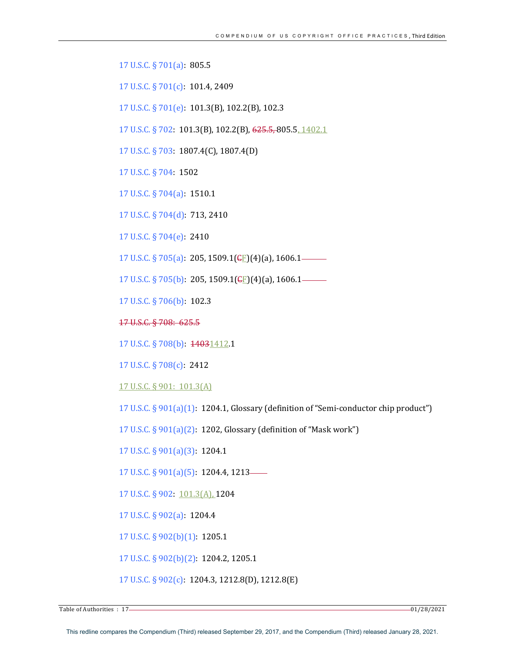17 U.S.C. § 701(a): 805.5

17 U.S.C. § 701(c): 101.4, 2409

17 U.S.C. § 701(e): 101.3(B), 102.2(B), 102.3

17 U.S.C. § 702: 101.3(B), 102.2(B), 625.5, 805.5, 1402.1

17 U.S.C. § 703: 1807.4(C), 1807.4(D)

17 U.S.C. § 704: 1502

17 U.S.C. § 704(a): 1510.1

17 U.S.C. § 704(d): 713, 2410

17 U.S.C. § 704(e): 2410

17 U.S.C. § 705(a): 205, 1509.1( $E$ [)(4)(a), 1606.1——

17 U.S.C. § 705(b): 205, 1509.1( $E$ )(4)(a), 1606.1—  $\overline{\phantom{0}}$ 

17 U.S.C. § 706(b): 102.3

17 U.S.C. § 708: 625.5

17 U.S.C. § 708(b): 14031412.1

17 U.S.C. § 708(c): 2412

17 U.S.C. § 901: 101.3(A)

17 U.S.C. §  $901(a)(1)$ : 1204.1, Glossary (definition of "Semi-conductor chip product")

17 U.S.C.  $\S 901(a)(2)$ : 1202, Glossary (definition of "Mask work")

17 U.S.C. § 901(a)(3): 1204.1

17 U.S.C.  $\S$  901(a)(5): 1204.4, 1213—

17 U.S.C. § 902: 101.3(A), 1204

17 U.S.C. § 902(a): 1204.4

17 U.S.C. § 902(b)(1): 1205.1

17 U.S.C. § 902(b)(2): 1204.2, 1205.1

17 U.S.C. § 902(c): 1204.3, 1212.8(D), 1212.8(E)

Table of Authorities  $\cdot$  17 01/28/2021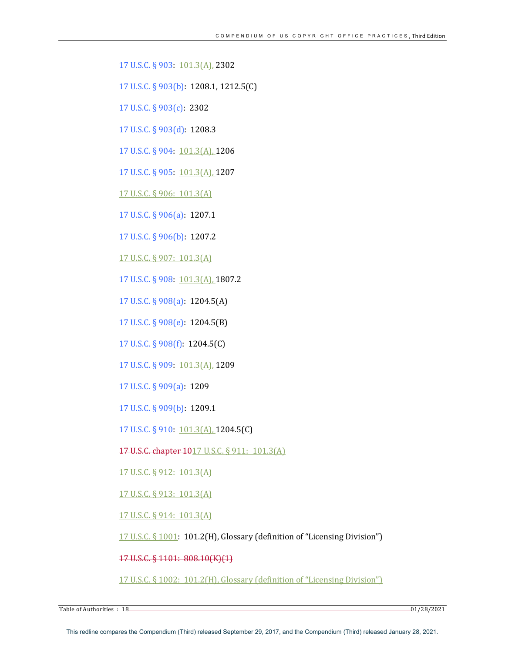17 U.S.C. § 903: 101.3(A), 2302

17 U.S.C. § 903(b): 1208.1, 1212.5(C)

17 U.S.C. § 903(c): 2302

17 U.S.C. § 903(d): 1208.3

17 U.S.C. § 904: 101.3(A), 1206

17 U.S.C. § 905: 101.3(A), 1207

17 U.S.C. § 906: 101.3(A)

17 U.S.C. § 906(a): 1207.1

17 U.S.C. § 906(b): 1207.2

17 U.S.C. § 907: 101.3(A)

17 U.S.C. § 908: 101.3(A), 1807.2

17 U.S.C. § 908(a): 1204.5(A)

17 U.S.C. § 908(e): 1204.5(B)

17 U.S.C. § 908(f): 1204.5(C)

17 U.S.C. § 909: 101.3(A), 1209

17 U.S.C. § 909(a): 1209

17 U.S.C. § 909(b): 1209.1

17 U.S.C. § 910: 101.3(A), 1204.5(C)

17 U.S.C. chapter 1017 U.S.C. § 911: 101.3(A)

17 U.S.C. § 912: 101.3(A)

17 U.S.C. § 913: 101.3(A)

17 U.S.C. § 914: 101.3(A)

17 U.S.C. § 1001: 101.2(H), Glossary (definition of "Licensing Division")

17 U.S.C. § 1101: 808.10(K)(1)

17 U.S.C. § 1002: 101.2(H), Glossary (definition of "Licensing Division")

 $\frac{1}{2}$  Table of Authorities  $\cdot$  18  $\frac{1}{28}/2021$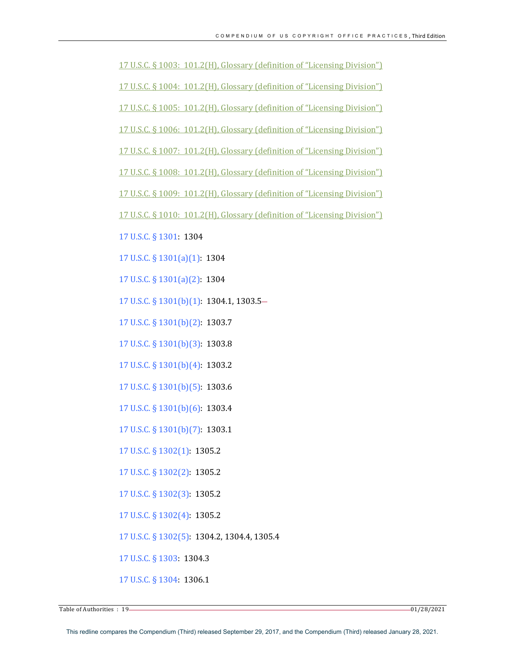17 U.S.C.  $\S$  1003: 101.2(H), Glossary (definition of "Licensing Division")

17 U.S.C. § 1004: 101.2(H), Glossary (definition of "Licensing Division")

17 U.S.C. § 1005: 101.2(H), Glossary (definition of "Licensing Division")

17 U.S.C. § 1006: 101.2(H), Glossary (definition of "Licensing Division")

17 U.S.C. § 1007: 101.2(H), Glossary (definition of "Licensing Division")

17 U.S.C. § 1008: 101.2(H), Glossary (definition of "Licensing Division")

17 U.S.C. § 1009: 101.2(H), Glossary (definition of "Licensing Division")

17 U.S.C. § 1010: 101.2(H), Glossary (definition of "Licensing Division")

17 U.S.C. § 1301: 1304

17 U.S.C. § 1301(a)(1): 1304

17 U.S.C. § 1301(a)(2): 1304

 $17$  U.S.C. §  $1301(b)(1)$ :  $1304.1, 1303.5-$ 

17 U.S.C. § 1301(b)(2): 1303.7

17 U.S.C. § 1301(b)(3): 1303.8

17 U.S.C.  $\S$  1301(b)(4): 1303.2

17 U.S.C. § 1301(b)(5): 1303.6

17 U.S.C. § 1301(b)(6): 1303.4

17 U.S.C. § 1301(b)(7): 1303.1

17 U.S.C. § 1302(1): 1305.2

17 U.S.C. § 1302(2): 1305.2

17 U.S.C. § 1302(3): 1305.2

17 U.S.C. § 1302(4): 1305.2

17 U.S.C. § 1302(5): 1304.2, 1304.4, 1305.4

17 U.S.C. § 1303: 1304.3

17 U.S.C. § 1304: 1306.1

 $\frac{1}{2}$  Table of Authorities  $\colon 19$   $\longrightarrow$  01/28/2021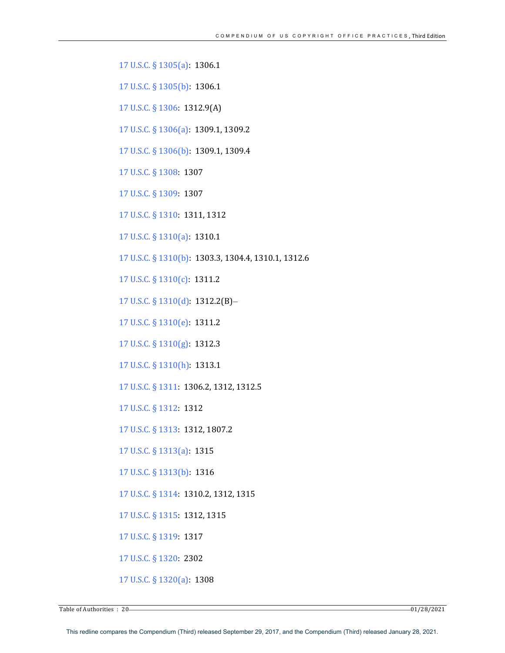17 U.S.C. § 1305(a): 1306.1

17 U.S.C. § 1305(b): 1306.1

17 U.S.C. § 1306: 1312.9(A)

17 U.S.C. § 1306(a): 1309.1, 1309.2

17 U.S.C. § 1306(b): 1309.1, 1309.4

17 U.S.C. § 1308: 1307

17 U.S.C. § 1309: 1307

17 U.S.C. § 1310: 1311, 1312

17 U.S.C. § 1310(a): 1310.1

17 U.S.C. § 1310(b): 1303.3, 1304.4, 1310.1, 1312.6

17 U.S.C. § 1310(c): 1311.2

17 U.S.C. § 1310(d): 1312.2(B)-

17 U.S.C. § 1310(e): 1311.2

17 U.S.C. § 1310(g): 1312.3

17 U.S.C. § 1310(h): 1313.1

17 U.S.C. § 1311: 1306.2, 1312, 1312.5

17 U.S.C. § 1312: 1312

17 U.S.C. § 1313: 1312, 1807.2

17 U.S.C. § 1313(a): 1315

17 U.S.C. § 1313(b): 1316

17 U.S.C. § 1314: 1310.2, 1312, 1315

17 U.S.C. § 1315: 1312, 1315

17 U.S.C. § 1319: 1317

17 U.S.C. § 1320: 2302

17 U.S.C. § 1320(a): 1308

Table of Authorities  $\cdot$  20 01/28/2021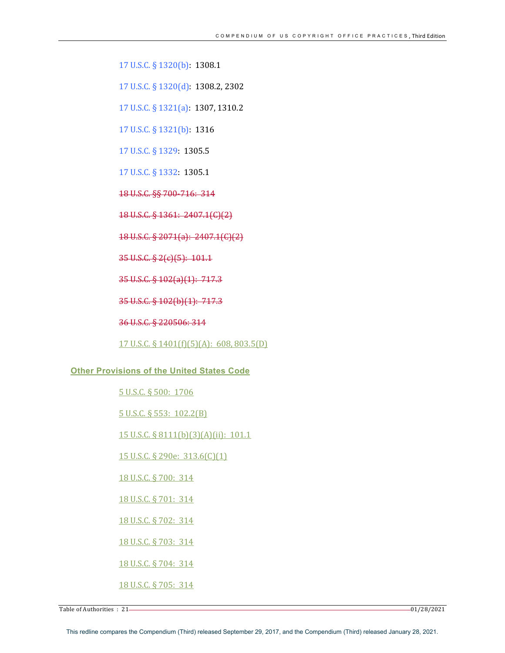17 U.S.C. § 1320(b): 1308.1

17 U.S.C. § 1320(d): 1308.2, 2302

17 U.S.C. § 1321(a): 1307, 1310.2

17 U.S.C. § 1321(b): 1316

17 U.S.C. § 1329: 1305.5

17 U.S.C. § 1332: 1305.1

18 U.S.C. §§ 700-716: 314

18 U.S.C. § 1361: 2407.1(C)(2)

18 U.S.C. § 2071(a): 2407.1(C)(2)

35 U.S.C. § 2(c)(5): 101.1

35 U.S.C. § 102(a)(1): 717.3

35 U.S.C. § 102(b)(1): 717.3

36 U.S.C. § 220506: 314

17 U.S.C. § 1401(f)(5)(A): 608, 803.5(D)

#### **Other Provisions of the United States Code**

5 U.S.C. § 500: 1706

5 U.S.C. § 553: 102.2(B)

15 U.S.C. § 8111(b)(3)(A)(ii): 101.1

15 U.S.C. § 290e: 313.6(C)(1)

18 U.S.C. § 700: 314

18 U.S.C. § 701: 314

18 U.S.C. § 702: 314

18 U.S.C. § 703: 314

18 U.S.C. § 704: 314

18 U.S.C. § 705: 314

Table of Authorities  $\cdot$  21  $-$  01/28/2021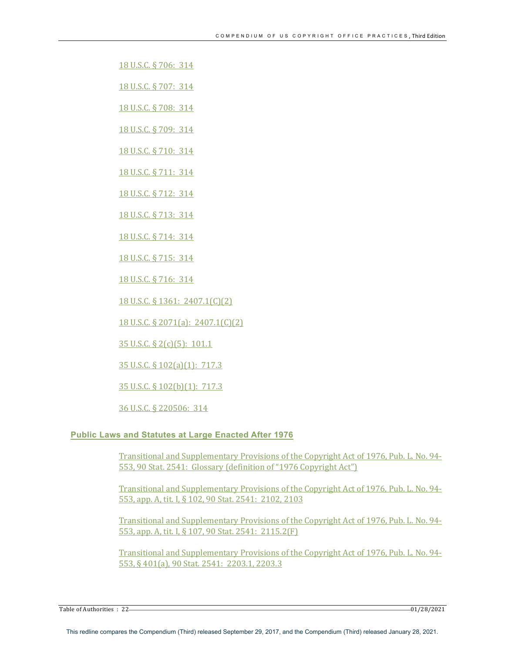- 18 U.S.C. § 706: 314
- 18 U.S.C. § 707: 314
- 18 U.S.C. § 708: 314
- 18 U.S.C. § 709: 314
- 18 U.S.C. § 710: 314
- 18 U.S.C. § 711: 314
- 18 U.S.C. § 712: 314
- 18 U.S.C. § 713: 314
- 18 U.S.C. § 714: 314
- 18 U.S.C. § 715: 314
- 18 U.S.C. § 716: 314
- 18 U.S.C. § 1361: 2407.1(C)(2)
- 18 U.S.C. § 2071(a): 2407.1(C)(2)
- 35 U.S.C. § 2(c)(5): 101.1
- $35 \text{ U.S.C.}$   $\S$   $102(a)(1)$ :  $717.3$
- 35 U.S.C. § 102(b)(1): 717.3
- 36 U.S.C. § 220506: 314

#### **Public Laws and Statutes at Large Enacted After 1976**

Transitional and Supplementary Provisions of the Copyright Act of 1976, Pub. L. No. 94-553, 90 Stat. 2541: Glossary (definition of "1976 Copyright Act")

Transitional and Supplementary Provisions of the Copyright Act of 1976, Pub. L. No. 94-553, app. A, tit. I, § 102, 90 Stat. 2541: 2102, 2103

Transitional and Supplementary Provisions of the Copyright Act of 1976, Pub. L. No. 94-553, app. A, tit. I, § 107, 90 Stat. 2541: 2115.2(F)

Transitional and Supplementary Provisions of the Copyright Act of 1976, Pub. L. No. 94-553, § 401(a), 90 Stat. 2541: 2203.1, 2203.3

Table of Authorities  $\cdot$  22 01/28/2021  $-$  01/28/2021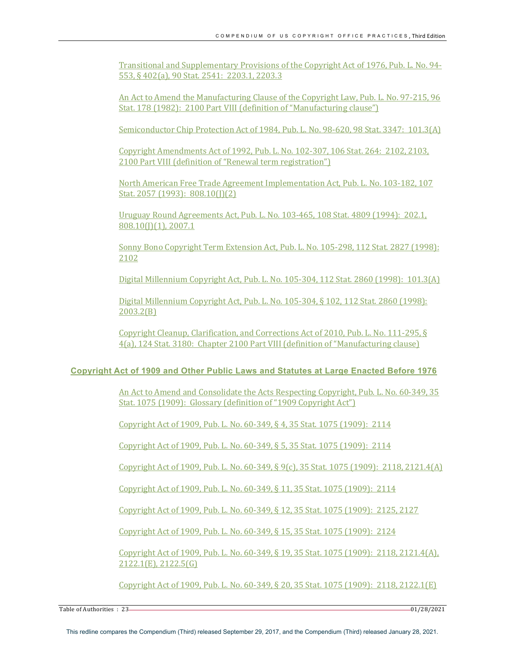Transitional and Supplementary Provisions of the Copyright Act of 1976, Pub. L. No. 94-553, § 402(a), 90 Stat. 2541: 2203.1, 2203.3

An Act to Amend the Manufacturing Clause of the Copyright Law, Pub. L. No. 97-215, 96 Stat. 178 (1982): 2100 Part VIII (definition of "Manufacturing clause")

Semiconductor Chip Protection Act of 1984, Pub. L. No. 98-620, 98 Stat. 3347: 101.3(A)

Copyright Amendments Act of 1992, Pub. L. No. 102-307, 106 Stat. 264: 2102, 2103, 2100 Part VIII (definition of "Renewal term registration")

North American Free Trade Agreement Implementation Act, Pub. L. No. 103-182, 107 Stat. 2057 (1993): 808.10(J)(2)

Uruguay Round Agreements Act, Pub. L. No. 103-465, 108 Stat. 4809 (1994): 202.1,  $808.10(1)(1)$ , 2007.1

Sonny Bono Copyright Term Extension Act, Pub. L. No. 105-298, 112 Stat. 2827 (1998): 2102

Digital Millennium Copyright Act, Pub. L. No. 105-304, 112 Stat. 2860 (1998): 101.3(A)

Digital Millennium Copyright Act, Pub. L. No. 105-304, § 102, 112 Stat. 2860 (1998): 2003.2(B)

Copyright Cleanup, Clarification, and Corrections Act of 2010, Pub. L. No. 111-295,  $\S$ 4(a), 124 Stat. 3180: Chapter 2100 Part VIII (definition of "Manufacturing clause)

# **Copyright Act of 1909 and Other Public Laws and Statutes at Large Enacted Before 1976**

An Act to Amend and Consolidate the Acts Respecting Copyright, Pub. L. No. 60-349, 35 Stat. 1075 (1909): Glossary (definition of "1909 Copyright Act")

Copyright Act of 1909, Pub. L. No. 60-349, § 4, 35 Stat. 1075 (1909): 2114

Copyright Act of 1909, Pub. L. No. 60-349, § 5, 35 Stat. 1075 (1909): 2114

Copyright Act of 1909, Pub. L. No. 60-349, § 9(c), 35 Stat. 1075 (1909): 2118, 2121.4(A)

Copyright Act of 1909, Pub. L. No. 60-349, § 11, 35 Stat. 1075 (1909): 2114

Copyright Act of 1909, Pub. L. No. 60-349, § 12, 35 Stat. 1075 (1909): 2125, 2127

Copyright Act of 1909, Pub. L. No. 60-349, § 15, 35 Stat. 1075 (1909): 2124

Copyright Act of 1909, Pub. L. No. 60-349, § 19, 35 Stat. 1075 (1909): 2118, 2121.4(A), 2122.1(E), 2122.5(G)

Copyright Act of 1909, Pub. L. No. 60-349, § 20, 35 Stat. 1075 (1909): 2118, 2122.1(E)

 $\frac{1}{2}$  Table of Authorities  $\colon 23 \longrightarrow 01/28/2021$ 

This redline compares the Compendium (Third) released September 29, 2017, and the Compendium (Third) released January 28, 2021.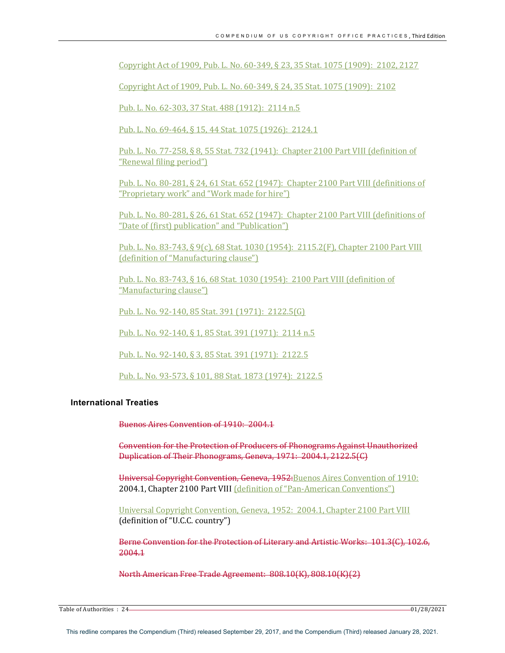Copyright Act of 1909, Pub. L. No. 60-349, § 23, 35 Stat. 1075 (1909): 2102, 2127

Copyright Act of 1909, Pub. L. No. 60-349, § 24, 35 Stat. 1075 (1909): 2102

Pub. L. No. 62-303, 37 Stat. 488 (1912): 2114 n.5

Pub. L. No. 69-464, § 15, 44 Stat. 1075 (1926): 2124.1

Pub. L. No. 77-258, § 8, 55 Stat. 732 (1941): Chapter 2100 Part VIII (definition of "Renewal filing period")

Pub. L. No. 80-281, § 24, 61 Stat. 652 (1947): Chapter 2100 Part VIII (definitions of "Proprietary work" and "Work made for hire")

Pub. L. No. 80-281, § 26, 61 Stat.  $652$  (1947): Chapter 2100 Part VIII (definitions of "Date of (first) publication" and "Publication")

Pub. L. No. 83-743, § 9(c), 68 Stat. 1030 (1954): 2115.2(F), Chapter 2100 Part VIII (definition of "Manufacturing clause")

Pub. L. No. 83-743, § 16, 68 Stat. 1030 (1954): 2100 Part VIII (definition of "Manufacturing clause")

Pub. L. No. 92-140, 85 Stat. 391 (1971): 2122.5(G)

Pub. L. No. 92-140, § 1, 85 Stat. 391 (1971): 2114 n.5

Pub. L. No. 92-140, § 3, 85 Stat. 391 (1971): 2122.5

Pub. L. No. 93-573, § 101, 88 Stat. 1873 (1974): 2122.5

#### **International Treaties**

Buenos Aires Convention of 1910: 2004.1

**Convention for the Protection of Producers of Phonograms Against Unauthorized** Duplication of Their Phonograms, Geneva, 1971: 2004.1, 2122.5(C)

Universal Copyright Convention, Geneva, 1952: Buenos Aires Convention of 1910: 2004.1, Chapter 2100 Part VIII (definition of "Pan-American Conventions")

Universal Copyright Convention, Geneva, 1952: 2004.1, Chapter 2100 Part VIII (definition of "U.C.C. country")

Berne Convention for the Protection of Literary and Artistic Works: 101.3(C), 102.6, 2004.1

North American Free Trade Agreement: 808.10(K), 808.10(K)(2)

 $\frac{1}{2}$  Table of Authorities  $: 24$  01/28/2021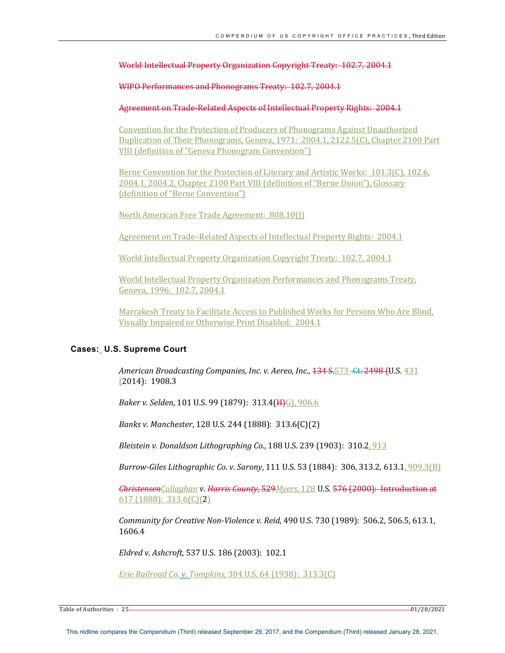World Intellectual Property Organization Copyright Treaty: 102.7, 2004.1

WIPO Performances and Phonograms Treaty: 102.7, 2004.1

Agreement on Trade-Related Aspects of Intellectual Property Rights: 2004.1

Convention for the Protection of Producers of Phonograms Against Unauthorized Duplication of Their Phonograms, Geneva, 1971: 2004.1, 2122.5(C), Chapter 2100 Part VIII (definition of "Geneva Phonogram Convention")

Berne Convention for the Protection of Literary and Artistic Works: 101.3(C), 102.6, 2004.1, 2004.2, Chapter 2100 Part VIII (definition of "Berne Union"), Glossary (definition of "Berne Convention")

North American Free Trade Agreement: 808.10(I)

Agreement on Trade–Related Aspects of Intellectual Property Rights: 2004.1

World Intellectual Property Organization Copyright Treaty: 102.7, 2004.1

World Intellectual Property Organization Performances and Phonograms Treaty, Geneva, 1996: 102.7, 2004.1

Marrakesh Treaty to Facilitate Access to Published Works for Persons Who Are Blind, Visually Impaired or Otherwise Print Disabled: 2004.1

#### **Cases: U.S. Supreme Court**

*American Broadcasting Companies, Inc. v. Aereo, Inc.*,  $134 S$ <sub>573</sub> Ct. 2498 (U.S. 431  $(2014): 1908.3$ 

*Baker v. Selden,* 101 U.S. 99 (1879): 313.4(H)G), 906.6

*Banks v. Manchester,* 128 U.S. 244 (1888): 313.6(C)(2)

*Bleistein v. Donaldson Lithographing Co.*, 188 U.S. 239 (1903): 310.2, 913

*Burrow-Giles Lithographic Co. v. Sarony*, 111 U.S. 53 (1884): 306, 313.2, 613.1, 909.3(B)

*ChristensenCallaghan* v. *Harris County*, 529*Myers*, 128 U.S. 576 (2000): Introduction at  $617(1888): 313.6(C)(2)$ 

*Community for Creative Non-Violence v. Reid,* 490 U.S. 730 (1989): 506.2, 506.5, 613.1, 1606.4

*Eldred v. Ashcroft*, 537 U.S. 186 (2003): 102.1

*Erie Railroad Co. v. Tompkins, 304 U.S. 64 (1938): 313.3(C)* 

Table of Authorities : 25 01/28/2021

This redline compares the Compendium (Third) released September 29, 2017, and the Compendium (Third) released January 28, 2021.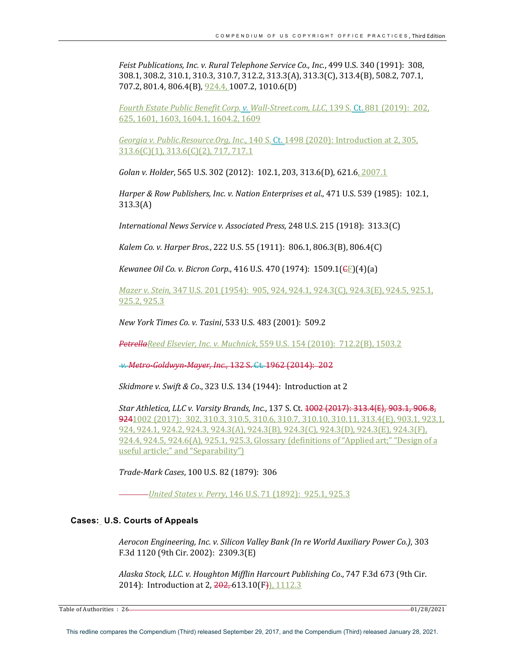*Feist Publications, Inc. v. Rural Telephone Service Co., Inc., 499 U.S.* 340 (1991): 308, 308.1, 308.2, 310.1, 310.3, 310.7, 312.2, 313.3(A), 313.3(C), 313.4(B), 508.2, 707.1, 707.2, 801.4, 806.4(B), 924.4, 1007.2, 1010.6(D)

*Fourth Estate Public Benefit Corp. v. Wall-Street.com, LLC,* 139 S. Ct. 881 (2019): 202, 625, 1601, 1603, 1604.1, 1604.2, 1609

*Georgia v. Public.Resource.Org, Inc*., 140 S. Ct. 1498 (2020): Introduction at 2, 305,  $313.6(C)(1), 313.6(C)(2), 717, 717.1$ 

*Golan v. Holder*, 565 U.S. 302 (2012): 102.1, 203, 313.6(D), 621.6, 2007.1

*Harper & Row Publishers, Inc. v. Nation Enterprises et al., 471 U.S.* 539 (1985): 102.1, 313.3(A)

*International News Service v. Associated Press,* 248 U.S. 215 (1918): 313.3(C)

*Kalem Co. v. Harper Bros.*, 222 U.S. 55 (1911):  $806.1, 806.3(B)$ ,  $806.4(C)$ 

*Kewanee Oil Co. v. Bicron Corp.*, 416 U.S. 470 (1974): 1509.1(<del>C</del>F)(4)(a)

*Mazer v. Stein*, 347 U.S. 201 (1954): 905, 924, 924.1, 924.3(C), 924.3(E), 924.5, 925.1, 925.3

*New York Times Co. v. Tasini*, 533 U.S. 483 (2001): 509.2

**Petrella**Reed Elsevier, Inc. v. Muchnick, 559 U.S. 154 (2010): 712.2(B), 1503.2

*+ Metro-Goldwyn-Mayer, Inc., 132 S. Ct. 1962 (2014): 202* 

*Skidmore v. Swift & Co.*, 323 U.S. 134 (1944): Introduction at 2

*Star Athletica, LLC v. Varsity Brands, Inc., 137 S. Ct. <del>1002 (2017): 313.4(E), 903.1, 906.8,</del>* 9241002 (2017): 302, 310.3, 310.5, 310.6, 310.7, 310.10, 310.11, 313.4(E), 903.1, 923.1, 924, 924.1, 924.2, 924.3, 924.3(A), 924.3(B), 924.3(C), 924.3(D), 924.3(E), 924.3(F),  $924.4, 924.5, 924.6(A), 925.1, 925.3, Glossary (definitions of "Applied art;" "Design of a$ useful article;" and "Separability")

*Trade-Mark Cases*, 100 U.S. 82 (1879): 306 

*United States v. Perry*, 146 U.S. 71 (1892): 925.1, 925.3

#### **Cases: U.S. Courts of Appeals**

*Aerocon Engineering, Inc. v. Silicon Valley Bank (In re World Auxiliary Power Co.),* 303 F.3d 1120 (9th Cir. 2002): 2309.3(E)

Alaska Stock, LLC. v. Houghton Mifflin Harcourt Publishing Co., 747 F.3d 673 (9th Cir. 2014): Introduction at 2, 202, 613.10(F), 1112.3

Table of Authorities : 26 01/28/2021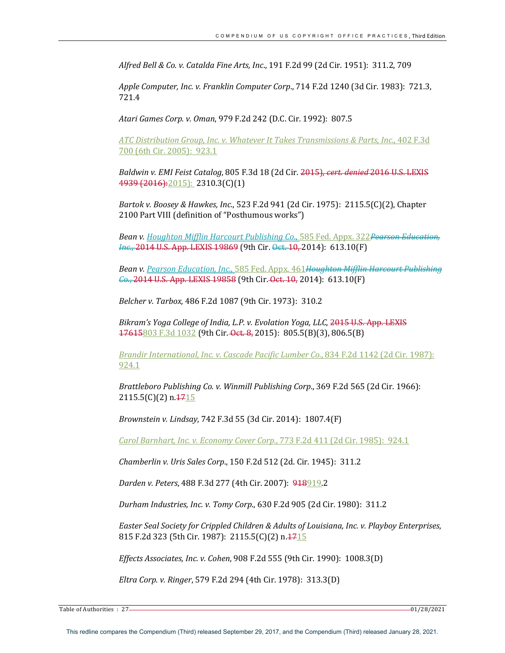*Alfred Bell & Co. v. Catalda Fine Arts, Inc*., 191 F.2d 99 (2d Cir. 1951): 311.2, 709

*Apple Computer, Inc. v. Franklin Computer Corp.*, 714 F.2d 1240 (3d Cir. 1983): 721.3, 721.4

*Atari Games Corp. v. Oman*, 979 F.2d 242 (D.C. Cir. 1992): 807.5

*ATC Distribution Group, Inc. v. Whatever It Takes Transmissions & Parts, Inc.*, 402 F.3d 700 (6th Cir. 2005): 923.1

*Baldwin v. EMI Feist Catalog, 805 F.3d 18 (2d Cir. <del>2015), cert. denied 2016 U.S. LEXIS</del>* 4939 (2016): 2015): 2310.3(C)(1)

*Bartok v. Boosey & Hawkes, Inc.*, 523 F.2d 941 (2d Cir. 1975): 2115.5(C)(2), Chapter 2100 Part VIII (definition of "Posthumous works")

**Bean v.** Houghton Mifflin Harcourt Publishing Co., 585 Fed. Appx. 322<del>Pearson Education,</del> *Inc.*, 2014 U.S. App. LEXIS 19869 (9th Cir. <del>Oct. 10,</del> 2014): 613.10(F)

*Bean v. Pearson Education, Inc.,* 585 Fed. Appx. 461Houghton Mifflin Harcourt Publishing *Co.*, 2014 U.S. App. LEXIS 19858 (9th Cir. Oct. 10, 2014): 613.10(F)

*Belcher v. Tarbox,* 486 F.2d 1087 (9th Cir. 1973): 310.2

Bikram's Yoga College of India, L.P. v. Evolation Yoga, LLC, 2015 U.S. App. LEXIS  $17615803$  F.3d  $1032$  (9th Cir. Oct. 8, 2015):  $805.5(B)(3)$ ,  $806.5(B)$ 

*Brandir International, Inc. v. Cascade Pacific Lumber Co.,* 834 F.2d 1142 (2d Cir. 1987): 924.1

*Brattleboro Publishing Co. v. Winmill Publishing Corp.*, 369 F.2d 565 (2d Cir. 1966):  $2115.5(C)(2) n.1715$ 

*Brownstein v. Lindsay*, 742 F.3d 55 (3d Cir. 2014): 1807.4(F)

*Carol Barnhart, Inc. v. Economy Cover Corp.*, 773 F.2d 411 (2d Cir. 1985): 924.1

*Chamberlin v. Uris Sales Corp.*, 150 F.2d 512 (2d. Cir. 1945): 311.2

*Darden v. Peters,* 488 F.3d 277 (4th Cir. 2007): 918919.2

*Durham Industries, Inc. v. Tomy Corp*., 630 F.2d 905 (2d Cir. 1980): 311.2

*Easter Seal Society for Crippled Children & Adults of Louisiana, Inc. v. Playboy Enterprises,* 815 F.2d 323 (5th Cir. 1987): 2115.5(C)(2) n. 1715

*Effects Associates, Inc. v. Cohen,* 908 F.2d 555 (9th Cir. 1990): 1008.3(D)

*Eltra Corp. v. Ringer*, 579 F.2d 294 (4th Cir. 1978): 313.3(D)

Table of Authorities : 27 01/28/2021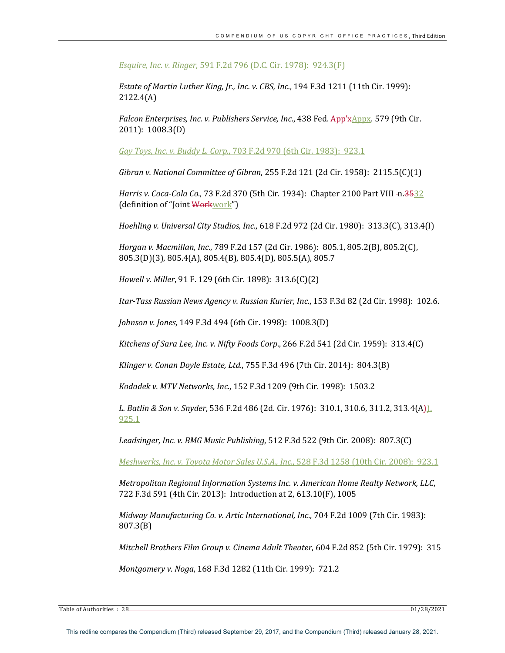*Esquire, Inc. v. Ringer,* 591 F.2d 796 (D.C. Cir. 1978): 924.3(F)

*Estate of Martin Luther King, Jr., Inc. v. CBS, Inc.,* 194 F.3d 1211 (11th Cir. 1999): 2122.4(A)

*Falcon Enterprises, Inc. v. Publishers Service, Inc., 438 Fed. App'xAppx.* 579 (9th Cir. 2011): 1008.3(D)

*Gay Toys, Inc. v. Buddy L. Corp.*, 703 F.2d 970 (6th Cir. 1983): 923.1

*Gibran v. National Committee of Gibran,* 255 F.2d 121 (2d Cir. 1958): 2115.5(C)(1)

*Harris v. Coca-Cola Co.,* 73 F.2d 370 (5th Cir. 1934): Chapter 2100 Part VIII -n.3532 (definition of "Joint Workwork")

*Hoehling v. Universal City Studios, Inc.*, 618 F.2d 972 (2d Cir. 1980): 313.3(C), 313.4(I)

*Horgan v. Macmillan, Inc.,* 789 F.2d 157 (2d Cir. 1986): 805.1, 805.2(B), 805.2(C), 805.3(D)(3), 805.4(A), 805.4(B), 805.4(D), 805.5(A), 805.7

*Howell v. Miller*, 91 F. 129 (6th Cir. 1898): 313.6(C)(2)

*Itar-Tass Russian News Agency v. Russian Kurier, Inc.*, 153 F.3d 82 (2d Cir. 1998): 102.6.

*Johnson v. Jones,* 149 F.3d 494 (6th Cir. 1998): 1008.3(D)

*Kitchens of Sara Lee, Inc. v. Nifty Foods Corp.*, 266 F.2d 541 (2d Cir. 1959): 313.4(C)

*Klinger v. Conan Doyle Estate, Ltd.,* 755 F.3d 496 (7th Cir. 2014): 804.3(B)

*Kodadek v. MTV Networks, Inc.*, 152 F.3d 1209 (9th Cir. 1998): 1503.2

*L. Batlin & Son v. Snyder*, 536 F.2d 486 (2d. Cir. 1976): 310.1, 310.6, 311.2, 313.4(A)], 925.1

*Leadsinger, Inc. v. BMG Music Publishing,* 512 F.3d 522 (9th Cir. 2008): 807.3(C)

*Meshwerks, Inc. v. Toyota Motor Sales U.S.A., Inc.*, 528 F.3d 1258 (10th Cir. 2008): 923.1

*Metropolitan Regional Information Systems Inc. v. American Home Realty Network, LLC,* 722 F.3d 591 (4th Cir. 2013): Introduction at 2, 613.10(F), 1005

*Midway Manufacturing Co. v. Artic International, Inc., 704 F.2d 1009 (7th Cir. 1983):* 807.3(B)

*Mitchell Brothers Film Group v. Cinema Adult Theater,* 604 F.2d 852 (5th Cir. 1979): 315

*Montgomery v. Noga,* 168 F.3d 1282 (11th Cir. 1999): 721.2

Table of Authorities : 28 01/28/2021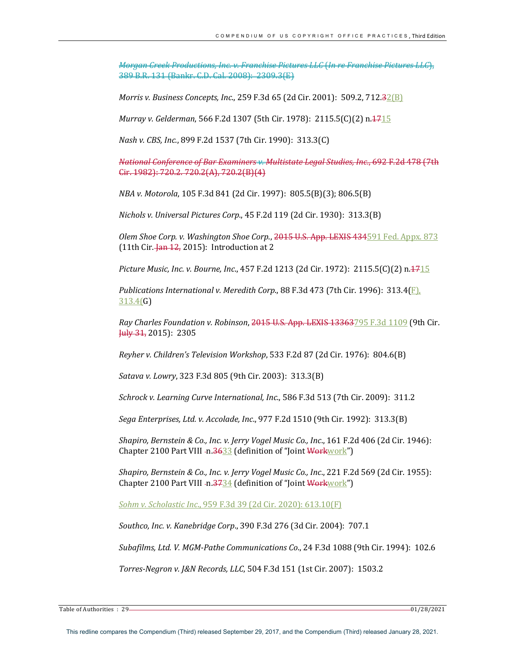*Morgan Creek Productions, Inc. v. Franchise Pictures LLC* (*In re Franchise Pictures LLC*), 389 B.R. 131 (Bankr. C.D. Cal. 2008): 2309.3(E) 

*Morris v. Business Concepts, Inc.,* 259 F.3d 65 (2d Cir. 2001): 509.2, 712.32(B)

*Murray v. Gelderman,* 566 F.2d 1307 (5th Cir. 1978): 2115.5(C)(2) n.4715

*Nash v. CBS, Inc.*, 899 F.2d 1537 (7th Cir. 1990): 313.3(C)

*National Conference of Bar Examiners v. Multistate Legal Studies, Inc.*, 692 F.2d 478 (7th Cir. 1982): 720.2. 720.2(A), 720.2(B)(4)

*NBA* v. *Motorola*, 105 F.3d 841 (2d Cir. 1997): 805.5(B)(3); 806.5(B)

*Nichols v. Universal Pictures Corp.*, 45 F.2d 119 (2d Cir. 1930): 313.3(B)

Olem Shoe Corp. v. Washington Shoe Corp., 2015 U.S. App. LEXIS 434591 Fed. Appx. 873 (11th Cir.  $\frac{1}{2}$  an 12, 2015): Introduction at 2

*Picture Music, Inc. v. Bourne, Inc.,* 457 F.2d 1213 (2d Cir. 1972): 2115.5(C)(2) n.<del>17</del>15

*Publications International v. Meredith Corp.*, 88 F.3d 473 (7th Cir. 1996):  $313.4(F)$ , 313.4(G)

*Ray Charles Foundation v. Robinson, 2015* U.S. App. LEXIS 13363795 F.3d 1109 (9th Cir.  $\frac{\text{Hily 31}}{2015}$ : 2305

*Reyher v. Children's Television Workshop*, 533 F.2d 87 (2d Cir. 1976): 804.6(B)

*Satava v. Lowry*, 323 F.3d 805 (9th Cir. 2003): 313.3(B)

*Schrock v. Learning Curve International, Inc.*, 586 F.3d 513 (7th Cir. 2009): 311.2

*Sega Enterprises, Ltd. v. Accolade, Inc.*, 977 F.2d 1510 (9th Cir. 1992): 313.3(B)

*Shapiro, Bernstein & Co., Inc. v. Jerry Vogel Music Co., Inc., 161 F.2d 406 (2d Cir. 1946):* Chapter 2100 Part VIII -n.3633 (definition of "Joint Workwork")

*Shapiro, Bernstein & Co., Inc. v. Jerry Vogel Music Co., Inc., 221 F.2d* 569 (2d Cir. 1955): Chapter 2100 Part VIII -n. $\frac{3734}{4}$  (definition of "Joint Workwork")

*Sohm v. Scholastic Inc.*, 959 F.3d 39 (2d Cir. 2020): 613.10(F)

*Southco, Inc. v. Kanebridge Corp*., 390 F.3d 276 (3d Cir. 2004): 707.1

*Subafilms, Ltd. V. MGM-Pathe Communications Co.,* 24 F.3d 1088 (9th Cir. 1994): 102.6

*Torres-Negron v. J&N Records, LLC*, 504 F.3d 151 (1st Cir. 2007): 1503.2

Table of Authorities : 29 01/28/2021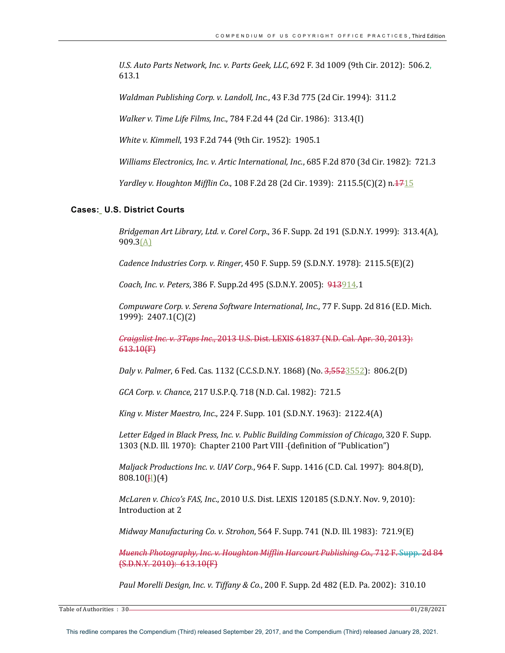*U.S. Auto Parts Network, Inc. v. Parts Geek, LLC*, 692 F. 3d 1009 (9th Cir. 2012): 506.2, 613.1

*Waldman Publishing Corp. v. Landoll, Inc.*, 43 F.3d 775 (2d Cir. 1994): 311.2

*Walker v. Time Life Films, Inc.,* 784 F.2d 44 (2d Cir. 1986): 313.4(I)

*White v. Kimmell,* 193 F.2d 744 (9th Cir. 1952): 1905.1

*Williams Electronics, Inc. v. Artic International, Inc.,* 685 F.2d 870 (3d Cir. 1982): 721.3

*Yardley v. Houghton Mifflin Co.*, 108 F.2d 28 (2d Cir. 1939): 2115.5(C)(2) n.<del>17</del>15

#### **Cases: U.S. District Courts**

*Bridgeman Art Library, Ltd. v. Corel Corp*., 36 F. Supp. 2d 191 (S.D.N.Y. 1999): 313.4(A), 909.3(A)

*Cadence Industries Corp. v. Ringer,* 450 F. Supp. 59 (S.D.N.Y. 1978): 2115.5(E)(2)

*Coach, Inc. v. Peters,* 386 F. Supp.2d 495 (S.D.N.Y. 2005): 913914.1

*Compuware Corp. v. Serena Software International, Inc., 77 F. Supp. 2d 816 (E.D. Mich.* 1999): 2407.1(C)(2)

*Craigslist Inc. v. 3Taps Inc., 2013 U.S. Dist. LEXIS 61837 (N.D. Cal. Apr. 30, 2013):* 613.10(F)

*Daly v. Palmer*, 6 Fed. Cas. 1132 (C.C.S.D.N.Y. 1868) (No. 3,5523552): 806.2(D)

*GCA Corp. v. Chance*, 217 U.S.P.Q. 718 (N.D. Cal. 1982): 721.5

*King v. Mister Maestro, Inc.,* 224 F. Supp. 101 (S.D.N.Y. 1963): 2122.4(A)

Letter Edged in Black Press, Inc. v. Public Building Commission of Chicago, 320 F. Supp. 1303 (N.D. Ill. 1970): Chapter 2100 Part VIII - (definition of "Publication")

*Maljack Productions Inc. v. UAV Corp.*, 964 F. Supp. 1416 (C.D. Cal. 1997): 804.8(D),  $808.10$ (H)(4)

*McLaren v. Chico's FAS, Inc.,* 2010 U.S. Dist. LEXIS 120185 (S.D.N.Y. Nov. 9, 2010): Introduction at 2

*Midway Manufacturing Co. v. Strohon,* 564 F. Supp. 741 (N.D. Ill. 1983): 721.9(E)

*Muench Photography, Inc. v. Houghton Mifflin Harcourt Publishing Co.,* 712 F. Supp. 2d 84  $(S.D.N.Y. 2010): 613.10(F)$ 

Paul Morelli Design, Inc. v. Tiffany & Co., 200 F. Supp. 2d 482 (E.D. Pa. 2002): 310.10

Table of Authorities : 30 01/28/2021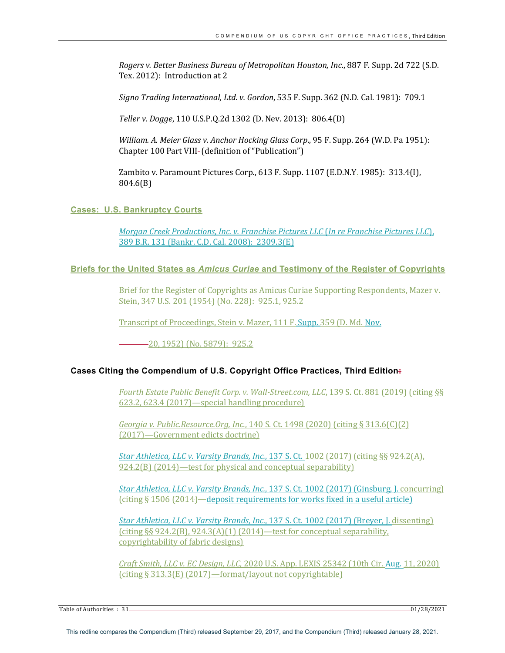*Rogers v. Better Business Bureau of Metropolitan Houston, Inc.,* 887 F. Supp. 2d 722 (S.D. Tex. 2012): Introduction at 2

*Signo Trading International, Ltd. v. Gordon,* 535 F. Supp. 362 (N.D. Cal. 1981): 709.1

*Teller v. Dogge*, 110 U.S.P.Q.2d 1302 (D. Nev. 2013): 806.4(D)

*William. A. Meier Glass v. Anchor Hocking Glass Corp.*, 95 F. Supp. 264 (W.D. Pa 1951): Chapter 100 Part VIII- (definition of "Publication")

Zambito v. Paramount Pictures Corp., 613 F. Supp. 1107 (E.D.N.Y. 1985): 313.4(I), 804.6(B)

**Cases: U.S. Bankruptcy Courts**

*Morgan Creek Productions, Inc. v. Franchise Pictures LLC* (*In re Franchise Pictures LLC*), 389 B.R. 131 (Bankr. C.D. Cal. 2008): 2309.3(E)

## **Briefs for the United States as** *Amicus Curiae* **and Testimony of the Register of Copyrights**

Brief for the Register of Copyrights as Amicus Curiae Supporting Respondents, Mazer v. Stein, 347 U.S. 201 (1954) (No. 228): 925.1, 925.2

Transcript of Proceedings, Stein v. Mazer, 111 F. Supp. 359 (D. Md. Nov.

 $-20, 1952$ ) (No. 5879): 925.2

## **Cases Citing the Compendium of U.S. Copyright Office Practices, Third Edition:**

*Fourth Estate Public Benefit Corp. v. Wall-Street.com, LLC, 139 S. Ct. 881 (2019)* (citing §§  $623.2, 623.4$   $(2017)$ —special handling procedure)

*Georgia v. Public.Resource.Org, Inc.,* 140 S. Ct. 1498 (2020) (citing § 313.6(C)(2) (2017)—Government edicts doctrine)

*Star Athletica, LLC v. Varsity Brands, Inc.*, 137 S. Ct. 1002 (2017) (citing §§ 924.2(A),  $924.2(B)$  (2014)—test for physical and conceptual separability)

*Star Athletica, LLC v. Varsity Brands, Inc.,* 137 S. Ct. 1002 (2017) (Ginsburg, J. concurring) (citing  $\S$  1506 (2014)—deposit requirements for works fixed in a useful article)

*Star Athletica, LLC v. Varsity Brands, Inc.,* 137 S. Ct. 1002 (2017) (Breyer, J. dissenting) (citing  $\S$ § 924.2(B), 924.3(A)(1) (2014)—test for conceptual separability, copyrightability of fabric designs)

*Craft Smith, LLC v. EC Design, LLC*, 2020 U.S. App. LEXIS 25342 (10th Cir. Aug. 11, 2020) (citing  $\S 313.3(E)$  (2017)—format/layout not copyrightable)

Table of Authorities : 31 01/28/2021 **128/2021**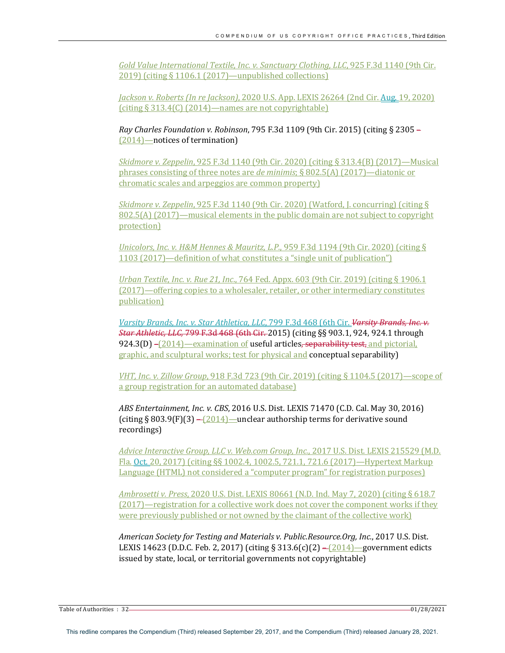*Gold Value International Textile, Inc. v. Sanctuary Clothing, LLC*, 925 F.3d 1140 (9th Cir. 2019) (citing  $\S 1106.1$  (2017)—unpublished collections)

*Jackson v. Roberts (In re Jackson)*, 2020 U.S. App. LEXIS 26264 (2nd Cir. Aug. 19, 2020)  $(citing § 313.4(C) (2014)$ —names are not copyrightable)

*Ray Charles Foundation v. Robinson, 795 F.3d 1109* (9th Cir. 2015) (citing § 2305 –  $(2014)$  -notices of termination)

*Skidmore v. Zeppelin*, 925 F.3d 1140 (9th Cir. 2020) (citing § 313.4(B) (2017)—Musical phrases consisting of three notes are *de minimis*; § 802.5(A) (2017)—diatonic or chromatic scales and arpeggios are common property)

*Skidmore v. Zeppelin*,  $925$  F.3d 1140 (9th Cir. 2020) (Watford, J. concurring) (citing  $\S$  $802.5(A)$  (2017)—musical elements in the public domain are not subject to copyright protection)

*Unicolors, Inc. v. H&M Hennes & Mauritz, L.P.*, 959 F.3d 1194 (9th Cir. 2020) (citing § 1103 (2017)—definition of what constitutes a "single unit of publication")

*Urban Textile, Inc. v. Rue 21, Inc.*, 764 Fed. Appx. 603 (9th Cir. 2019) (citing § 1906.1 (2017)—offering copies to a wholesaler, retailer, or other intermediary constitutes publication)

*Varsity Brands, Inc. v. Star Athletica, LLC, 799 F.3d 468 (6th Cir. Varsity Brands, Inc. v. Star Athletic, LLC, 799 F.3d 468 (6th Cir. 2015)* (citing §§ 903.1, 924, 924.1 through 924.3(D) –(2014)—examination of useful articles, separability test, and pictorial, graphic, and sculptural works; test for physical and **conceptual separability**)

*VHT, Inc. v. Zillow Group*, 918 F.3d 723 (9th Cir. 2019) (citing § 1104.5 (2017)—scope of a group registration for an automated database)

*ABS Entertainment, Inc. v. CBS, 2016 U.S. Dist. LEXIS 71470 (C.D. Cal. May 30, 2016)* (citing § 803.9(F)(3) –  $\left( \frac{2014}{1} \right)$  – unclear authorship terms for derivative sound recordings)

*Advice Interactive Group, LLC v. Web.com Group, Inc., 2017 U.S. Dist. LEXIS 215529 (M.D.* Fla. Oct. 20, 2017) (citing §§ 1002.4, 1002.5, 721.1, 721.6 (2017)—Hypertext Markup Language (HTML) not considered a "computer program" for registration purposes)

*Ambrosetti v. Press*, 2020 U.S. Dist. LEXIS 80661 (N.D. Ind. May 7, 2020) (citing § 618.7  $(2017)$ —registration for a collective work does not cover the component works if they were previously published or not owned by the claimant of the collective work)

*American Society for Testing and Materials v. Public.Resource.Org, Inc., 2017 U.S. Dist.* LEXIS 14623 (D.D.C. Feb. 2, 2017) (citing § 313.6(c)(2) –  $(2014)$  – government edicts issued by state, local, or territorial governments not copyrightable)

Table of Authorities : 32 01/28/2021 **COVERSITY 2012**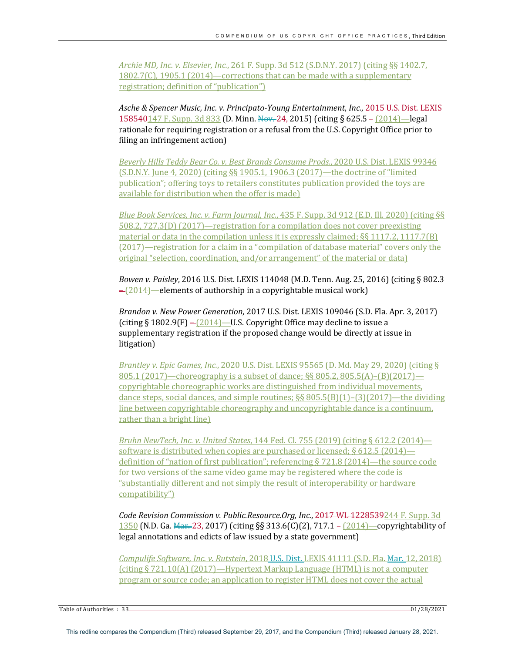*Archie MD, Inc. v. Elsevier, Inc.,* 261 F. Supp. 3d 512 (S.D.N.Y. 2017) (citing §§ 1402.7, 1802.7(C), 1905.1 (2014)—corrections that can be made with a supplementary registration; definition of "publication")

Asche & Spencer Music, Inc. v. Principato-Young Entertainment, Inc., 2015 U.S. Dist. LEXIS 158540147 F. Supp. 3d 833 (D. Minn. Nov. 24, 2015) (citing § 625.5 –  $(2014)$ —legal rationale for requiring registration or a refusal from the U.S. Copyright Office prior to filing an infringement action)

Beverly Hills Teddy Bear Co. v. Best Brands Consume Prods., 2020 U.S. Dist. LEXIS 99346  $(S.D.N.Y. June 4, 2020)$  (citing  $\S$ § 1905.1, 1906.3 (2017)—the doctrine of "limited publication"; offering toys to retailers constitutes publication provided the toys are available for distribution when the offer is made)

*Blue Book Services, Inc. v. Farm Journal, Inc.,* 435 F. Supp. 3d 912 (E.D. Ill. 2020) (citing §§  $508.2, 727.3(D)$  (2017)—registration for a compilation does not cover preexisting material or data in the compilation unless it is expressly claimed;  $\S$ § 1117.2, 1117.7(B)  $(2017)$ —registration for a claim in a "compilation of database material" covers only the original "selection, coordination, and/or arrangement" of the material or data)

*Bowen v. Paisley*, 2016 U.S. Dist. LEXIS 114048 (M.D. Tenn. Aug. 25, 2016) (citing § 802.3  $-\frac{2014}{2014}$  elements of authorship in a copyrightable musical work)

*Brandon v. New Power Generation,* 2017 U.S. Dist. LEXIS 109046 (S.D. Fla. Apr. 3, 2017) (citing  $\S 1802.9(F) - (2014)$  – U.S. Copyright Office may decline to issue a supplementary registration if the proposed change would be directly at issue in litigation)

*Brantley v. Epic Games, Inc.,* 2020 U.S. Dist. LEXIS 95565 (D. Md. May 29, 2020) (citing § 805.1 (2017)—choreography is a subset of dance;  $\S$ § 805.2, 805.5(A)–(B)(2017) copyrightable choreographic works are distinguished from individual movements, dance steps, social dances, and simple routines;  $\S$ § 805.5(B)(1)–(3)(2017)—the dividing line between copyrightable choreography and uncopyrightable dance is a continuum, rather than a bright line)

*Bruhn NewTech, Inc. v. United States,* 144 Fed. Cl. 755 (2019) (citing § 612.2 (2014) software is distributed when copies are purchased or licensed;  $\S 612.5$  (2014) definition of "nation of first publication"; referencing  $\S 721.8$  (2014)—the source code for two versions of the same video game may be registered where the code is "substantially different and not simply the result of interoperability or hardware compatibility")

*Code Revision Commission v. Public.Resource.Org, Inc., 2017* **WL 1228539**244 F. Supp. 3d 1350 (N.D. Ga.  $\frac{1250}{1350}$  (N.D. Ga.  $\frac{123}{1300}$  (Citing §§ 313.6(C)(2), 717.1 – [2014] – copyrightability of legal annotations and edicts of law issued by a state government)

*Compulife Software, Inc. v. Rutstein, 2018 U.S. Dist. LEXIS* 41111 (S.D. Fla. Mar. 12, 2018)  $(citing § 721.10(A) (2017)$ —Hypertext Markup Language (HTML) is not a computer program or source code; an application to register HTML does not cover the actual

Table of Authorities : 33 01/28/2021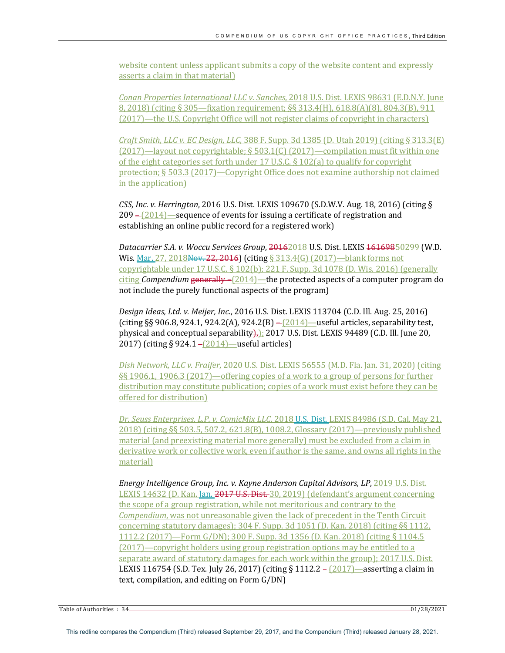website content unless applicant submits a copy of the website content and expressly asserts a claim in that material)

*Conan Properties International LLC v. Sanches, 2018 U.S. Dist. LEXIS* 98631 (E.D.N.Y. June 8, 2018) (citing § 305—fixation requirement;  $\S$ § 313.4(H), 618.8(A)(8), 804.3(B), 911 (2017)—the U.S. Copyright Office will not register claims of copyright in characters)

*Craft Smith, LLC v. EC Design, LLC,* 388 F. Supp. 3d 1385 (D. Utah 2019) (citing § 313.3(E)  $(2017)$ —layout not copyrightable; § 503.1(C) (2017)—compilation must fit within one of the eight categories set forth under  $17$  U.S.C. §  $102(a)$  to qualify for copyright protection; § 503.3 (2017)—Copyright Office does not examine authorship not claimed in the application)

*CSS, Inc. v. Herrington,* 2016 U.S. Dist. LEXIS 109670 (S.D.W.V. Aug. 18, 2016) (citing §  $209 - (2014)$  – sequence of events for issuing a certificate of registration and establishing an online public record for a registered work)

Datacarrier S.A. v. Woccu Services Group, 20162018 U.S. Dist. LEXIS 16169850299 (W.D. Wis. Mar. 27, 2018Nov. 22, 2016) (citing  $\S$  313.4(G) (2017)—blank forms not copyrightable under  $17$  U.S.C. §  $102(b)$ ;  $221$  F. Supp. 3d  $1078$  (D. Wis. 2016) (generally  $\frac{\text{citing}\text{}\text{Compendium}\text{}\text{generally} - (2014)$ —the protected aspects of a computer program do not include the purely functional aspects of the program)

Design Ideas, Ltd. v. Meijer, Inc., 2016 U.S. Dist. LEXIS 113704 (C.D. Ill. Aug. 25, 2016) (citing  $\S$ § 906.8, 924.1, 924.2(A), 924.2(B) – $\left[2014\right]$  –useful articles, separability test, physical and conceptual separability $\frac{1}{12}$ : 2017 U.S. Dist. LEXIS 94489 (C.D. Ill. June 20, 2017) (citing § 924.1 – $(2014)$ —useful articles)

Dish Network, LLC v. Fraifer, 2020 U.S. Dist. LEXIS 56555 (M.D. Fla. Jan. 31, 2020) (citing §§ 1906.1, 1906.3 (2017)—offering copies of a work to a group of persons for further distribution may constitute publication; copies of a work must exist before they can be offered for distribution)

Dr. Seuss Enterprises, L.P. v. ComicMix LLC, 2018 U.S. Dist. LEXIS 84986 (S.D. Cal. May 21,  $2018$ ) (citing §§ 503.5, 507.2, 621.8(B), 1008.2, Glossary (2017)—previously published material (and preexisting material more generally) must be excluded from a claim in derivative work or collective work, even if author is the same, and owns all rights in the material)

*Energy Intelligence Group, Inc. v. Kayne Anderson Capital Advisors, LP, 2019 U.S. Dist.* LEXIS 14632 (D. Kan. Jan. 2017 U.S. Dist. 30, 2019) (defendant's argument concerning the scope of a group registration, while not meritorious and contrary to the *Compendium*, was not unreasonable given the lack of precedent in the Tenth Circuit concerning statutory damages); 304 F. Supp. 3d 1051 (D. Kan. 2018) (citing §§ 1112, 1112.2 (2017)—Form G/DN); 300 F. Supp. 3d 1356 (D. Kan. 2018) (citing § 1104.5  $(2017)$ —copyright holders using group registration options may be entitled to a separate award of statutory damages for each work within the group); 2017 U.S. Dist. LEXIS 116754 (S.D. Tex. July 26, 2017) (citing  $\S 1112.2 - (2017)$ —asserting a claim in text, compilation, and editing on Form  $G/DN$ )

Table of Authorities : 34 01/28/2021 **COVERSITY COVERSITY** 01/28/2021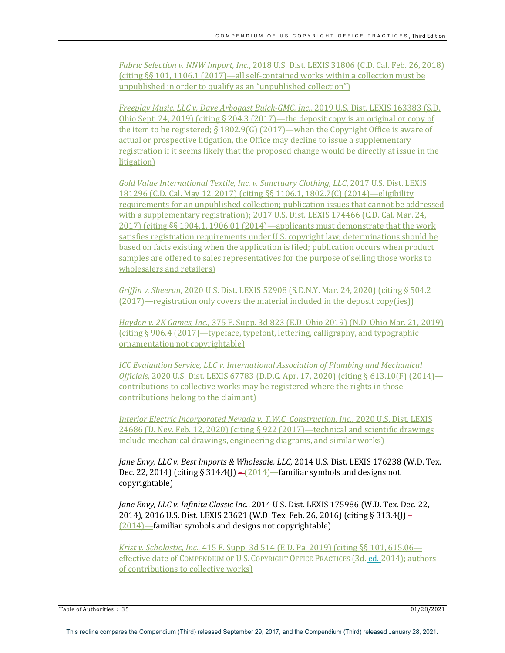*Fabric Selection v. NNW Import, Inc.*, 2018 U.S. Dist. LEXIS 31806 (C.D. Cal. Feb. 26, 2018) (citing  $\S$ § 101, 1106.1 (2017)—all self-contained works within a collection must be unpublished in order to qualify as an "unpublished collection")

*Freeplay Music, LLC v. Dave Arbogast Buick-GMC, Inc., 2019 U.S. Dist. LEXIS 163383 (S.D.*) Ohio Sept. 24, 2019) (citing  $\S$  204.3 (2017)—the deposit copy is an original or copy of the item to be registered;  $\S 1802.9(G)$  (2017)—when the Copyright Office is aware of actual or prospective litigation, the Office may decline to issue a supplementary registration if it seems likely that the proposed change would be directly at issue in the litigation)

*Gold Value International Textile, Inc. v. Sanctuary Clothing, LLC, 2017 U.S. Dist. LEXIS* 181296 (C.D. Cal. May 12, 2017) (citing §§ 1106.1, 1802.7(C) (2014)—eligibility requirements for an unpublished collection; publication issues that cannot be addressed with a supplementary registration); 2017 U.S. Dist. LEXIS 174466 (C.D. Cal. Mar. 24, 2017) (citing §§ 1904.1, 1906.01 (2014)—applicants must demonstrate that the work satisfies registration requirements under U.S. copyright law; determinations should be based on facts existing when the application is filed; publication occurs when product samples are offered to sales representatives for the purpose of selling those works to wholesalers and retailers)

*Griffin v. Sheeran, 2020 U.S. Dist. LEXIS* 52908 (S.D.N.Y. Mar. 24, 2020) (citing § 504.2  $(2017)$ —registration only covers the material included in the deposit copy(ies))

*Hayden v. 2K Games, Inc.*, 375 F. Supp. 3d 823 (E.D. Ohio 2019) (N.D. Ohio Mar. 21, 2019) (citing  $\S 906.4$  (2017)—typeface, typefont, lettering, calligraphy, and typographic ornamentation not copyrightable)

*<i>ICC* Evaluation Service, LLC v. International Association of Plumbing and Mechanical *Officials*, 2020 U.S. Dist. LEXIS 67783 (D.D.C. Apr. 17, 2020) (citing § 613.10(F) (2014) contributions to collective works may be registered where the rights in those contributions belong to the claimant)

*Interior Electric Incorporated Nevada v. T.W.C. Construction, Inc., 2020 U.S. Dist. LEXIS* 24686 (D. Nev. Feb. 12, 2020) (citing § 922 (2017)—technical and scientific drawings include mechanical drawings, engineering diagrams, and similar works)

*Jane Envy, LLC v. Best Imports & Wholesale, LLC, 2014 U.S. Dist. LEXIS 176238 (W.D. Tex.* Dec. 22, 2014) (citing  $\S 314.4$ (J) – $(2014)$  – familiar symbols and designs not copyrightable)

Jane Envy, LLC v. Infinite Classic Inc., 2014 U.S. Dist. LEXIS 175986 (W.D. Tex. Dec. 22, 2014), 2016 U.S. Dist. LEXIS 23621 (W.D. Tex. Feb. 26, 2016) (citing § 313.4(J) –  $(2014)$  -familiar symbols and designs not copyrightable)

*Krist v. Scholastic, Inc.*, 415 F. Supp. 3d 514 (E.D. Pa. 2019) (citing §§ 101, 615.06 effective date of COMPENDIUM OF U.S. COPYRIGHT OFFICE PRACTICES (3d. ed. 2014); authors of contributions to collective works)

Table of Authorities : 35 <u>2002 1</u> 28/2021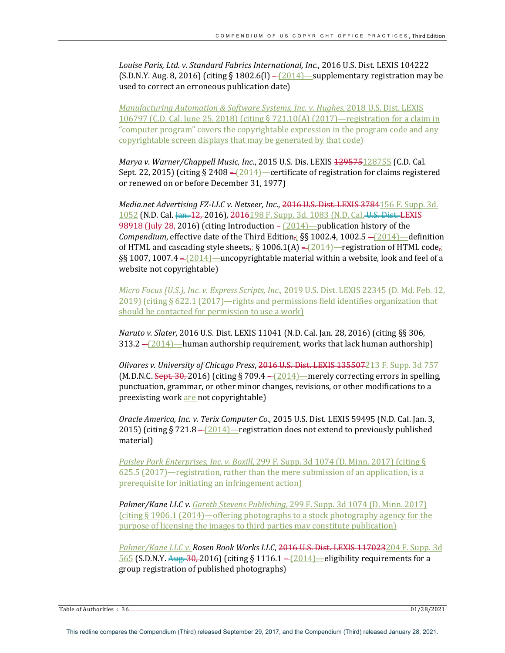Louise Paris, Ltd. v. Standard Fabrics International, Inc., 2016 U.S. Dist. LEXIS 104222  $(S.D.N.Y. Aug. 8, 2016)$  (citing § 1802.6(I) –  $(2014)$  – supplementary registration may be used to correct an erroneous publication date)

*Manufacturing Automation & Software Systems, Inc. v. Hughes, 2018 U.S. Dist. LEXIS* 106797 (C.D. Cal. June 25, 2018) (citing  $\S$  721.10(A) (2017)—registration for a claim in "computer program" covers the copyrightable expression in the program code and any copyrightable screen displays that may be generated by that code)

*Marya v. Warner/Chappell Music, Inc.,* 2015 U.S. Dis. LEXIS  $129575128755$  (C.D. Cal. Sept. 22, 2015) (citing § 2408  $-\sqrt{2014}$ )—certificate of registration for claims registered or renewed on or before December 31, 1977)

Media.net Advertising FZ-LLC v. Netseer, Inc., 2016 U.S. Dist. LEXIS 3784156 F. Supp. 3d. 1052 (N.D. Cal. Jan. 12, 2016), 2016198 F. Supp. 3d. 1083 (N.D. Cal. U.S. Dist. LEXIS 98918 (July 28, 2016) (citing Introduction - [2014]-publication history of the *Compendium*, effective date of the Third Edition,;  $\S$ § 1002.4, 1002.5 – (2014)—definition of HTML and cascading style sheets<sub> $\vec{i}$ </sub> § 1006.1(A) – (2014)—registration of HTML code $\vec{i}$ §§ 1007, 1007.4  $-(2014)$ —uncopyrightable material within a website, look and feel of a website not copyrightable)

*Micro Focus (U.S.), Inc. v. Express Scripts, Inc., 2019 U.S. Dist. LEXIS 22345 (D. Md. Feb. 12,* 2019) (citing  $\S 622.1$  (2017)—rights and permissions field identifies organization that should be contacted for permission to use a work)

*Naruto v. Slater*, 2016 U.S. Dist. LEXIS 11041 (N.D. Cal. Jan. 28, 2016) (citing §§ 306, 313.2  $-\frac{(2014)}{-}$ human authorship requirement, works that lack human authorship)

*Olivares v. University of Chicago Press, 2016* U.S. Dist. LEXIS 135507213 F. Supp. 3d 757 (M.D.N.C. Sept. 30, 2016) (citing § 709.4 –  $\sqrt{2014}$  – merely correcting errors in spelling, punctuation, grammar, or other minor changes, revisions, or other modifications to a preexisting work are not copyrightable)

*Oracle America, Inc. v. Terix Computer Co.*, 2015 U.S. Dist. LEXIS 59495 (N.D. Cal. Jan. 3, 2015) (citing § 721.8 –  $[2014]$  – registration does not extend to previously published material)

*Paisley Park Enterprises, Inc. v. Boxill, 299 F. Supp. 3d 1074 (D. Minn. 2017)* (citing §  $625.5$  (2017)—registration, rather than the mere submission of an application, is a prerequisite for initiating an infringement action)

*Palmer/Kane LLC v. Gareth Stevens Publishing, 299 F. Supp.* 3d 1074 (D. Minn. 2017) (citing  $\S 1906.1$  (2014)—offering photographs to a stock photography agency for the purpose of licensing the images to third parties may constitute publication)

Palmer/Kane LLC v. Rosen Book Works LLC, 2016 U.S. Dist. LEXIS 117023204 F. Supp. 3d 565 (S.D.N.Y. Aug. 30, 2016) (citing § 1116.1 – (2014)—eligibility requirements for a group registration of published photographs)

Table of Authorities : 36 01/28/2021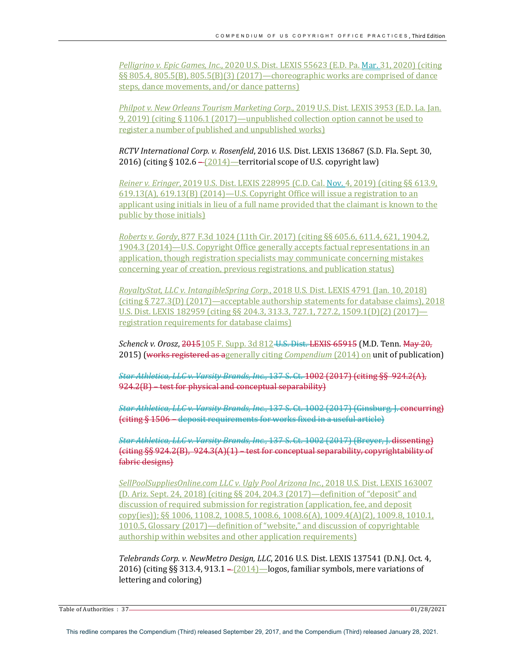*Pelligrino v. Epic Games, Inc.,* 2020 U.S. Dist. LEXIS 55623 (E.D. Pa. Mar. 31, 2020) (citing  $\S$ § 805.4, 805.5(B), 805.5(B)(3) (2017)—choreographic works are comprised of dance steps, dance movements, and/or dance patterns)

*Philpot v. New Orleans Tourism Marketing Corp.*, 2019 U.S. Dist. LEXIS 3953 (E.D. La. Jan. 9, 2019) (citing  $\S$  1106.1 (2017)—unpublished collection option cannot be used to register a number of published and unpublished works)

*RCTV* International Corp. v. Rosenfeld, 2016 U.S. Dist. LEXIS 136867 (S.D. Fla. Sept. 30, 2016) (citing § 102.6  $-\frac{(2014)}{\phantom{0}2015}$  territorial scope of U.S. copyright law)

*Reiner v. Eringer*, 2019 U.S. Dist. LEXIS 228995 (C.D. Cal. Nov. 4, 2019) (citing §§ 613.9,  $619.13(A)$ ,  $619.13(B)$   $(2014)$ —U.S. Copyright Office will issue a registration to an applicant using initials in lieu of a full name provided that the claimant is known to the public by those initials)

*Roberts v. Gordy*, 877 F.3d 1024 (11th Cir. 2017) (citing §§ 605.6, 611.4, 621, 1904.2, 1904.3 (2014)—U.S. Copyright Office generally accepts factual representations in an application, though registration specialists may communicate concerning mistakes concerning year of creation, previous registrations, and publication status)

*RoyaltyStat, LLC v. IntangibleSpring Corp.*, 2018 U.S. Dist. LEXIS 4791 (Jan. 10, 2018) (citing  $\S 727.3(D)$  (2017)—acceptable authorship statements for database claims), 2018 U.S. Dist. LEXIS 182959 (citing  $\S$ § 204.3, 313.3, 727.1, 727.2, 1509.1(D)(2) (2017) registration requirements for database claims)

*Schenck v. Orosz*, 2015105 F. Supp. 3d 812-U.S. Dist. LEXIS 65915 (M.D. Tenn. May 20, **2015)** (works registered as agenerally citing *Compendium* (2014) on unit of publication)

*Star Athletica, LLC v. Varsity Brands, Inc.*, 137 S. Ct. 1002 (2017) (citing §§ 924.2(A),  $924.2(B)$  – test for physical and conceptual separability)

**Star Athletica, LLC v. Varsity Brands, Inc., 137 S. Ct. 1002 (2017) (Ginsburg, J. concurring)** (citing § 1506 – deposit requirements for works fixed in a useful article)

*Star Athletica, LLC v. Varsity Brands, Inc., 137 S. Ct. 1002 (2017) (Breyer, J. dissenting)*  $\{\text{either }$   $\S$ § 924.2(B), 924.3(A)(1) – test for conceptual separability, copyrightability of fabric designs)

SellPoolSuppliesOnline.com LLC v. Ugly Pool Arizona Inc., 2018 U.S. Dist. LEXIS 163007 (D. Ariz. Sept. 24, 2018) (citing  $\S$  204, 204.3 (2017)—definition of "deposit" and discussion of required submission for registration (application, fee, and deposit copy(ies));  $\S$ § 1006, 1108.2, 1008.5, 1008.6, 1008.6(A), 1009.4(A)(2), 1009.8, 1010.1, 1010.5, Glossary (2017)—definition of "website," and discussion of copyrightable authorship within websites and other application requirements)

*Telebrands Corp. v. NewMetro Design, LLC*, 2016 U.S. Dist. LEXIS 137541 (D.N.J. Oct. 4, 2016) (citing  $\S$ § 313.4, 913.1 – $[2014]$  –logos, familiar symbols, mere variations of lettering and coloring)

Table of Authorities : 37 01/28/2021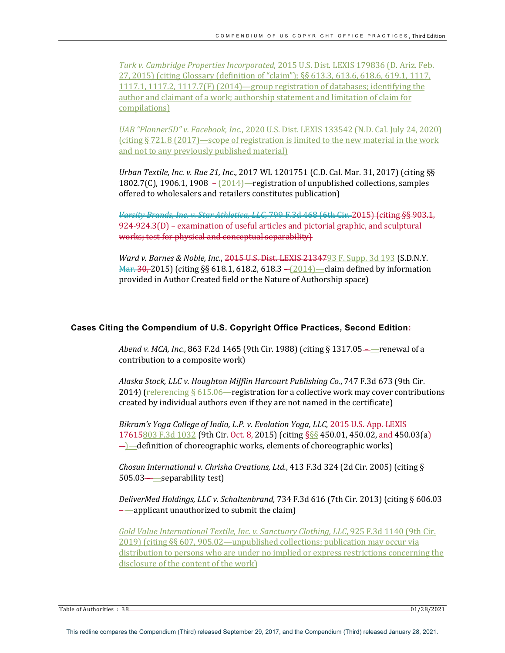*Turk v. Cambridge Properties Incorporated,* 2015 U.S. Dist. LEXIS 179836 (D. Ariz. Feb. 27, 2015) (citing Glossary (definition of "claim");  $\S$ § 613.3, 613.6, 618.6, 619.1, 1117, 1117.1, 1117.2, 1117.7(F) (2014)—group registration of databases; identifying the author and claimant of a work; authorship statement and limitation of claim for compilations)

*UAB* "Planner5D" v. Facebook, Inc., 2020 U.S. Dist. LEXIS 133542 (N.D. Cal. July 24, 2020) (citing  $\S 721.8$  (2017)—scope of registration is limited to the new material in the work and not to any previously published material)

*Urban Textile, Inc. v. Rue 21, Inc.,* 2017 WL 1201751 (C.D. Cal. Mar. 31, 2017) (citing §§ 1802.7(C), 1906.1, 1908  $-\frac{(2014)}{\ }$  registration of unpublished collections, samples offered to wholesalers and retailers constitutes publication)

Varsity Brands, Inc. v. Star Athletica, LLC, 799 F.3d 468 (6th Cir. 2015) (citing §§ 903.1, 924-924.3(D) – examination of useful articles and pictorial graphic, and sculptural works; test for physical and conceptual separability)

*Ward v. Barnes & Noble, Inc.*, 2015 U.S. Dist. LEXIS 2134793 F. Supp. 3d 193 (S.D.N.Y. Mar. 30, 2015) (citing §§ 618.1, 618.2, 618.3 – (2014)—claim defined by information provided in Author Created field or the Nature of Authorship space)

#### **Cases Citing the Compendium of U.S. Copyright Office Practices, Second Edition:**

*Abend v. MCA, Inc.*, 863 F.2d 1465 (9th Cir. 1988) (citing § 1317.05— renewal of a contribution to a composite work)

Alaska Stock, LLC v. Houghton Mifflin Harcourt Publishing Co., 747 F.3d 673 (9th Cir. 2014) (referencing  $\S 615.06$ —registration for a collective work may cover contributions created by individual authors even if they are not named in the certificate)

*Bikram's Yoga College of India, L.P. v. Evolation Yoga, LLC, 2015* U.S. App. LEXIS  $17615803$  F.3d 1032 (9th Cir. Oct. 8, 2015) (citing  $\frac{888}{1001}$  450.01, 450.02, and 450.03(a)  $\rightarrow$  definition of choreographic works, elements of choreographic works)

*Chosun International v. Chrisha Creations, Ltd.*, 413 F.3d 324 (2d Cir. 2005) (citing §  $505.03$ — $-$ separability test)

DeliverMed Holdings, LLC v. Schaltenbrand, 734 F.3d 616 (7th Cir. 2013) (citing § 606.03  $\leftarrow$  applicant unauthorized to submit the claim)

*Gold Value International Textile, Inc. v. Sanctuary Clothing, LLC*, 925 F.3d 1140 (9th Cir.  $2019$ ) (citing §§ 607, 905.02—unpublished collections; publication may occur via distribution to persons who are under no implied or express restrictions concerning the disclosure of the content of the work)

Table of Authorities : 38 01/28/2021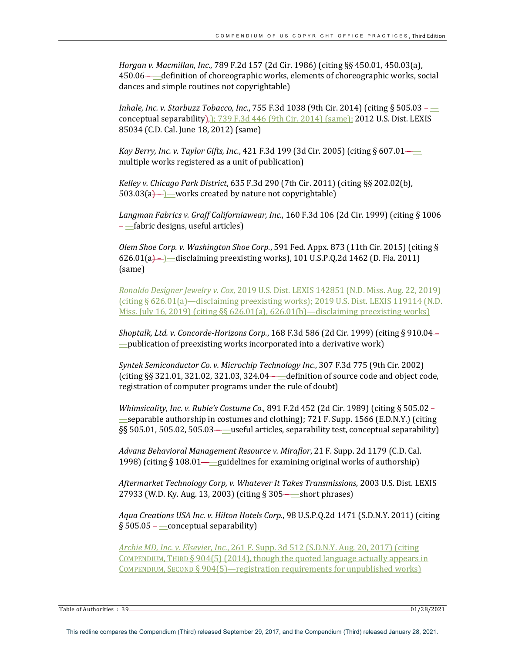*Horgan v. Macmillan, Inc.,* 789 F.2d 157 (2d Cir. 1986) (citing §§ 450.01, 450.03(a), 450.06—**—**definition of choreographic works, elements of choreographic works, social dances and simple routines not copyrightable)

*Inhale, Inc. v. Starbuzz Tobacco, Inc.*, 755 F.3d 1038 (9th Cir. 2014) (citing § 505.03 conceptual separability $\frac{1}{1}$ ; 739 F.3d 446 (9th Cir. 2014) (same); 2012 U.S. Dist. LEXIS 85034 (C.D. Cal. June 18, 2012) (same)

*Kay Berry, Inc. v. Taylor Gifts, Inc.*, 421 F.3d 199 (3d Cir. 2005) (citing § 607.01 multiple works registered as a unit of publication)

*Kelley v. Chicago Park District, 635 F.3d 290 (7th Cir. 2011)* (citing §§ 202.02(b),  $503.03(a)$  –  $\geq$  works created by nature not copyrightable)

*Langman Fabrics v. Graff Californiawear, Inc.,* 160 F.3d 106 (2d Cir. 1999) (citing § 1006  $-\underline{\hspace{-.15cm}}$ fabric designs, useful articles)

*Olem Shoe Corp. v. Washington Shoe Corp.*, 591 Fed. Appx. 873 (11th Cir. 2015) (citing § 626.01(a)— $\Box$ disclaiming preexisting works), 101 U.S.P.Q.2d 1462 (D. Fla. 2011) (same)

*Ronaldo Designer Jewelry v. Cox, 2019 U.S. Dist. LEXIS 142851 (N.D. Miss. Aug. 22, 2019)* (citing  $\S$  626.01(a)—disclaiming preexisting works); 2019 U.S. Dist. LEXIS 119114 (N.D. Miss. July 16, 2019) (citing §§ 626.01(a), 626.01(b)—disclaiming preexisting works)

*Shoptalk, Ltd. v. Concorde-Horizons Corp.*, 168 F.3d 586 (2d Cir. 1999) (citing § 910.04- $\equiv$  publication of preexisting works incorporated into a derivative work)

*Syntek Semiconductor Co. v. Microchip Technology Inc.*, 307 F.3d 775 (9th Cir. 2002) (citing  $\S$ § 321.01, 321.02, 321.03, 324.04— $\_\_\_\_\_\_\_\_\_\_\$  definition of source code and object code, registration of computer programs under the rule of doubt)

*Whimsicality, Inc. v. Rubie's Costume Co.,* 891 F.2d 452 (2d Cir. 1989) (citing § 505.02separable authorship in costumes and clothing); 721 F. Supp. 1566 (E.D.N.Y.) (citing §§ 505.01, 505.02, 505.03— useful articles, separability test, conceptual separability)

Advanz Behavioral Management Resource v. Miraflor, 21 F. Supp. 2d 1179 (C.D. Cal.) 1998) (citing  $\S 108.01$ —guidelines for examining original works of authorship)

*Aftermarket Technology Corp, v. Whatever It Takes Transmissions*, 2003 U.S. Dist. LEXIS 27933 (W.D. Ky. Aug. 13, 2003) (citing § 305— short phrases)

Aqua Creations USA Inc. v. Hilton Hotels Corp., 98 U.S.P.Q.2d 1471 (S.D.N.Y. 2011) (citing  $§ 505.05$  — conceptual separability)

*Archie MD, Inc. v. Elsevier, Inc.*, 261 F. Supp. 3d 512 (S.D.N.Y. Aug. 20, 2017) (citing COMPENDIUM, THIRD  $\S 904(5)$  (2014), though the quoted language actually appears in COMPENDIUM, SECOND § 904(5)—registration requirements for unpublished works)

Table of Authorities : 39 01/28/2021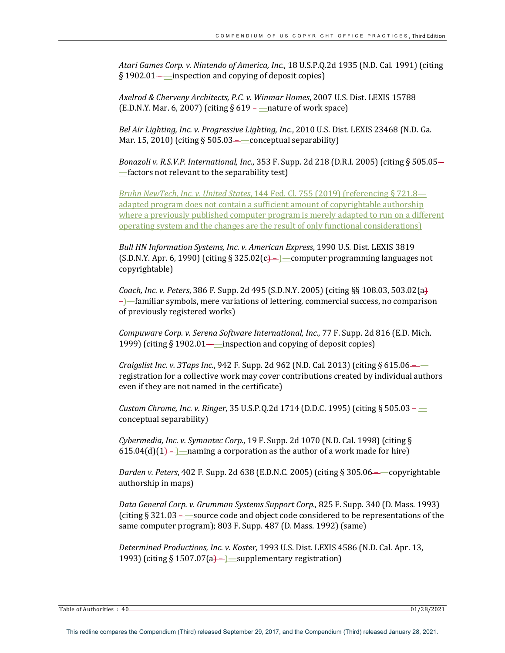Atari Games Corp. v. Nintendo of America, Inc., 18 U.S.P.Q.2d 1935 (N.D. Cal. 1991) (citing  $\S 1902.01$ — inspection and copying of deposit copies)

*Axelrod & Cherveny Architects, P.C. v. Winmar Homes*, 2007 U.S. Dist. LEXIS 15788 (E.D.N.Y. Mar. 6, 2007) (citing  $\S 619$ ——nature of work space)

Bel Air Lighting, Inc. v. Progressive Lighting, Inc., 2010 U.S. Dist. LEXIS 23468 (N.D. Ga. Mar. 15, 2010) (citing  $\S 505.03$ —conceptual separability)

*Bonazoli v. R.S.V.P. International, Inc.*, 353 F. Supp. 2d 218 (D.R.I. 2005) (citing § 505.05—  $=$  factors not relevant to the separability test)

*Bruhn NewTech, Inc. v. United States,* 144 Fed. Cl. 755 (2019) (referencing § 721.8 adapted program does not contain a sufficient amount of copyrightable authorship where a previously published computer program is merely adapted to run on a different operating system and the changes are the result of only functional considerations)

*Bull HN Information Systems, Inc. v. American Express, 1990 U.S. Dist. LEXIS 3819* (S.D.N.Y. Apr. 6, 1990) (citing § 325.02(c) –  $\rangle$  computer programming languages not copyrightable)

*Coach, Inc. v. Peters,* 386 F. Supp. 2d 495 (S.D.N.Y. 2005) (citing §§ 108.03, 503.02(a)  $-$ ]—familiar symbols, mere variations of lettering, commercial success, no comparison of previously registered works)

*Compuware Corp. v. Serena Software International, Inc., 77 F. Supp. 2d 816 (E.D. Mich.* 1999) (citing  $\S 1902.01$ — $\equiv$ inspection and copying of deposit copies)

*Craigslist Inc. v. 3Taps Inc.*, 942 F. Supp. 2d 962 (N.D. Cal. 2013) (citing § 615.06 registration for a collective work may cover contributions created by individual authors even if they are not named in the certificate)

*Custom Chrome, Inc. v. Ringer,* 35 U.S.P.Q.2d 1714 (D.D.C. 1995) (citing § 505.03- $\equiv$ conceptual separability)

*Cybermedia, Inc. v. Symantec Corp.*, 19 F. Supp. 2d 1070 (N.D. Cal. 1998) (citing § 615.04(d)(1)— $\rangle$ —naming a corporation as the author of a work made for hire)

*Darden v. Peters*, 402 F. Supp. 2d 638 (E.D.N.C. 2005) (citing § 305.06--copyrightable authorship in maps)

Data General Corp. v. Grumman Systems Support Corp., 825 F. Supp. 340 (D. Mass. 1993) (citing  $\S 321.03$ — source code and object code considered to be representations of the same computer program); 803 F. Supp. 487 (D. Mass. 1992) (same)

Determined Productions, Inc. v. Koster, 1993 U.S. Dist. LEXIS 4586 (N.D. Cal. Apr. 13, 1993) (citing § 1507.07(a) – supplementary registration)

Table of Authorities : 40 01/28/2021 **COVERSITY COVERSITY**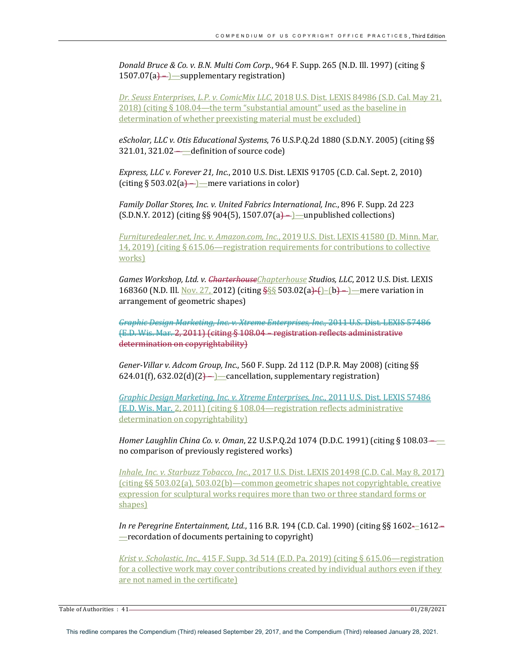*Donald Bruce & Co. v. B.N. Multi Com Corp.*, 964 F. Supp. 265 (N.D. Ill. 1997) (citing §  $1507.07(a)$  – supplementary registration

*Dr. Seuss Enterprises, L.P. v. ComicMix LLC*, 2018 U.S. Dist. LEXIS 84986 (S.D. Cal. May 21,  $2018$ ) (citing § 108.04—the term "substantial amount" used as the baseline in determination of whether preexisting material must be excluded)

eScholar, LLC v. Otis Educational Systems, 76 U.S.P.Q.2d 1880 (S.D.N.Y. 2005) (citing §§  $321.01$ ,  $321.02$  - definition of source code)

*Express, LLC v. Forever 21, Inc., 2010 U.S. Dist. LEXIS* 91705 (C.D. Cal. Sept. 2, 2010) (citing  $\S 503.02(a)$ ) — mere variations in color)

Family Dollar Stores, Inc. v. United Fabrics International, Inc., 896 F. Supp. 2d 223  $(S.D.N.Y. 2012)$  (citing §§ 904(5), 1507.07(a)— $\rightarrow$  unpublished collections)

*Furnituredealer.net, Inc. v. Amazon.com, Inc.*, 2019 U.S. Dist. LEXIS 41580 (D. Minn. Mar.) 14, 2019) (citing § 615.06—registration requirements for contributions to collective works)

Games Workshop, Ltd. v. CharterhouseChapterhouse Studios, LLC, 2012 U.S. Dist. LEXIS 168360 (N.D. Ill. Nov. 27, 2012) (citing  $\frac{555}{503.02(a)+()}$ –(b)–)—mere variation in arrangement of geometric shapes)

*Graphic Design Marketing, Inc. v. Xtreme Enterprises, Inc.*, 2011 U.S. Dist. LEXIS 57486 (E.D. Wis. Mar. 2, 2011) (citing § 108.04 – registration reflects administrative determination on copyrightability)

*Gener-Villar v. Adcom Group, Inc.,* 560 F. Supp. 2d 112 (D.P.R. May 2008) (citing §§  $624.01(f)$ ,  $632.02(d)(2)$  – cancellation, supplementary registration)

Graphic Design Marketing, Inc. v. Xtreme Enterprises, Inc., 2011 U.S. Dist. LEXIS 57486 (E.D. Wis. Mar. 2, 2011) (citing  $\S$  108.04—registration reflects administrative determination on copyrightability)

*Homer Laughlin China Co. v. Oman,* 22 U.S.P.Q.2d 1074 (D.D.C. 1991) (citing § 108.03 no comparison of previously registered works)

*Inhale, Inc. v. Starbuzz Tobacco, Inc., 2017 U.S. Dist. LEXIS 201498 (C.D. Cal. May 8, 2017)*  $(citing §§ 503.02(a), 503.02(b)$ —common geometric shapes not copyrightable, creative expression for sculptural works requires more than two or three standard forms or shapes)

*In re Peregrine Entertainment, Ltd.*, 116 B.R. 194 (C.D. Cal. 1990) (citing §§ 1602-–1612- $-$ recordation of documents pertaining to copyright)

*Krist v. Scholastic, Inc.*, 415 F. Supp. 3d 514 (E.D. Pa. 2019) (citing § 615.06—registration for a collective work may cover contributions created by individual authors even if they are not named in the certificate)

Table of Authorities : 41 28/2021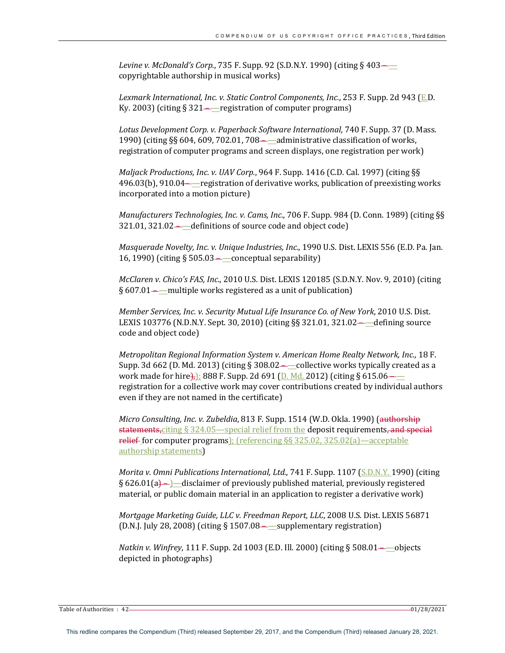*Levine v. McDonald's Corp.*, 735 F. Supp. 92 (S.D.N.Y. 1990) (citing § 403— copyrightable authorship in musical works)

Lexmark International, Inc. v. Static Control Components, Inc., 253 F. Supp. 2d 943 (E.D.) Ky. 2003) (citing  $\S 321$ ——registration of computer programs)

Lotus Development Corp. v. Paperback Software International, 740 F. Supp. 37 (D. Mass.) 1990) (citing  $\S$ § 604, 609, 702.01, 708— $\equiv$ administrative classification of works, registration of computer programs and screen displays, one registration per work)

*Maljack Productions, Inc. v. UAV Corp.*, 964 F. Supp. 1416 (C.D. Cal. 1997) (citing §§  $496.03(b)$ ,  $910.04$ — $rel$ registration of derivative works, publication of preexisting works incorporated into a motion picture)

*Manufacturers Technologies, Inc. v. Cams, Inc., 706 F. Supp.* 984 (D. Conn. 1989) (citing §§ 321.01, 321.02—<sup>-</sup>definitions of source code and object code)

*Masquerade Novelty, Inc. v. Unique Industries, Inc.,* 1990 U.S. Dist. LEXIS 556 (E.D. Pa. Jan. 16, 1990) (citing  $\S 505.03$ — $\equiv$ conceptual separability)

*McClaren v. Chico's FAS, Inc.*, 2010 U.S. Dist. LEXIS 120185 (S.D.N.Y. Nov. 9, 2010) (citing § 607.01——multiple works registered as a unit of publication)

*Member Services, Inc. v. Security Mutual Life Insurance Co. of New York, 2010 U.S. Dist.* LEXIS 103776 (N.D.N.Y. Sept. 30, 2010) (citing §§ 321.01, 321.02— defining source code and object code)

*Metropolitan Regional Information System v. American Home Realty Network, Inc., 18 F.* Supp. 3d 662 (D. Md. 2013) (citing § 308.02— $\_\_$ collective works typically created as a work made for hire $\frac{1}{2}$ : 888 F. Supp. 2d 691 (D. Md. 2012) (citing § 615.06– registration for a collective work may cover contributions created by individual authors even if they are not named in the certificate)

*Micro Consulting, Inc. v. Zubeldia,* 813 F. Supp. 1514 (W.D. Okla. 1990) (authorship statements, citing  $\S 324.05$  -special relief from the deposit requirements, and special relief for computer programs);  $\left($  referencing  $\S$ § 325.02, 325.02(a)—acceptable authorship statements)

*Morita v. Omni Publications International, Ltd., 741 F. Supp. 1107 (S.D.N.Y. 1990)* (citing  $\S$  626.01(a) –  $\equiv$  disclaimer of previously published material, previously registered material, or public domain material in an application to register a derivative work)

*Mortgage Marketing Guide, LLC v. Freedman Report, LLC*, 2008 U.S. Dist. LEXIS 56871 (D.N.J. July 28, 2008) (citing  $\S$  1507.08—supplementary registration)

*Natkin v. Winfrey*, 111 F. Supp. 2d 1003 (E.D. Ill. 2000) (citing § 508.01——objects depicted in photographs)

Table of Authorities : 42 2021 2021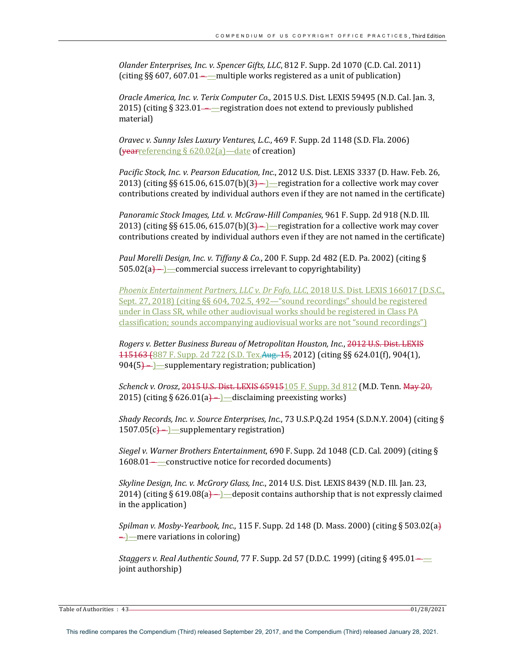*Olander Enterprises, Inc. v. Spencer Gifts, LLC*, 812 F. Supp. 2d 1070 (C.D. Cal. 2011) (citing  $\S$ § 607, 607.01——multiple works registered as a unit of publication)

*Oracle America, Inc. v. Terix Computer Co.,* 2015 U.S. Dist. LEXIS 59495 (N.D. Cal. Jan. 3, 2015) (citing  $\S 323.01$ ——registration does not extend to previously published material)

*Oravec v. Sunny Isles Luxury Ventures, L.C.*, 469 F. Supp. 2d 1148 (S.D. Fla. 2006) (yearreferencing  $\S 620.02(a)$ —date of creation)

Pacific Stock, Inc. v. Pearson Education, Inc., 2012 U.S. Dist. LEXIS 3337 (D. Haw. Feb. 26, 2013) (citing §§ 615.06, 615.07(b)(3)—1—registration for a collective work may cover contributions created by individual authors even if they are not named in the certificate)

*Panoramic Stock Images, Ltd. v. McGraw-Hill Companies,* 961 F. Supp. 2d 918 (N.D. Ill. 2013) (citing §§ 615.06, 615.07(b)(3) – )—registration for a collective work may cover contributions created by individual authors even if they are not named in the certificate)

Paul Morelli Design, Inc. v. Tiffany & Co., 200 F. Supp. 2d 482 (E.D. Pa. 2002) (citing §  $505.02(a)$ — $)$ —commercial success irrelevant to copyrightability)

Phoenix Entertainment Partners, LLC v. Dr Fofo, LLC, 2018 U.S. Dist. LEXIS 166017 (D.S.C., Sept. 27, 2018) (citing  $\S$ § 604, 702.5, 492—"sound recordings" should be registered under in Class SR, while other audiovisual works should be registered in Class PA classification; sounds accompanying audiovisual works are not "sound recordings")

*Rogers v. Better Business Bureau of Metropolitan Houston, Inc., 2012 U.S. Dist. LEXIS* 115163 (887 F. Supp. 2d 722 (S.D. Tex. Aug. 15, 2012) (citing §§ 624.01(f), 904(1),  $904(5)$ — $\equiv$ Supplementary registration; publication)

*Schenck v. Orosz*, 2015 U.S. Dist. LEXIS 65915105 F. Supp. 3d 812 (M.D. Tenn. May 20, 2015) (citing  $\S 626.01(a)$ — $\equiv$ disclaiming preexisting works)

*Shady Records, Inc. v. Source Enterprises, Inc., 73* U.S.P.Q.2d 1954 (S.D.N.Y. 2004) (citing §  $1507.05(c)$  –  $\equiv$  supplementary registration

*Siegel v. Warner Brothers Entertainment*, 690 F. Supp. 2d 1048 (C.D. Cal. 2009) (citing § 1608.01 – —constructive notice for recorded documents)

*Skyline Design, Inc. v. McGrory Glass, Inc.,* 2014 U.S. Dist. LEXIS 8439 (N.D. Ill. Jan. 23, 2014) (citing § 619.08(a)— $\rightarrow$  deposit contains authorship that is not expressly claimed in the application)

*Spilman v. Mosby-Yearbook, Inc.*, 115 F. Supp. 2d 148 (D. Mass. 2000) (citing § 503.02(a)  $\leftarrow$  — mere variations in coloring)

*Staggers v. Real Authentic Sound,* 77 F. Supp. 2d 57 (D.D.C. 1999) (citing § 495.01 joint authorship)

Table of Authorities : 43 01/28/2021 **COVERSITY COVERSITY** 2012 128 01/28/2021 **COVERSITY** 2012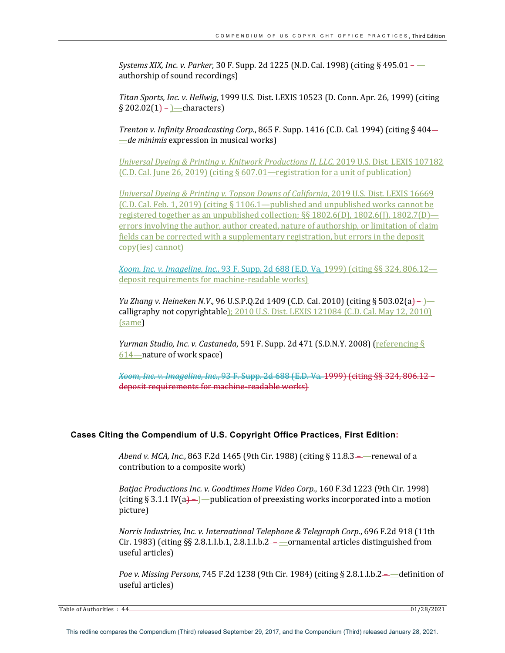*Systems XIX, Inc. v. Parker,* 30 F. Supp. 2d 1225 (N.D. Cal. 1998) (citing § 495.01— authorship of sound recordings)

Titan Sports, Inc. v. Hellwig, 1999 U.S. Dist. LEXIS 10523 (D. Conn. Apr. 26, 1999) (citing  $§ 202.02(1)$ — $]$ —characters)

*Trenton v. Infinity Broadcasting Corp.*, 865 F. Supp. 1416 (C.D. Cal. 1994) (citing § 404-—*de minimis* expression in musical works)

*Universal Dyeing & Printing v. Knitwork Productions II, LLC*, 2019 U.S. Dist. LEXIS 107182  $(C.D. Cal. June 26, 2019)$  (citing § 607.01—registration for a unit of publication)

*Universal Dyeing & Printing v. Topson Downs of California*, 2019 U.S. Dist. LEXIS 16669  $(C.D. Cal. Feb. 1, 2019)$  (citing § 1106.1—published and unpublished works cannot be registered together as an unpublished collection;  $\S$ § 1802.6(D), 1802.6(I), 1802.7(D) errors involving the author, author created, nature of authorship, or limitation of claim fields can be corrected with a supplementary registration, but errors in the deposit copy(ies) cannot)

*Xoom, Inc. v. Imageline, Inc.*, 93 F. Supp. 2d 688 (E.D. Va. 1999) (citing §§ 324, 806.12 deposit requirements for machine-readable works)

*Yu Zhang v. Heineken N.V.*, 96 U.S.P.Q.2d 1409 (C.D. Cal. 2010) (citing § 503.02(a)—) calligraphy not copyrightable): 2010 U.S. Dist. LEXIS 121084 (C.D. Cal. May 12, 2010) (same) 

*Yurman Studio, Inc. v. Castaneda,* 591 F. Supp. 2d 471 (S.D.N.Y. 2008) (*referencing* § 614—nature of work space)

*Xoom, Inc. v. Imageline, Inc.*, 93 F. Supp. 2d 688 (E.D. Va. 1999) (citing §§ 324, 806.12 – deposit requirements for machine-readable works)

## **Cases Citing the Compendium of U.S. Copyright Office Practices, First Edition:**

*Abend v. MCA, Inc.*, 863 F.2d 1465 (9th Cir. 1988) (citing § 11.8.3——renewal of a contribution to a composite work)

Batjac Productions Inc. v. Goodtimes Home Video Corp., 160 F.3d 1223 (9th Cir. 1998) (citing  $\S 3.1.1 \text{ IV(a)}$  – ) – publication of preexisting works incorporated into a motion picture)

*Norris Industries, Inc. v. International Telephone & Telegraph Corp.*, 696 F.2d 918 (11th Cir. 1983) (citing  $\S$ § 2.8.1.I.b.1, 2.8.1.I.b.2——ornamental articles distinguished from useful articles)

*Poe v. Missing Persons, 745 F.2d 1238 (9th Cir. 1984)* (citing § 2.8.1.I.b.2——definition of useful articles)

Table of Authorities : 44 2021 2021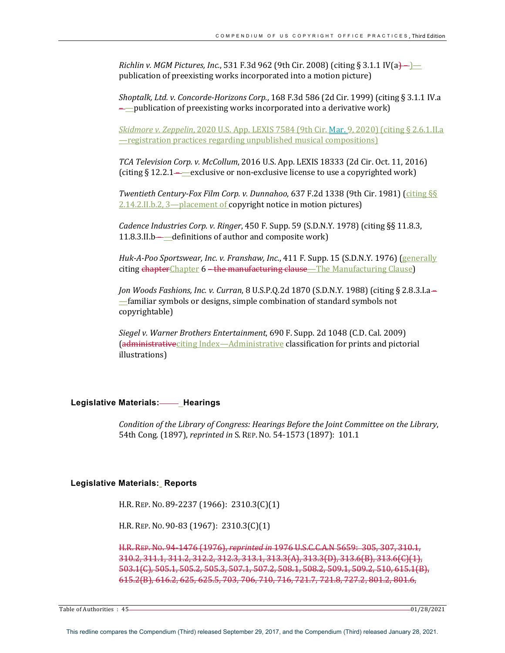*Richlin v. MGM Pictures, Inc.*, 531 F.3d 962 (9th Cir. 2008) (citing § 3.1.1 IV(a)-) publication of preexisting works incorporated into a motion picture)

*Shoptalk, Ltd. v. Concorde-Horizons Corp.*, 168 F.3d 586 (2d Cir. 1999) (citing § 3.1.1 IV.a  $\rightarrow$  publication of preexisting works incorporated into a derivative work)

*Skidmore v. Zeppelin,* 2020 U.S. App. LEXIS 7584 (9th Cir. Mar. 9, 2020) (citing § 2.6.1.II.a <u>—registration practices regarding unpublished musical compositions)</u>

*TCA Television Corp. v. McCollum*, 2016 U.S. App. LEXIS 18333 (2d Cir. Oct. 11, 2016) (citing  $\S 12.2.1$ —exclusive or non-exclusive license to use a copyrighted work)

*Twentieth Century-Fox Film Corp. v. Dunnahoo,* 637 F.2d 1338 (9th Cir. 1981) (citing §§  $2.14.2$ .II.b.2,  $3$  — placement of copyright notice in motion pictures)

*Cadence Industries Corp. v. Ringer,* 450 F. Supp. 59 (S.D.N.Y. 1978) (citing §§ 11.8.3, 11.8.3.II.b— $\rule{1em}{0.15}\phantom{1.0}$  definitions of author and composite work)

*Huk-A-Poo Sportswear, Inc. v. Franshaw, Inc.,* 411 F. Supp. 15 (S.D.N.Y. 1976) (*generally* citing chapterChapter 6 – the manufacturing clause—The Manufacturing Clause)

*Jon Woods Fashions, Inc. v. Curran,* 8 U.S.P.Q.2d 1870 (S.D.N.Y. 1988) (citing § 2.8.3.I.a-—familiar symbols or designs, simple combination of standard symbols not copyrightable)

*Siegel v. Warner Brothers Entertainment*, 690 F. Supp. 2d 1048 (C.D. Cal. 2009) (administrativeciting Index—Administrative classification for prints and pictorial illustrations)

## **Legislative Materials:** Hearings

*Condition of the Library of Congress: Hearings Before the Joint Committee on the Library,* 54th Cong. (1897), *reprinted in* S. REP. No. 54-1573 (1897): 101.1

## **Legislative Materials: Reports**

H.R. REP. No. 89-2237 (1966):  $2310.3(C)(1)$ 

H.R. REP. No. 90-83 (1967): 2310.3(C)(1)

H.R. REP. No. 94-1476 (1976), *reprinted in* 1976 U.S.C.C.A.N 5659: 305, 307, 310.1,  $310.2, 311.1, 311.2, 312.2, 312.3, 313.1, 313.3(A), 313.3(B), 313.6(B), 313.6(C)(1),$ 503.1(C), 505.1, 505.2, 505.3, 507.1, 507.2, 508.1, 508.2, 509.1, 509.2, 510, 615.1(B), 615.2(B), 616.2, 625, 625.5, 703, 706, 710, 716, 721.7, 721.8, 727.2, 801.2, 801.6,

Table of Authorities : 45 **128/2021 COVERSITY COVERSITY COVERSITY COVERSITY COVERSITY COVERSITY COVERSITY COVERSITY COVERSITY COVERSITY COVERSITY COVERSITY COVERSITY COVERSITY COVERSITY COVE**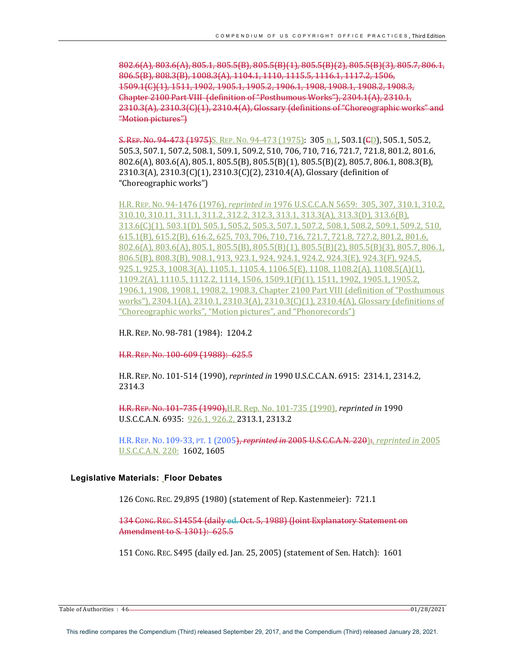$802.6(A)$ ,  $803.6(A)$ ,  $805.1$ ,  $805.5(B)$ ,  $805.5(B)(1)$ ,  $805.5(B)(2)$ ,  $805.5(B)(3)$ ,  $805.7$ ,  $806.1$ , 806.5(B), 808.3(B), 1008.3(A), 1104.1, 1110, 1115.5, 1116.1, 1117.2, 1506, 1509.1(C)(1), 1511, 1902, 1905.1, 1905.2, 1906.1, 1908, 1908.1, 1908.2, 1908.3, Chapter 2100 Part VIII (definition of "Posthumous Works"), 2304.1(A), 2310.1,  $2310.3(A)$ ,  $2310.3(C)(1)$ ,  $2310.4(A)$ , Glossary (definitions of "Choreographic works" and "Motion pictures")

S. REP. No. 94-473  $(1975)$ S. REP. No. 94-473  $(1975)$ :  $305$  n.1,  $503.1$ ( $\epsilon$ D), 505.1, 505.2, 505.3, 507.1, 507.2, 508.1, 509.1, 509.2, 510, 706, 710, 716, 721.7, 721.8, 801.2, 801.6,  $802.6(A)$ ,  $803.6(A)$ ,  $805.1$ ,  $805.5(B)$ ,  $805.5(B)(1)$ ,  $805.5(B)(2)$ ,  $805.7$ ,  $806.1$ ,  $808.3(B)$ , 2310.3(A), 2310.3(C)(1), 2310.3(C)(2), 2310.4(A), Glossary (definition of "Choreographic works")

H.R. REP. No. 94-1476 (1976), *reprinted in* 1976 U.S.C.C.A.N 5659: 305, 307, 310.1, 310.2, 310.10, 310.11, 311.1, 311.2, 312.2, 312.3, 313.1, 313.3(A), 313.3(D), 313.6(B), 313.6(C)(1), 503.1(D), 505.1, 505.2, 505.3, 507.1, 507.2, 508.1, 508.2, 509.1, 509.2, 510, 615.1(B), 615.2(B), 616.2, 625, 703, 706, 710, 716, 721.7, 721.8, 727.2, 801.2, 801.6,  $802.6(A)$ ,  $803.6(A)$ ,  $805.1$ ,  $805.5(B)$ ,  $805.5(B)(1)$ ,  $805.5(B)(2)$ ,  $805.5(B)(3)$ ,  $805.7$ ,  $806.1$ , 806.5(B), 808.3(B), 908.1, 913, 923.1, 924, 924.1, 924.2, 924.3(E), 924.3(F), 924.5, 925.1, 925.3, 1008.3(A), 1105.1, 1105.4, 1106.5(E), 1108, 1108.2(A), 1108.5(A)(1), 1109.2(A), 1110.5, 1112.2, 1114, 1506, 1509.1(F)(1), 1511, 1902, 1905.1, 1905.2, 1906.1, 1908, 1908.1, 1908.2, 1908.3, Chapter 2100 Part VIII (definition of "Posthumous works"),  $2304.1(A)$ ,  $2310.1$ ,  $2310.3(A)$ ,  $2310.3(C)(1)$ ,  $2310.4(A)$ , Glossary (definitions of "Choreographic works", "Motion pictures", and "Phonorecords")

H.R. REP. No. 98-781 (1984): 1204.2

H.R. REP. No. 100-609 (1988): 625.5

H.R. REP. No. 101-514 (1990), *reprinted in* 1990 U.S.C.C.A.N. 6915: 2314.1, 2314.2, 2314.3

H.R. REP. No. 101-735 (1990), H.R. Rep. No. 101-735 (1990), *reprinted in* 1990 U.S.C.C.A.N. 6935: 926.1, 926.2, 2313.1, 2313.2

H.R. REP. No. 109-33, PT. 1 (2005), *reprinted in* 2005 U.S.C.C.A.N. 220): *reprinted in* 2005 U.S.C.C.A.N. 220: 1602, 1605

# **Legislative Materials: Floor Debates**

126 CONG. REC. 29,895 (1980) (statement of Rep. Kastenmeier): 721.1

134 CONG. REC. S14554 (daily ed. Oct. 5, 1988) (Joint Explanatory Statement on Amendment to S. 1301): 625.5

151 CONG. REC. S495 (daily ed. Jan. 25, 2005) (statement of Sen. Hatch): 1601

Table of Authorities : 46 01/28/2021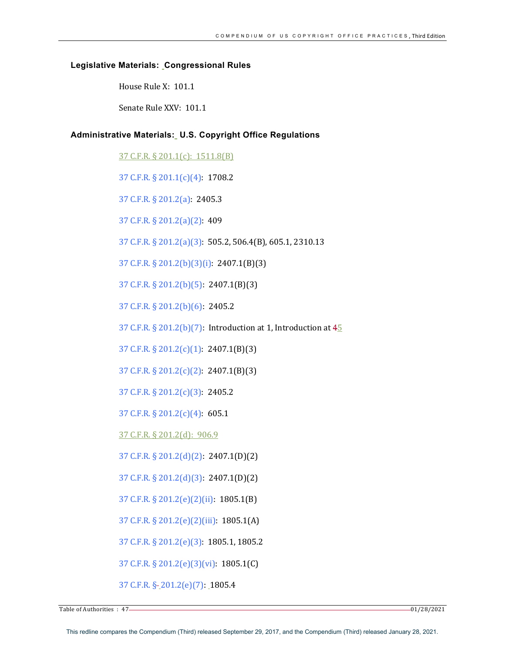## **Legislative Materials: Congressional Rules**

House Rule X: 101.1

Senate Rule XXV: 101.1

# **Administrative Materials: U.S. Copyright Office Regulations**

37 C.F.R. § 201.1(c): 1511.8(B)

37 C.F.R. § 201.1(c)(4): 1708.2

37 C.F.R. § 201.2(a): 2405.3

37 C.F.R. § 201.2(a)(2): 409

37 C.F.R. § 201.2(a)(3): 505.2, 506.4(B), 605.1, 2310.13

37 C.F.R. § 201.2(b)(3)(i): 2407.1(B)(3)

37 C.F.R.  $\S 201.2(b)(5)$ : 2407.1(B)(3)

37 C.F.R. § 201.2(b)(6): 2405.2

37 C.F.R.  $\S 201.2(b)(7)$ : Introduction at 1, Introduction at  $45$ 

37 C.F.R.  $\S 201.2(c)(1)$ : 2407.1(B)(3)

37 C.F.R.  $\S 201.2(c)(2)$ : 2407.1(B)(3)

37 C.F.R. § 201.2(c)(3): 2405.2

37 C.F.R. § 201.2(c)(4): 605.1

37 C.F.R. § 201.2(d): 906.9

37 C.F.R. § 201.2(d)(2): 2407.1(D)(2)

37 C.F.R. § 201.2(d)(3): 2407.1(D)(2)

37 C.F.R. § 201.2(e)(2)(ii): 1805.1(B)

37 C.F.R. § 201.2(e)(2)(iii): 1805.1(A)

37 C.F.R. § 201.2(e)(3): 1805.1, 1805.2

37 C.F.R. § 201.2(e)(3)(vi): 1805.1(C)

37 C.F.R. § 201.2(e)(7): 1805.4

Table of Authorities  $\cdot$  47  $-$  01/28/2021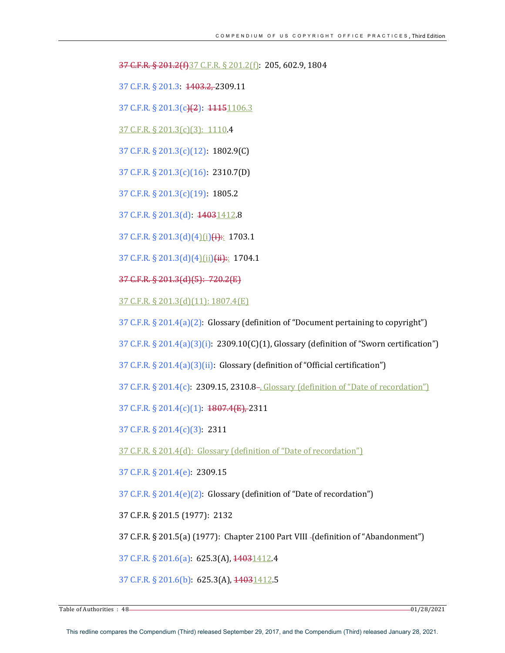37 C.F.R. § 201.2(f)37 C.F.R. § 201.2(f): 205, 602.9, 1804

37 C.F.R. § 201.3: 1403.2, 2309.11

37 C.F.R. § 201.3(c)(2): 11151106.3

37 C.F.R. § 201.3(c)(3): 1110.4

37 C.F.R. § 201.3(c)(12): 1802.9(C)

37 C.F.R. § 201.3(c)(16): 2310.7(D) 

37 C.F.R. § 201.3(c)(19): 1805.2

37 C.F.R. § 201.3(d): 14031412.8

37 C.F.R. § 201.3(d)(4)(i)(i):: 1703.1

37 C.F.R. § 201.3(d)(4)(ii)(ii):: 1704.1

37 C.F.R. § 201.3(d)(5): 720.2(E)

37 C.F.R. § 201.3(d)(11): 1807.4(E)

37 C.F.R.  $\S 201.4(a)(2)$ : Glossary (definition of "Document pertaining to copyright")

37 C.F.R.  $\S 201.4(a)(3)(i)$ : 2309.10(C)(1), Glossary (definition of "Sworn certification")

37 C.F.R. § 201.4(a)(3)(ii): Glossary (definition of "Official certification")

37 C.F.R.  $\S 201.4(c)$ :  $2309.15$ ,  $2310.8$ -,  $G$ lossary (definition of "Date of recordation")

37 C.F.R. § 201.4(c)(1): 1807.4(E), 2311

37 C.F.R. § 201.4(c)(3): 2311

37 C.F.R. § 201.4(d): Glossary (definition of "Date of recordation")

37 C.F.R. § 201.4(e): 2309.15

37 C.F.R.  $\S 201.4(e)(2)$ : Glossary (definition of "Date of recordation")

37 C.F.R. § 201.5 (1977): 2132

37 C.F.R. § 201.5(a) (1977): Chapter 2100 Part VIII - (definition of "Abandonment")

37 C.F.R. § 201.6(a): 625.3(A), 44031412.4

37 C.F.R. § 201.6(b): 625.3(A), 14031412.5

Table of Authorities : 48 01/28/2021 **COVERSITY**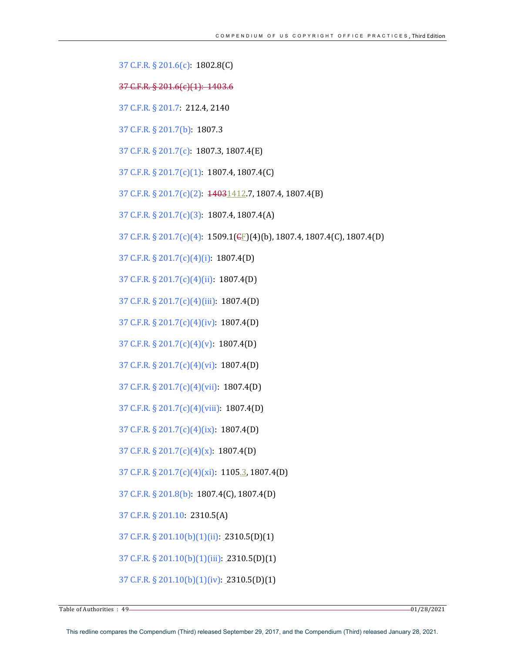37 C.F.R. § 201.6(c): 1802.8(C)

37 C.F.R. § 201.6(c)(1): 1403.6

37 C.F.R. § 201.7: 212.4, 2140

37 C.F.R. § 201.7(b): 1807.3

37 C.F.R. § 201.7(c): 1807.3, 1807.4(E)

37 C.F.R. § 201.7(c)(1): 1807.4, 1807.4(C)

37 C.F.R. § 201.7(c)(2):  $\frac{14031412}{7}$ , 1807.4, 1807.4(B)

37 C.F.R.  $\S 201.7(c)(3)$ : 1807.4, 1807.4(A)

37 C.F.R. § 201.7(c)(4): 1509.1( $E$ )(4)(b), 1807.4, 1807.4(C), 1807.4(D)

37 C.F.R. § 201.7(c)(4)(i): 1807.4(D)

37 C.F.R. § 201.7(c)(4)(ii): 1807.4(D)

37 C.F.R. § 201.7(c)(4)(iii): 1807.4(D)

37 C.F.R. § 201.7(c)(4)(iv): 1807.4(D)

37 C.F.R. § 201.7(c)(4)(v): 1807.4(D)

37 C.F.R.  $\S 201.7(c)(4)(vi)$ : 1807.4(D)

37 C.F.R. § 201.7(c)(4)(vii): 1807.4(D)

37 C.F.R. § 201.7(c)(4)(viii): 1807.4(D)

37 C.F.R. § 201.7(c)(4)(ix): 1807.4(D)

37 C.F.R.  $\S 201.7(c)(4)(x)$ : 1807.4(D)

37 C.F.R. § 201.7(c)(4)(xi): 1105.3, 1807.4(D)

37 C.F.R. § 201.8(b): 1807.4(C), 1807.4(D)

37 C.F.R. § 201.10: 2310.5(A)

37 C.F.R.  $\S 201.10(b)(1)(ii)$ : 2310.5(D)(1)

37 C.F.R.  $\S 201.10(b)(1)(iii)$ : 2310.5(D)(1)

37 C.F.R. § 201.10(b)(1)(iv): 2310.5(D)(1)

Table of Authorities : 49 01/28/2021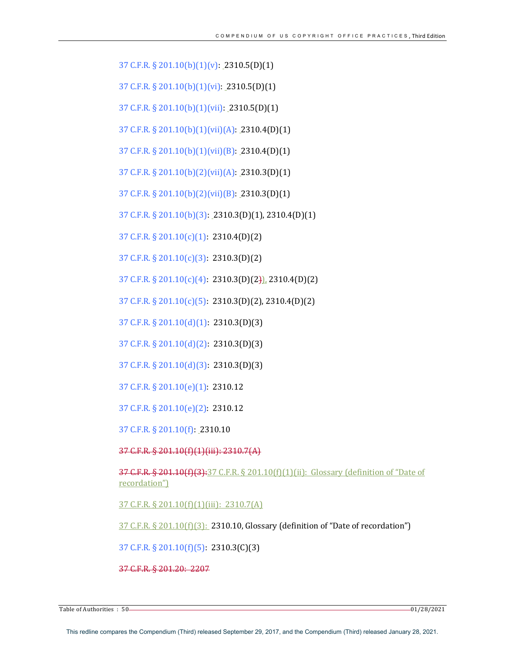37 C.F.R. § 201.10(b)(1)(v): 2310.5(D)(1)

37 C.F.R.  $\S 201.10(b)(1)(vi)$ : 2310.5(D)(1)

37 C.F.R. § 201.10(b)(1)(vii): 2310.5(D)(1)

37 C.F.R. § 201.10(b)(1)(vii)(A): 2310.4(D)(1)

37 C.F.R. § 201.10(b)(1)(vii)(B): 2310.4(D)(1)

37 C.F.R. § 201.10(b)(2)(vii)(A): 2310.3(D)(1)

37 C.F.R. § 201.10(b)(2)(vii)(B): 2310.3(D)(1)

37 C.F.R. § 201.10(b)(3): 2310.3(D)(1), 2310.4(D)(1)

37 C.F.R.  $\S 201.10(c)(1)$ : 2310.4(D)(2)

37 C.F.R. § 201.10(c)(3): 2310.3(D)(2) 

37 C.F.R.  $\S 201.10(c)(4)$ : 2310.3(D)(2)), 2310.4(D)(2)

37 C.F.R. § 201.10(c)(5): 2310.3(D)(2), 2310.4(D)(2)

37 C.F.R.  $\S 201.10(d)(1)$ : 2310.3(D)(3)

37 C.F.R. § 201.10(d)(2): 2310.3(D)(3)

37 C.F.R. § 201.10(d)(3): 2310.3(D)(3)

37 C.F.R. § 201.10(e)(1): 2310.12

37 C.F.R. § 201.10(e)(2): 2310.12

37 C.F.R. § 201.10(f): 2310.10

37 C.F.R. § 201.10(f)(1)(iii): 2310.7(A)

37 C.F.R. § 201.10(f)(3):37 C.F.R. § 201.10(f)(1)(ii): Glossary (definition of "Date of recordation")

37 C.F.R. § 201.10(f)(1)(iii): 2310.7(A)

37 C.F.R. § 201.10(f)(3): 2310.10, Glossary (definition of "Date of recordation")

37 C.F.R. § 201.10(f)(5): 2310.3(C)(3)

37 C.F.R. § 201.20: 2207

Table of Authorities : 50 01/28/2021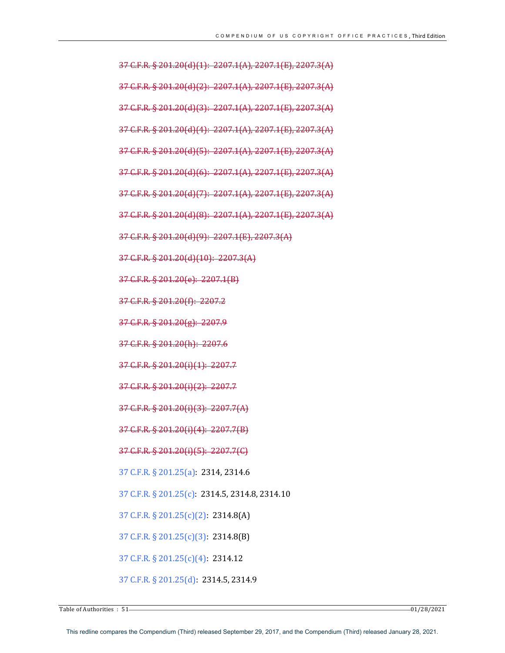37 C.F.R. § 201.20(d)(1): 2207.1(A), 2207.1(E), 2207.3(A) 37 C.F.R. § 201.20(d)(2): 2207.1(A), 2207.1(E), 2207.3(A) 37 C.F.R. § 201.20(d)(3): 2207.1(A), 2207.1(E), 2207.3(A) 37 C.F.R. § 201.20(d)(4): 2207.1(A), 2207.1(E), 2207.3(A) 37 C.F.R. § 201.20(d)(5): 2207.1(A), 2207.1(E), 2207.3(A) 37 C.F.R. § 201.20(d)(6): 2207.1(A), 2207.1(E), 2207.3(A) 37 C.F.R. § 201.20(d)(7): 2207.1(A), 2207.1(E), 2207.3(A)  $37$  C.F.R. § 201.20(d)(8): 2207.1(A), 2207.1(E), 2207.3(A) 37 C.F.R. § 201.20(d)(9): 2207.1(E), 2207.3(A) 37 C.F.R. § 201.20(d)(10): 2207.3(A) 37 C.F.R. § 201.20(e): 2207.1(B) 37 C.F.R. § 201.20(f): 2207.2 37 C.F.R. § 201.20(g): 2207.9 37 C.F.R. § 201.20(h): 2207.6 37 C.F.R. § 201.20(i)(1): 2207.7 37 C.F.R. § 201.20(i)(2): 2207.7 37 C.F.R. § 201.20(i)(3): 2207.7(A) 37 C.F.R. § 201.20(i)(4): 2207.7(B) 37 C.F.R. § 201.20(i)(5): 2207.7(C) 37 C.F.R. § 201.25(a): 2314, 2314.6 37 C.F.R. § 201.25(c): 2314.5, 2314.8, 2314.10 37 C.F.R. § 201.25(c)(2): 2314.8(A) 37 C.F.R. § 201.25(c)(3): 2314.8(B) 37 C.F.R. § 201.25(c)(4): 2314.12 37 C.F.R. § 201.25(d): 2314.5, 2314.9

Table of Authorities  $\cdot$  51  $-$  01/28/2021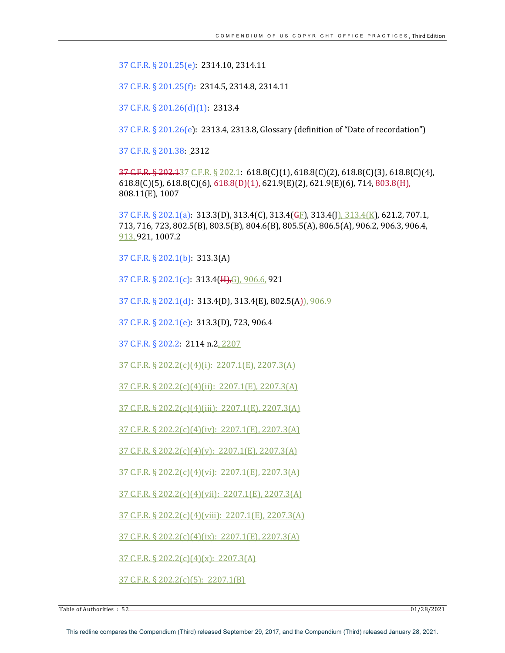37 C.F.R. § 201.25(e): 2314.10, 2314.11

37 C.F.R. § 201.25(f): 2314.5, 2314.8, 2314.11

37 C.F.R. § 201.26(d)(1): 2313.4

37 C.F.R.  $\S 201.26(e)$ : 2313.4, 2313.8, Glossary (definition of "Date of recordation")

37 C.F.R. § 201.38: 2312

 $37 \text{ C.F.R.}$   $\S 202.137 \text{ C.F.R.}$   $\S 202.1$ :  $618.8(C)(1)$ ,  $618.8(C)(2)$ ,  $618.8(C)(3)$ ,  $618.8(C)(4)$ ,  $618.8(C)(5)$ ,  $618.8(C)(6)$ ,  $618.8(D)(1)$ ,  $621.9(E)(2)$ ,  $621.9(E)(6)$ ,  $714$ ,  $803.8(H)$ , 808.11(E), 1007

37 C.F.R. § 202.1(a):  $313.3(D)$ ,  $313.4(C)$ ,  $313.4(\overline{GE})$ ,  $313.4(\overline{J})$ ,  $313.4(K)$ , 621.2, 707.1, 713, 716, 723, 802.5(B), 803.5(B), 804.6(B), 805.5(A), 806.5(A), 906.2, 906.3, 906.4, 913, 921, 1007.2

37 C.F.R. § 202.1(b): 313.3(A)

37 C.F.R. § 202.1(c):  $313.4(\text{H}), G$ , 906.6, 921

37 C.F.R. § 202.1(d): 313.4(D), 313.4(E), 802.5(A)), 906.9

37 C.F.R. § 202.1(e): 313.3(D), 723, 906.4

37 C.F.R. § 202.2: 2114 n.2, 2207

 $37$  C.F.R. § 202.2(c)(4)(i): 2207.1(E), 2207.3(A)

37 C.F.R. § 202.2(c)(4)(ii): 2207.1(E), 2207.3(A)

37 C.F.R. § 202.2(c)(4)(iii): 2207.1(E), 2207.3(A)

37 C.F.R. § 202.2(c)(4)(iv): 2207.1(E), 2207.3(A)

 $37$  C.F.R. § 202.2(c)(4)(v): 2207.1(E), 2207.3(A)

37 C.F.R. § 202.2(c)(4)(vi): 2207.1(E), 2207.3(A)

37 C.F.R. § 202.2(c)(4)(vii): 2207.1(E), 2207.3(A)

37 C.F.R. § 202.2(c)(4)(viii):  $2207.1(E)$ , 2207.3(A)

 $37$  C.F.R. § 202.2(c)(4)(ix): 2207.1(E), 2207.3(A)

 $37$  C.F.R. § 202.2(c)(4)(x): 2207.3(A)

37 C.F.R. § 202.2(c)(5): 2207.1(B)

Table of Authorities : 52 01/28/2021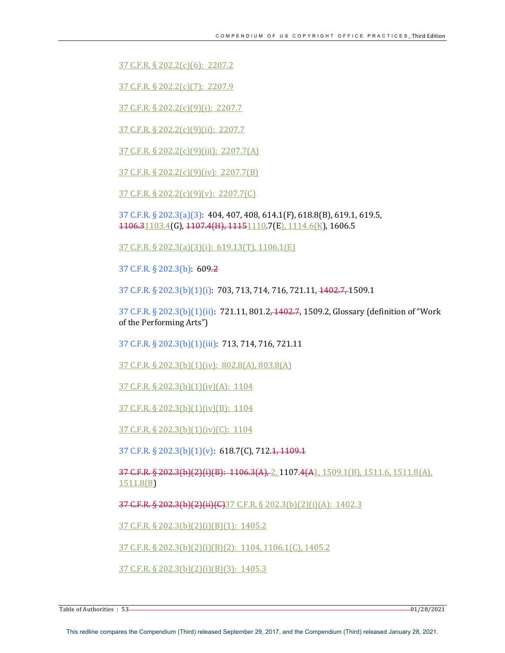37 C.F.R. § 202.2(c)(6): 2207.2

37 C.F.R. § 202.2(c)(7): 2207.9

37 C.F.R. § 202.2(c)(9)(i): 2207.7

37 C.F.R. § 202.2(c)(9)(ii): 2207.7

37 C.F.R. § 202.2(c)(9)(iii): 2207.7(A)

37 C.F.R. § 202.2(c)(9)(iv): 2207.7(B)

37 C.F.R.  $\S 202.2(c)(9)(v)$ : 2207.7(C)

37 C.F.R. § 202.3(a)(3): 404, 407, 408, 614.1(F), 618.8(B), 619.1, 619.5, 1106.31103.4(G), 1107.4(H), 11151110.7(E), 1114.6(K), 1606.5

 $37$  C.F.R. § 202.3(a)(3)(i): 619.13(T), 1106.1(E)

37 C.F.R. § 202.3(b): 609.2

37 C.F.R. § 202.3(b)(1)(i): 703, 713, 714, 716, 721.11, 1402.7, 1509.1

37 C.F.R. § 202.3(b)(1)(ii): 721.11, 801.2, 1402.7, 1509.2, Glossary (definition of "Work of the Performing Arts")

37 C.F.R. § 202.3(b)(1)(iii): 713, 714, 716, 721.11

 $37$  C.F.R. § 202.3(b)(1)(iv): 802.8(A), 803.8(A)

37 C.F.R. § 202.3(b)(1)(iv)(A):  $1104$ 

37 C.F.R. § 202.3(b)(1)(iv)(B): 1104

37 C.F.R. § 202.3(b)(1)(iv)(C): 1104

37 C.F.R. § 202.3(b)(1)(v): 618.7(C), 712.1, 1109.1

 $37$  C.F.R. §  $202.3(b)(2)(i)(B)$ :  $1106.3(A), 2$ ,  $1107.4(A)$ ,  $1509.1(B)$ ,  $1511.6$ ,  $1511.8(A)$ , 1511.8(B) 

37 C.F.R. § 202.3(b)(2)(ii)(C)37 C.F.R. § 202.3(b)(2)(i)(A): 1402.3

 $37$  C.F.R. § 202.3(b)(2)(i)(B)(1): 1405.2

37 C.F.R. § 202.3(b)(2)(i)(B)(2): 1104, 1106.1(C), 1405.2

 $37$  C.F.R. § 202.3(b)(2)(i)(B)(3): 1405.3

Table of Authorities : 53 - 2021 - 2022 - 2022 - 2023 - 2023 - 2024 - 2024 - 2022 - 2024 - 2022 - 2024 - 2022 - 2024 - 2022 - 2022 - 2022 - 2022 - 2022 - 2022 - 2022 - 2022 - 2022 - 2022 - 2022 - 2022 - 2022 - 2022 - 2022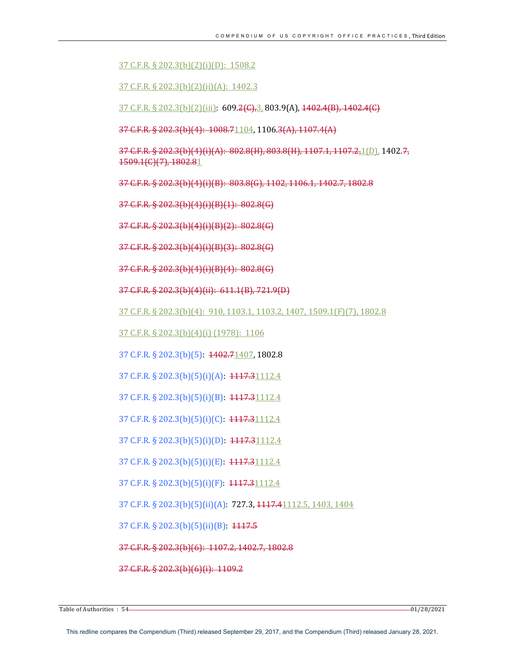# 37 C.F.R. § 202.3(b)(2)(i)(D): 1508.2

 $37$  C.F.R. § 202.3(b)(2)(ii)(A): 1402.3

 $37$  C.F.R. § 202.3(b)(2)(iii): 609.2(C),3, 803.9(A),  $1402.4(B)$ ,  $1402.4(C)$ 

37 C.F.R. § 202.3(b)(4): 1008.71104, 1106.3(A), 1107.4(A)

 $37$  C.F.R. § 202.3(b)(4)(i)(A):  $802.8(H)$ ,  $803.8(H)$ ,  $1107.1$ ,  $1107.2$ ,  $1(D)$ ,  $1402.7$ , 1509.1(C)(7), 1802.81

37 C.F.R. § 202.3(b)(4)(i)(B): 803.8(G), 1102, 1106.1, 1402.7, 1802.8

37 C.F.R. § 202.3(b)(4)(i)(B)(1): 802.8(G)

37 C.F.R. § 202.3(b)(4)(i)(B)(2): 802.8(G)

37 C.F.R. § 202.3(b)(4)(i)(B)(3): 802.8(G) 

37 C.F.R. § 202.3(b)(4)(i)(B)(4): 802.8(G)

37 C.F.R. § 202.3(b)(4)(ii): 611.1(B), 721.9(D)

37 C.F.R. § 202.3(b)(4): 910, 1103.1, 1103.2, 1407, 1509.1(F)(7), 1802.8

37 C.F.R. § 202.3(b)(4)(i) (1978): 1106

37 C.F.R. § 202.3(b)(5): 4402.71407, 1802.8

37 C.F.R. § 202.3(b)(5)(i)(A): 1117.31112.4

37 C.F.R. § 202.3(b)(5)(i)(B): 4447.31112.4

37 C.F.R. § 202.3(b)(5)(i)(C): 4447.31112.4

37 C.F.R. § 202.3(b)(5)(i)(D): 1117.31112.4

37 C.F.R. § 202.3(b)(5)(i)(E): 4447.31112.4

37 C.F.R. § 202.3(b)(5)(i)(F): 1117.31112.4

37 C.F.R. § 202.3(b)(5)(ii)(A): 727.3, 4447.41112.5, 1403, 1404

37 C.F.R. § 202.3(b)(5)(ii)(B): 4447.5

37 C.F.R. § 202.3(b)(6): 1107.2, 1402.7, 1802.8

37 C.F.R. § 202.3(b)(6)(i): 1109.2

Table of Authorities  $: 54$  01/28/2021 01/28/2021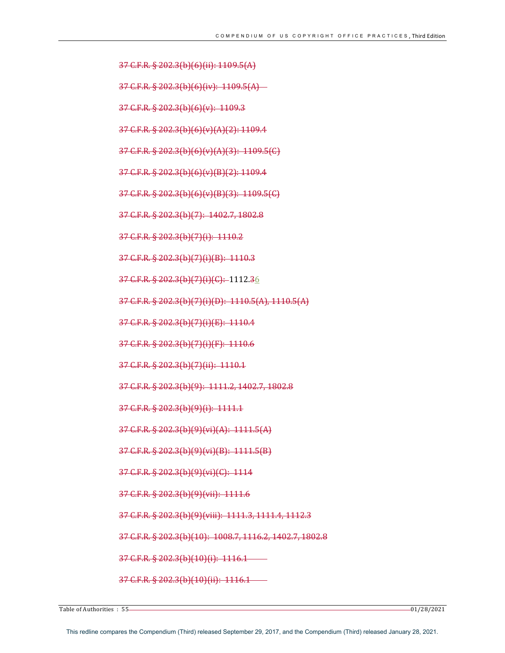37 C.F.R. § 202.3(b)(6)(ii): 1109.5(A)

37 C.F.R. § 202.3(b)(6)(v): 1109.3

 $37$  C.F.R. § 202.3(b)(6)(iv):  $1109.5(A)$ 

37 C.F.R. § 202.3(b)(6)(v)(A)(2): 1109.4

37 C.F.R. § 202.3(b)(6)(v)(B)(2): 1109.4

37 C.F.R. § 202.3(b)(7): 1402.7, 1802.8

37 C.F.R. § 202.3(b)(7)(i): 1110.2

37 C.F.R. § 202.3(b)(7)(i)(B): 1110.3

37 C.F.R. § 202.3(b)(7)(i)(C): -1112.36

37 C.F.R. § 202.3(b)(7)(i)(E): 1110.4

37 C.F.R. § 202.3(b)(7)(i)(F): 1110.6

 $37$  C.F.R. § 202.3(b)(7)(ii): 1110.1

37 C.F.R. § 202.3(b)(9)(i): 1111.1

37 C.F.R. § 202.3(b)(9)(vi)(A): 1111.5(A)

37 C.F.R. § 202.3(b)(9)(vi)(B): 1111.5(B)

37 C.F.R. § 202.3(b)(9)(viii): 1111.3, 1111.4, 1112.3

37 C.F.R. § 202.3(b)(10): 1008.7, 1116.2, 1402.7, 1802.8

37 C.F.R. § 202.3(b)(9)(vi)(C): 1114

37 C.F.R. § 202.3(b)(9)(vii): 1111.6

37 C.F.R. § 202.3(b)(10)(i): 1116.1 --

37 C.F.R. § 202.3(b)(10)(ii): 1116.1-

37 C.F.R. § 202.3(b)(7)(i)(D): 1110.5(A), 1110.5(A)

37 C.F.R. § 202.3(b)(9): 1111.2, 1402.7, 1802.8

37 C.F.R. § 202.3(b)(6)(v)(A)(3): 1109.5(C)

37 C.F.R. § 202.3(b)(6)(v)(B)(3): 1109.5(C)

 $\frac{1}{2}$ Table of Authorities  $\colon$  55  $\longrightarrow$ 

```
This redline compares the Compendium (Third) released September 29, 2017, and the Compendium (Third) released January 28, 2021.
```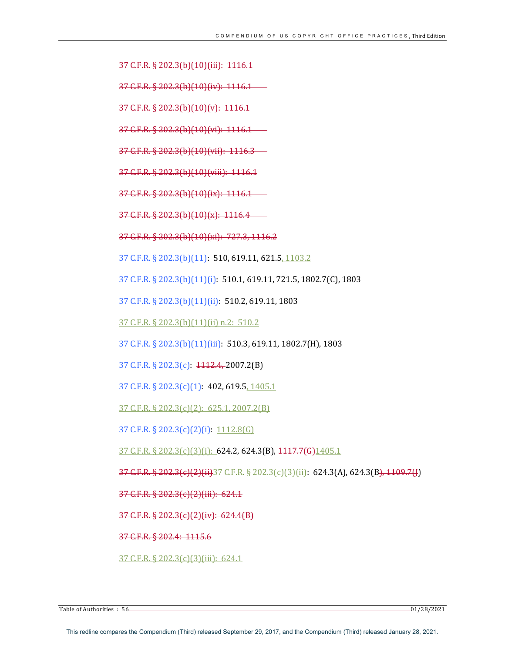37 C.F.R. § 202.3(b)(10)(iii): 1116.1

37 C.F.R. § 202.3(b)(10)(iv): 1116.1

 $37$  C.F.R. § 202.3(b)(10)(v): 1116.1 –

37 C.F.R. § 202.3(b)(10)(vi): 1116.1

37 C.F.R. § 202.3(b)(10)(vii): 1116.3 -

37 C.F.R. § 202.3(b)(10)(viii): 1116.1

 $37 \text{ C.F.R. } \frac{202.3(b)}{10}(ix): 1116.1$ 

37 C.F.R. § 202.3(b)(10)(x): 1116.4—

37 C.F.R. § 202.3(b)(10)(xi): 727.3, 1116.2

37 C.F.R. § 202.3(b)(11): 510, 619.11, 621.5, 1103.2

37 C.F.R. § 202.3(b)(11)(i): 510.1, 619.11, 721.5, 1802.7(C), 1803

37 C.F.R. § 202.3(b)(11)(ii): 510.2, 619.11, 1803

37 C.F.R. § 202.3(b)(11)(ii) n.2: 510.2

37 C.F.R. § 202.3(b)(11)(iii): 510.3, 619.11, 1802.7(H), 1803

37 C.F.R.  $\S 202.3(c)$ :  $1112.4, 2007.2(B)$ 

37 C.F.R.  $\S 202.3(c)(1)$ : 402, 619.5, 1405.1

37 C.F.R. § 202.3(c)(2): 625.1, 2007.2(B)

37 C.F.R. § 202.3(c)(2)(i): 1112.8(G)

37 C.F.R. § 202.3(c)(3)(i): 624.2, 624.3(B), 1117.7(G)1405.1

37 C.F.R. § 202.3(c)(2)(ii)37 C.F.R. § 202.3(c)(3)(ii): 624.3(A), 624.3(B), 1109.7(J)

37 C.F.R. § 202.3(c)(2)(iii): 624.1

 $37$  C.F.R. § 202.3(c)(2)(iv): 624.4(B)

37 C.F.R. § 202.4: 1115.6

 $37$  C.F.R. § 202.3(c)(3)(iii): 624.1

 $\frac{1}{2}$  Table of Authorities  $\colon$  56  $\longrightarrow$  01/28/2021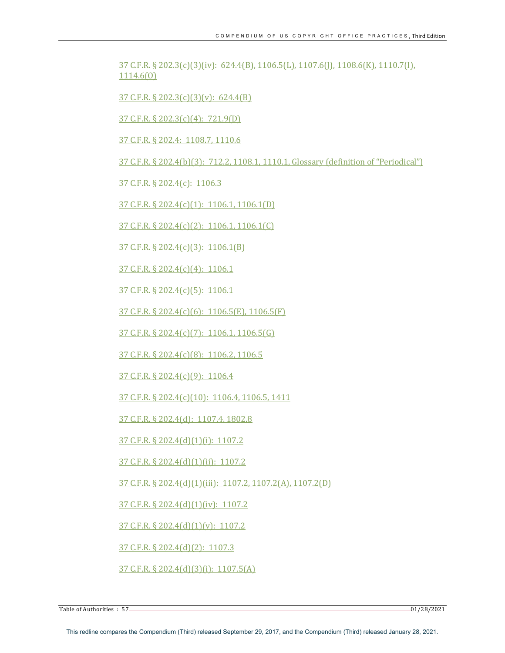$37 \text{ C.F.R.}$   $\S 202.3(c)(3)(iv): 624.4(B), 1106.5(L), 1107.6(I), 1108.6(K), 1110.7(I),$ 1114.6(O)

 $37$  C.F.R. § 202.3(c)(3)(v): 624.4(B)

37 C.F.R. § 202.3(c)(4): 721.9(D)

37 C.F.R. § 202.4: 1108.7, 1110.6

37 C.F.R. § 202.4(b)(3): 712.2, 1108.1, 1110.1, Glossary (definition of "Periodical")

37 C.F.R. § 202.4(c): 1106.3

37 C.F.R. § 202.4(c)(1): 1106.1, 1106.1(D)

37 C.F.R. § 202.4(c)(2): 1106.1, 1106.1(C)

37 C.F.R. § 202.4(c)(3): 1106.1(B)

37 C.F.R. § 202.4(c)(4): 1106.1

 $37$  C.F.R. § 202.4(c)(5): 1106.1

37 C.F.R. § 202.4(c)(6): 1106.5(E), 1106.5(F)

37 C.F.R. § 202.4(c)(7): 1106.1, 1106.5(G)

37 C.F.R. § 202.4(c)(8): 1106.2, 1106.5

37 C.F.R. § 202.4(c)(9): 1106.4

37 C.F.R. § 202.4(c)(10): 1106.4, 1106.5, 1411

37 C.F.R. § 202.4(d): 1107.4, 1802.8

37 C.F.R. § 202.4(d)(1)(i): 1107.2

37 C.F.R. § 202.4(d)(1)(ii): 1107.2

37 C.F.R. § 202.4(d)(1)(iii): 1107.2, 1107.2(A), 1107.2(D)

37 C.F.R. § 202.4(d)(1)(iv): 1107.2

 $37$  C.F.R. § 202.4(d)(1)(v): 1107.2

37 C.F.R. § 202.4(d)(2): 1107.3

37 C.F.R. § 202.4(d)(3)(i): 1107.5(A)

Table of Authorities : 57 01/28/2021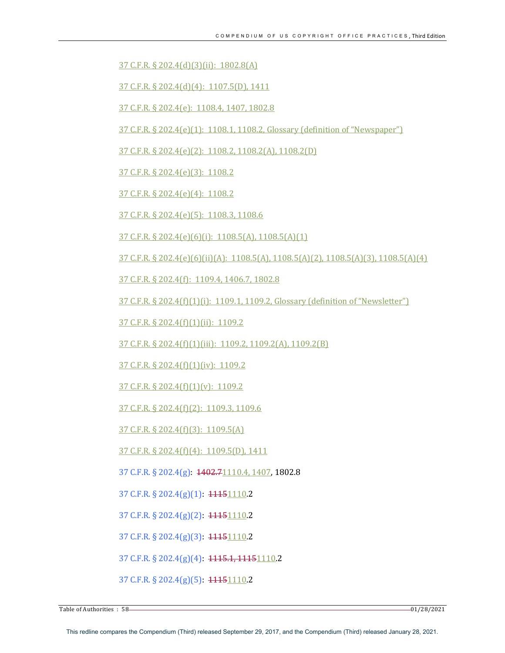37 C.F.R. § 202.4(d)(3)(ii): 1802.8(A)

37 C.F.R. § 202.4(d)(4): 1107.5(D), 1411

37 C.F.R. § 202.4(e): 1108.4, 1407, 1802.8

37 C.F.R. § 202.4(e)(1): 1108.1, 1108.2, Glossary (definition of "Newspaper")

37 C.F.R. § 202.4(e)(2): 1108.2, 1108.2(A), 1108.2(D)

37 C.F.R. § 202.4(e)(3): 1108.2

37 C.F.R. § 202.4(e)(4): 1108.2

37 C.F.R. § 202.4(e)(5): 1108.3, 1108.6

 $37$  C.F.R. § 202.4(e)(6)(i): 1108.5(A), 1108.5(A)(1)

 $37$  C.F.R. §  $202.4(e)$ (6)(ii)(A):  $1108.5(A)$ ,  $1108.5(A)(2)$ ,  $1108.5(A)(3)$ ,  $1108.5(A)(4)$ 

37 C.F.R. § 202.4(f): 1109.4, 1406.7, 1802.8

37 C.F.R. § 202.4(f)(1)(i): 1109.1, 1109.2, Glossary (definition of "Newsletter")

37 C.F.R. § 202.4(f)(1)(ii): 1109.2

37 C.F.R. § 202.4(f)(1)(iii): 1109.2, 1109.2(A), 1109.2(B)

 $37$  C.F.R. § 202.4(f)(1)(iv): 1109.2

37 C.F.R. § 202.4(f)(1)(v): 1109.2

37 C.F.R. § 202.4(f)(2): 1109.3, 1109.6

37 C.F.R. § 202.4(f)(3): 1109.5(A)

37 C.F.R. § 202.4(f)(4): 1109.5(D), 1411

37 C.F.R. § 202.4(g):  $\frac{1402.71110.4}{1407}$  1802.8

37 C.F.R. § 202.4(g)(1): 11151110.2

37 C.F.R. § 202.4(g)(2): 11151110.2

37 C.F.R. § 202.4(g)(3): 11151110.2

37 C.F.R. § 202.4(g)(4): 1115.1, 11151110.2

37 C.F.R. § 202.4(g)(5): 11151110.2

Table of Authorities : 58 01/28/2021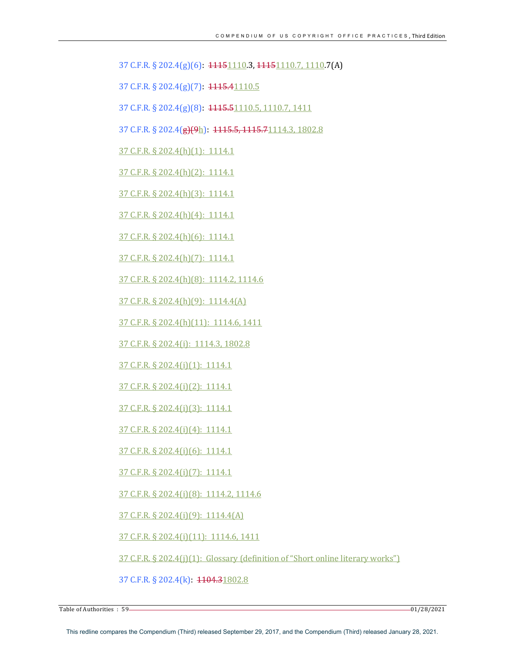37 C.F.R. § 202.4(g)(6): 11151110.3, 11151110.7, 1110.7(A)

37 C.F.R. § 202.4(g)(7): 1115.41110.5

37 C.F.R. § 202.4(g)(8): 1115.51110.5, 1110.7, 1411

37 C.F.R. § 202.4(g)(9h): 1115.5, 1115.71114.3, 1802.8

37 C.F.R. § 202.4(h)(1): 1114.1

37 C.F.R. § 202.4(h)(2): 1114.1

37 C.F.R. § 202.4(h)(3): 1114.1

 $37$  C.F.R. § 202.4(h)(4): 1114.1

 $37$  C.F.R. § 202.4(h)(6): 1114.1

 $37$  C.F.R. § 202.4(h)(7): 1114.1

37 C.F.R. § 202.4(h)(8): 1114.2, 1114.6

37 C.F.R. § 202.4(h)(9): 1114.4(A)

37 C.F.R. § 202.4(h)(11): 1114.6, 1411

37 C.F.R. § 202.4(i): 1114.3, 1802.8

37 C.F.R. § 202.4(i)(1): 1114.1

37 C.F.R. § 202.4(i)(2): 1114.1

37 C.F.R. § 202.4(i)(3): 1114.1

37 C.F.R. § 202.4(i)(4): 1114.1

37 C.F.R. § 202.4(i)(6): 1114.1

37 C.F.R. § 202.4(i)(7): 1114.1

37 C.F.R. § 202.4(i)(8): 1114.2, 1114.6

37 C.F.R. § 202.4(i)(9): 1114.4(A)

37 C.F.R. § 202.4(i)(11): 1114.6, 1411

 $37$  C.F.R. § 202.4(j)(1): Glossary (definition of "Short online literary works")

37 C.F.R. § 202.4(k): 1104.31802.8

Table of Authorities : 59 01/28/2021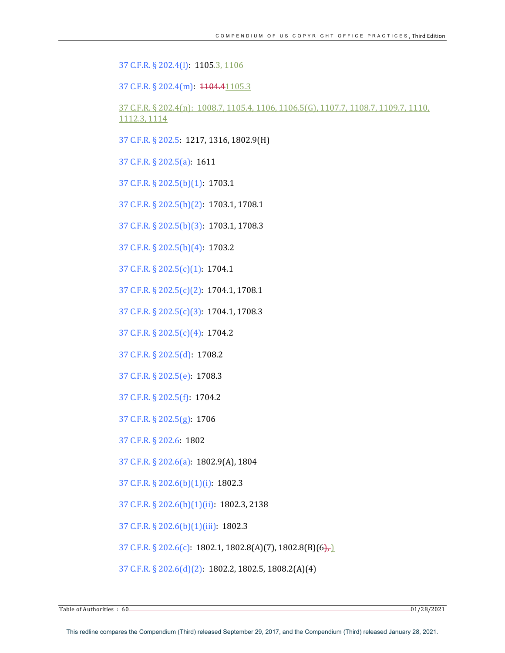37 C.F.R. § 202.4(l): 1105.3, 1106

37 C.F.R. § 202.4(m): 1104.41105.3

37 C.F.R. § 202.4(n): 1008.7, 1105.4, 1106, 1106.5(G), 1107.7, 1108.7, 1109.7, 1110, 1112.3, 1114

37 C.F.R. § 202.5: 1217, 1316, 1802.9(H)

37 C.F.R. § 202.5(a): 1611

37 C.F.R. § 202.5(b)(1): 1703.1

37 C.F.R. § 202.5(b)(2): 1703.1, 1708.1

37 C.F.R. § 202.5(b)(3): 1703.1, 1708.3

37 C.F.R. § 202.5(b)(4): 1703.2

37 C.F.R.  $\S$  202.5(c)(1): 1704.1

37 C.F.R. § 202.5(c)(2): 1704.1, 1708.1

37 C.F.R. § 202.5(c)(3): 1704.1, 1708.3

37 C.F.R. § 202.5(c)(4): 1704.2

37 C.F.R. § 202.5(d): 1708.2

37 C.F.R. § 202.5(e): 1708.3 

37 C.F.R. § 202.5(f): 1704.2

37 C.F.R. § 202.5(g): 1706

37 C.F.R. § 202.6: 1802

37 C.F.R. § 202.6(a): 1802.9(A), 1804

37 C.F.R. § 202.6(b)(1)(i): 1802.3

37 C.F.R. § 202.6(b)(1)(ii): 1802.3, 2138

37 C.F.R. § 202.6(b)(1)(iii): 1802.3

37 C.F.R. § 202.6(c): 1802.1, 1802.8(A)(7), 1802.8(B)(6),

37 C.F.R. § 202.6(d)(2): 1802.2, 1802.5, 1808.2(A)(4)

 $\frac{1}{2}$  Table of Authorities  $\colon 60$  and  $\frac{1}{28}/2021$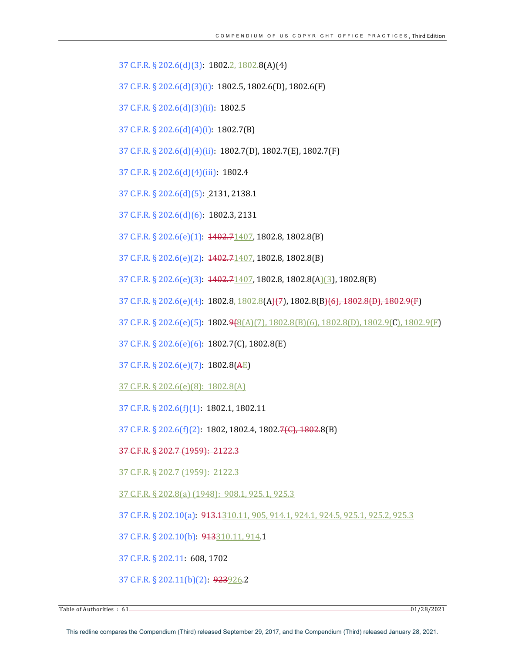37 C.F.R. § 202.6(d)(3): 1802.2, 1802.8(A)(4) 

37 C.F.R.  $\S 202.6(d)(3)(i)$ : 1802.5, 1802.6(D), 1802.6(F)

37 C.F.R. § 202.6(d)(3)(ii): 1802.5

37 C.F.R.  $\S 202.6(d)(4)(i)$ : 1802.7(B)

37 C.F.R. § 202.6(d)(4)(ii): 1802.7(D), 1802.7(E), 1802.7(F)

37 C.F.R. § 202.6(d)(4)(iii): 1802.4

37 C.F.R. § 202.6(d)(5): 2131, 2138.1

37 C.F.R. § 202.6(d)(6): 1802.3, 2131

37 C.F.R. § 202.6(e)(1):  $1402.71407$ , 1802.8, 1802.8(B)

37 C.F.R. § 202.6(e)(2):  $1402.71407$ , 1802.8, 1802.8(B)

37 C.F.R. § 202.6(e)(3):  $1402.71407$ , 1802.8, 1802.8(A)(3), 1802.8(B)

37 C.F.R. § 202.6(e)(4): 1802.8, 1802.8(A)(7), 1802.8(B)(6), 1802.8(D), 1802.9(F)

37 C.F.R. § 202.6(e)(5): 1802.9(8(A)(7), 1802.8(B)(6), 1802.8(D), 1802.9(C), 1802.9(F)

37 C.F.R. § 202.6(e)(6): 1802.7(C), 1802.8(E)

37 C.F.R.  $\S 202.6(e)(7)$ : 1802.8(AE)

37 C.F.R. § 202.6(e)(8): 1802.8(A)

37 C.F.R. § 202.6(f)(1): 1802.1, 1802.11

37 C.F.R. § 202.6(f)(2): 1802, 1802.4, 1802.7(C), 1802.8(B)

# 37 C.F.R. § 202.7 (1959): 2122.3

37 C.F.R. § 202.7 (1959): 2122.3

37 C.F.R. § 202.8(a) (1948): 908.1, 925.1, 925.3

37 C.F.R. § 202.10(a): 913.1310.11, 905, 914.1, 924.1, 924.5, 925.1, 925.2, 925.3

37 C.F.R. § 202.10(b): 913310.11, 914.1

37 C.F.R. § 202.11: 608, 1702

37 C.F.R. § 202.11(b)(2): 923926.2

Table of Authorities : 61 - 28/2021 **128/2021 128/2021 128/2021 128/2021 128/2021**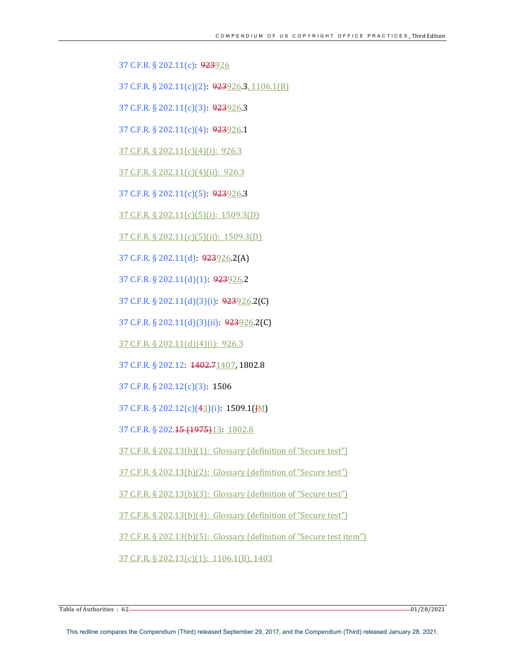37 C.F.R. § 202.11(c): 923926

37 C.F.R. § 202.11(c)(2): 923926.3, 1106.1(B)

37 C.F.R. § 202.11(c)(3): 923926.3

37 C.F.R. § 202.11(c)(4): 923926.1

 $37$  C.F.R. § 202.11(c)(4)(i): 926.3

37 C.F.R. § 202.11(c)(4)(ii): 926.3

37 C.F.R.  $\S$  202.11(c)(5): 923926.3

 $37$  C.F.R. § 202.11(c)(5)(i): 1509.3(D)

 $37$  C.F.R. § 202.11(c)(5)(ii): 1509.3(D)

37 C.F.R. § 202.11(d): 923926.2(A)

37 C.F.R.  $\S$  202.11(d)(1): 923926.2

37 C.F.R. § 202.11(d)(3)(i): 923926.2(C)

37 C.F.R. § 202.11(d)(3)(ii): 923926.2(C)

 $37$  C.F.R. § 202.11(d)(4)(i): 926.3

37 C.F.R. § 202.12: 1402.71407, 1802.8

37 C.F.R. § 202.12(c)(3): 1506

37 C.F.R. § 202.12(c)(43)(i): 1509.1(JM)

37 C.F.R. § 202.15 (1975)13: 1802.8

37 C.F.R. § 202.13(b)(1): Glossary (definition of "Secure test")

 $37$  C.F.R. § 202.13(b)(2): Glossary (definition of "Secure test")

37 C.F.R. § 202.13(b)(3): Glossary (definition of "Secure test")

37 C.F.R. § 202.13(b)(4): Glossary (definition of "Secure test")

37 C.F.R. § 202.13(b)(5): Glossary (definition of "Secure test item")

 $37$  C.F.R. § 202.13(c)(1): 1106.1(B), 1403

Table of Authorities : 62 01/28/2021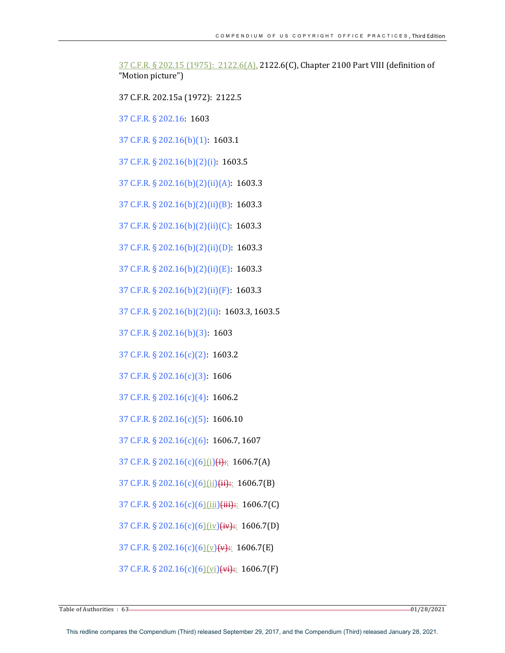37 C.F.R. § 202.15 (1975): 2122.6(A), 2122.6(C), Chapter 2100 Part VIII (definition of "Motion picture")

37 C.F.R. 202.15a (1972): 2122.5

37 C.F.R. § 202.16: 1603

37 C.F.R. § 202.16(b)(1): 1603.1

37 C.F.R. § 202.16(b)(2)(i): 1603.5

37 C.F.R. § 202.16(b)(2)(ii)(A): 1603.3

37 C.F.R. § 202.16(b)(2)(ii)(B): 1603.3

37 C.F.R. § 202.16(b)(2)(ii)(C): 1603.3

37 C.F.R. § 202.16(b)(2)(ii)(D): 1603.3

37 C.F.R. § 202.16(b)(2)(ii)(E): 1603.3

37 C.F.R. § 202.16(b)(2)(ii)(F): 1603.3

37 C.F.R. § 202.16(b)(2)(ii): 1603.3, 1603.5

37 C.F.R. § 202.16(b)(3): 1603

37 C.F.R. § 202.16(c)(2): 1603.2

37 C.F.R. § 202.16(c)(3): 1606

37 C.F.R.  $\S$  202.16(c)(4): 1606.2

37 C.F.R. § 202.16(c)(5): 1606.10

37 C.F.R. § 202.16(c)(6): 1606.7, 1607

37 C.F.R. § 202.16(c)(6)(i)(i):: 1606.7(A)

37 C.F.R. § 202.16(c)(6)(ii)(ii):: 1606.7(B)

37 C.F.R. § 202.16(c)(6)(iii)(iii):: 1606.7(C)

37 C.F.R. § 202.16(c)(6)(iv)(iv):: 1606.7(D)

37 C.F.R. § 202.16(c)(6)(y)(v):: 1606.7(E)

37 C.F.R. § 202.16(c)(6)(vi)(vi):: 1606.7(F)

Table of Authorities  $\colon 63$  01/28/2021 01/28/2021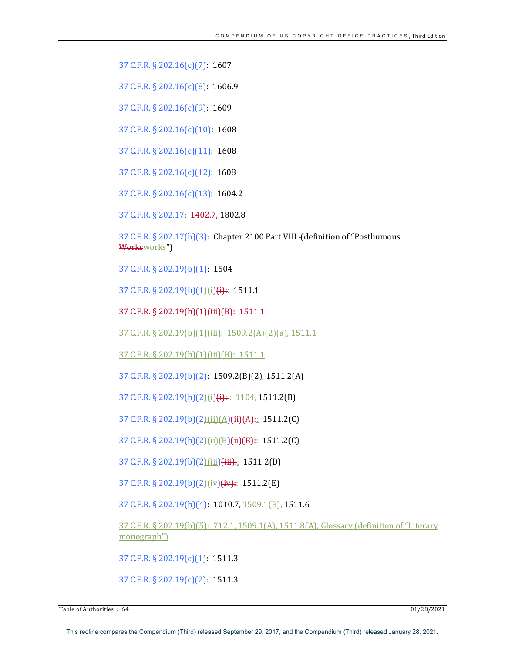37 C.F.R. § 202.16(c)(7): 1607

37 C.F.R. § 202.16(c)(8): 1606.9

37 C.F.R. § 202.16(c)(9): 1609

37 C.F.R. § 202.16(c)(10): 1608

37 C.F.R. § 202.16(c)(11): 1608

37 C.F.R. § 202.16(c)(12): 1608

37 C.F.R. § 202.16(c)(13): 1604.2

37 C.F.R. § 202.17: 1402.7, 1802.8

37 C.F.R. § 202.17(b)(3): Chapter 2100 Part VIII - (definition of "Posthumous Worksworks")

37 C.F.R. § 202.19(b)(1): 1504

37 C.F.R. § 202.19(b)(1)(i)(i):: 1511.1

37 C.F.R. § 202.19(b)(1)(iii)(B): 1511.1-

37 C.F.R. § 202.19(b)(1)(iii): 1509.2(A)(2)(a), 1511.1

37 C.F.R. § 202.19(b)(1)(iii)(B): 1511.1

37 C.F.R. § 202.19(b)(2): 1509.2(B)(2), 1511.2(A)

37 C.F.R. § 202.19(b)(2)(i)(i):: 1104, 1511.2(B)

37 C.F.R. § 202.19(b)(2)(ii)(A)(ii)(A):: 1511.2(C)

37 C.F.R. § 202.19(b)(2)(ii)(B)(ii)(B):: 1511.2(C)

37 C.F.R. § 202.19(b)(2)(iii)(iii):: 1511.2(D)

37 C.F.R. § 202.19(b)(2)(iv)(iv):: 1511.2(E)

37 C.F.R. § 202.19(b)(4): 1010.7, 1509.1(B), 1511.6

37 C.F.R. § 202.19(b)(5): 712.1, 1509.1(A), 1511.8(A), Glossary (definition of "Literary monograph")

37 C.F.R.  $\S 202.19(c)(1)$ : 1511.3

37 C.F.R. § 202.19(c)(2): 1511.3

Table of Authorities  $\colon 64$  01/28/2021 01/28/2021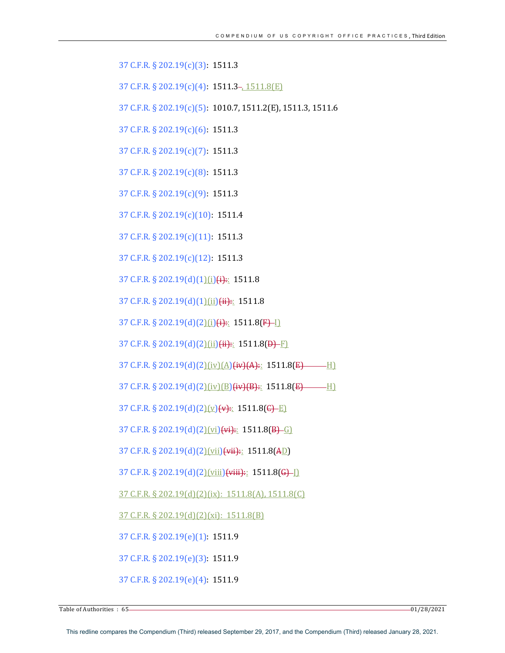37 C.F.R. § 202.19(c)(3): 1511.3 

37 C.F.R.  $\S 202.19(c)(4)$ : 1511.3–, 1511.8(E)

37 C.F.R. § 202.19(c)(5): 1010.7, 1511.2(E), 1511.3, 1511.6

37 C.F.R. § 202.19(c)(6): 1511.3

37 C.F.R. § 202.19(c)(7): 1511.3

37 C.F.R. § 202.19(c)(8): 1511.3

37 C.F.R. § 202.19(c)(9): 1511.3

37 C.F.R. § 202.19(c)(10): 1511.4

37 C.F.R. § 202.19(c)(11): 1511.3

37 C.F.R. § 202.19(c)(12): 1511.3

37 C.F.R. § 202.19(d)(1)(i)(i):: 1511.8

37 C.F.R. § 202.19(d)(1)(ii)(ii):: 1511.8

 $37$  C.F.R. § 202.19(d)(2)(i)(i):: 1511.8(F)-1)

37 C.F.R. § 202.19(d)(2)(ii)(ii):: 1511.8(D)-F)

37 C.F.R. § 202.19(d)(2)(iv)(A)(iv)(A):: 1511.8(E) H)

37 C.F.R. § 202.19(d)(2)(iv)(B)(iv)(B):: 1511.8(E) H)

37 C.F.R. § 202.19(d)(2)(v)(v):: 1511.8(G)-E)

37 C.F.R. § 202.19(d)(2)(vi)(vi):: 1511.8(B)-G)

37 C.F.R. § 202.19(d)(2)(vii)(vii):: 1511.8(AD)

37 C.F.R. § 202.19(d)(2)(viii)(viii)::  $1511.8(G)$ ]

37 C.F.R. § 202.19(d)(2)(ix): 1511.8(A), 1511.8(C)

37 C.F.R. § 202.19(d)(2)(xi): 1511.8(B)

37 C.F.R. § 202.19(e)(1): 1511.9 

37 C.F.R. § 202.19(e)(3): 1511.9 

37 C.F.R. § 202.19(e)(4): 1511.9

Table of Authorities  $\colon 65$  - 01/28/2021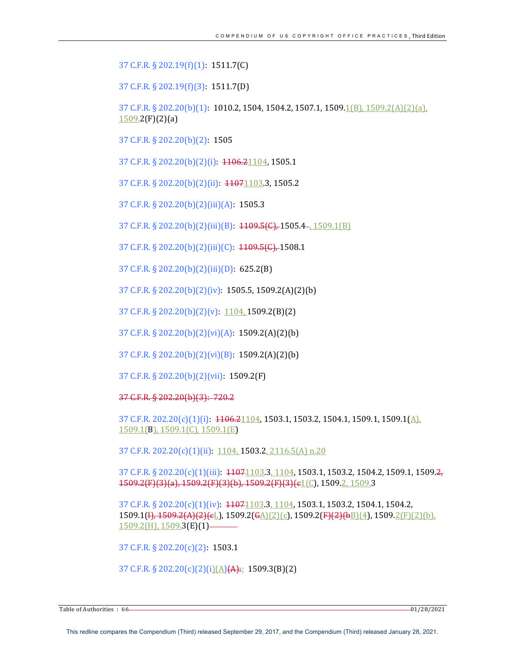37 C.F.R. § 202.19(f)(1): 1511.7(C) 

37 C.F.R. § 202.19(f)(3): 1511.7(D) 

37 C.F.R. § 202.20(b)(1): 1010.2, 1504, 1504.2, 1507.1, 1509.1(B), 1509.2(A)(2)(a),  $1509.2(F)(2)(a)$ 

37 C.F.R. § 202.20(b)(2): 1505

37 C.F.R. § 202.20(b)(2)(i): 1106.21104, 1505.1

37 C.F.R. § 202.20(b)(2)(ii):  $\frac{11071103}{3}$ , 1505.2

37 C.F.R. § 202.20(b)(2)(iii)(A): 1505.3

37 C.F.R. § 202.20(b)(2)(iii)(B):  $1109.5($ G), 1505.4–, 1509.1(B)

37 C.F.R. § 202.20(b)(2)(iii)(C):  $1109.5($ <sup>c</sup>), 1508.1

37 C.F.R. § 202.20(b)(2)(iii)(D): 625.2(B)

37 C.F.R. § 202.20(b)(2)(iv): 1505.5, 1509.2(A)(2)(b)

37 C.F.R. § 202.20(b)(2)(v):  $1104, 1509.2(B)(2)$ 

37 C.F.R. § 202.20(b)(2)(vi)(A):  $1509.2(A)(2)(b)$ 

37 C.F.R. § 202.20(b)(2)(vi)(B):  $1509.2(A)(2)(b)$ 

37 C.F.R. § 202.20(b)(2)(vii): 1509.2(F)

37 C.F.R. § 202.20(b)(3): 720.2

37 C.F.R. 202.20(c)(1)(i):  $1106.21104$ , 1503.1, 1503.2, 1504.1, 1509.1, 1509.1(A), 1509.1(B), 1509.1(C), 1509.1(E)

37 C.F.R. 202.20(c)(1)(ii): 1104, 1503.2, 2116.5(A) n.20

37 C.F.R. § 202.20(c)(1)(iii):  $\frac{11071103.3}{1104}$ , 1503.1, 1503.2, 1504.2, 1509.1, 1509.2,  $1509.2(F)(3)(a)$ ,  $1509.2(F)(3)(b)$ ,  $1509.2(F)(3)(e1)(c)$ ,  $1509.2, 1509.3$ 

 $37 \text{ C.F.R.}$  §  $202.20 \text{ (c)}(1) \text{ (iv)}$ :  $41071103.3, 1104, 1503.1, 1503.2, 1504.1, 1504.2,$  $1509.1(\frac{\mu}{\mu}, \frac{1509.2(\text{A})(2)(\text{c})}{\text{c}})$ ,  $1509.2(\frac{\text{c}}{\text{c}})(2)(\text{c})$ ,  $1509.2(\frac{\text{c}}{\text{c}})(4)$ ,  $1509.2(\frac{\text{c}}{\text{c}})(2)(\text{b})$ ,  $1509.2(H)$ ,  $1509.3(E)(1)$ -

37 C.F.R. § 202.20(c)(2): 1503.1

37 C.F.R. § 202.20(c)(2)(i)(A)(A):: 1509.3(B)(2)

Table of Authorities : 66 01/28/2021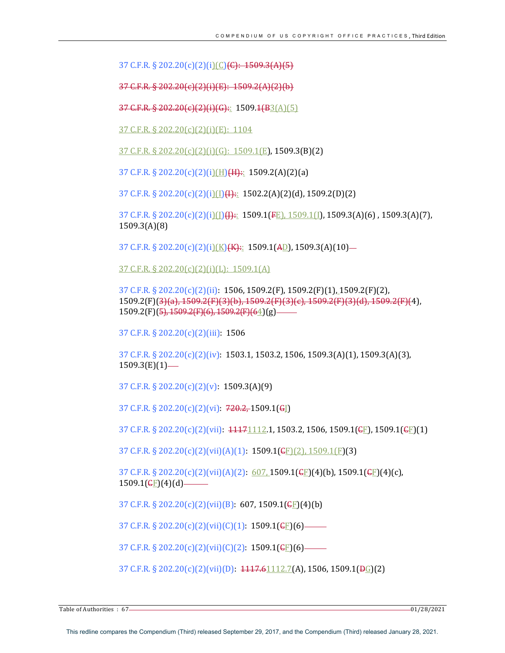37 C.F.R. § 202.20(c)(2)(i)(C)<del>(C): 1509.3(A)(5)</del>

37 C.F.R. § 202.20(c)(2)(i)(E): 1509.2(A)(2)(b)

37 C.F.R. § 202.20(c)(2)(i)(G):: 1509.1(B3(A)(5)

37 C.F.R. § 202.20(c)(2)(i)(E):  $1104$ 

 $37$  C.F.R. § 202.20(c)(2)(i)(G):  $1509.1(E)$ , 1509.3(B)(2)

37 C.F.R. § 202.20(c)(2)(i)(H)(H):: 1509.2(A)(2)(a)

37 C.F.R.  $\S 202.20(c)(2)(i)$ (I)(I)(I):: 1502.2(A)(2)(d), 1509.2(D)(2)

 $37 \text{ C.F.R.}$   $\S 202.20(c)(2)(i)(1)(1)$   $\bigoplus$   $1509.1(FE)$ ,  $1509.1(I)$ ,  $1509.3(A)(6)$ ,  $1509.3(A)(7)$ , 1509.3(A)(8) 

37 C.F.R. § 202.20(c)(2)(i)(K)(K):: 1509.1(AD), 1509.3(A)(10)-

37 C.F.R. § 202.20(c)(2)(i)(L): 1509.1(A)

37 C.F.R. § 202.20(c)(2)(ii): 1506, 1509.2(F), 1509.2(F)(1), 1509.2(F)(2), 1509.2(F)(3)(a), 1509.2(F)(3)(b), 1509.2(F)(3)(c), 1509.2(F)(3)(d), 1509.2(F)(4),  $1509.2(F)(\frac{5}{7}, \frac{1509.2(F)(6)}{1509.2(F)(64)}(g)$ 

37 C.F.R. § 202.20(c)(2)(iii): 1506

 $37 \text{ C.F.R.}$  §  $202.20 \text{ (c)}(2) \text{ (iv)}$ : 1503.1, 1503.2, 1506, 1509.3(A)(1), 1509.3(A)(3),  $1509.3(E)(1)$ —

37 C.F.R. § 202.20(c)(2)(v): 1509.3(A)(9)

37 C.F.R. § 202.20(c)(2)(vi):  $720.2, 1509.1$ (G[)

37 C.F.R. § 202.20(c)(2)(vii):  $\frac{11171112.1}{112.1}$ , 1503.2, 1506, 1509.1(GE), 1509.1(GE)(1)

37 C.F.R. § 202.20(c)(2)(vii)(A)(1): 1509.1(<del>C</del>F)(2), 1509.1(F)(3)

37 C.F.R. § 202.20(c)(2)(vii)(A)(2):  $607, 1509.1(\text{CE})(4)$ (b), 1509.1( $\text{CE}(4)$ (c),  $1509.1$ ( $E$ )(4)(d)-

37 C.F.R. § 202.20(c)(2)(vii)(B): 607, 1509.1( $E$ )(4)(b)

37 C.F.R.  $\S 202.20(c)(2)(vii)(C)(1): 1509.1(\text{EF})(6)$ 

37 C.F.R. § 202.20(c)(2)(vii)(C)(2): 1509.1( $\epsilon$ F)(6)–

37 C.F.R. § 202.20(c)(2)(vii)(D):  $4117.61112.7(A)$ , 1506, 1509.1( $\Theta$ G)(2)

Table of Authorities : 67 01/28/2021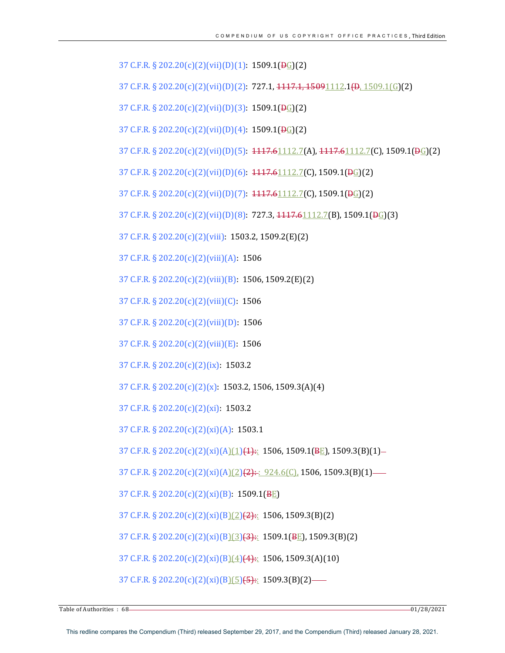37 C.F.R. § 202.20(c)(2)(vii)(D)(1): 1509.1( $\overline{P_G}$ )(2)

 $37 \text{ C.F.R.} \S 202.20(c)(2)(\text{vii})(D)(2): 727.1, \frac{1117.1, \frac{15091112.1}{40} \cdot 1509.1}{G(2)}$ 

37 C.F.R. § 202.20(c)(2)(vii)(D)(3):  $1509.1(\overline{pq})(2)$ 

37 C.F.R.  $\S 202.20(c)(2)(vii)(D)(4)$ : 1509.1( $\overline{P_G}(2)$ )

37 C.F.R. § 202.20(c)(2)(vii)(D)(5):  $4117.61112.7(A)$ ,  $4117.61112.7(C)$ ,  $1509.1(\overline{P_G}(2)$ 

37 C.F.R. § 202.20(c)(2)(vii)(D)(6):  $1117.61112.7(C)$ , 1509.1( $\overline{P_G}$ )(2)

37 C.F.R. § 202.20(c)(2)(vii)(D)(7):  $\frac{1117.61112.7}{C}$ , 1509.1( $\frac{DG}{C}$ )(2)

37 C.F.R. § 202.20(c)(2)(vii)(D)(8): 727.3,  $\frac{1117.61112.7(B)}{112.7(B)}$ , 1509.1( $\frac{DG}{G}$ )(3)

37 C.F.R. § 202.20(c)(2)(viii): 1503.2, 1509.2(E)(2)

37 C.F.R. § 202.20(c)(2)(viii)(A): 1506

37 C.F.R.  $\S 202.20(c)(2)(viii)(B)$ : 1506, 1509.2(E)(2)

37 C.F.R.  $\S 202.20(c)(2)(viii)(C)$ : 1506

37 C.F.R. § 202.20(c)(2)(viii)(D): 1506

37 C.F.R. § 202.20(c)(2)(viii)(E): 1506

37 C.F.R.  $\S 202.20(c)(2)(ix): 1503.2$ 

37 C.F.R.  $\S 202.20(c)(2)(x)$ : 1503.2, 1506, 1509.3(A)(4)

37 C.F.R. § 202.20(c)(2)(xi): 1503.2

37 C.F.R. § 202.20(c)(2)(xi)(A): 1503.1

37 C.F.R. § 202.20(c)(2)(xi)(A)(1)(4):: 1506, 1509.1(BE), 1509.3(B)(1)-

37 C.F.R. § 202.20(c)(2)(xi)(A)(2)(2):  $\cdot$  924.6(C), 1506, 1509.3(B)(1) —

37 C.F.R. § 202.20(c)(2)(xi)(B): 1509.1(BE)

37 C.F.R. § 202.20(c)(2)(xi)(B)(2)(2):: 1506, 1509.3(B)(2)

37 C.F.R. § 202.20(c)(2)(xi)(B)(3)(3):: 1509.1(BE), 1509.3(B)(2)

37 C.F.R. § 202.20(c)(2)(xi)(B)(4)(4):: 1506, 1509.3(A)(10)

37 C.F.R. § 202.20(c)(2)(xi)(B)(5)(5):: 1509.3(B)(2)—

Table of Authorities : 68 01/28/2021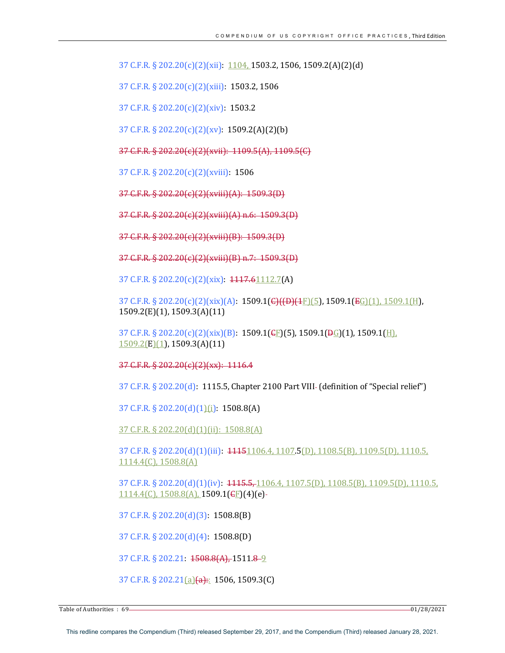37 C.F.R. § 202.20(c)(2)(xii):  $1104$ , 1503.2, 1506, 1509.2(A)(2)(d)

37 C.F.R. § 202.20(c)(2)(xiii): 1503.2, 1506

37 C.F.R. § 202.20(c)(2)(xiv): 1503.2

37 C.F.R.  $\S 202.20(c)(2)(xv): 1509.2(A)(2)(b)$ 

37 C.F.R. § 202.20(c)(2)(xvii): 1109.5(A), 1109.5(C)

37 C.F.R. § 202.20(c)(2)(xviii): 1506

37 C.F.R. § 202.20(c)(2)(xviii)(A): 1509.3(D)

37 C.F.R. § 202.20(c)(2)(xviii)(A) n.6:  $1509.3(D)$ 

37 C.F.R. § 202.20(c)(2)(xviii)(B): 1509.3(D)

37 C.F.R. § 202.20(c)(2)(xviii)(B) n.7: 1509.3(D)

37 C.F.R. § 202.20(c)(2)(xix):  $1117.61112.7(A)$ 

37 C.F.R. § 202.20(c)(2)(xix)(A): 1509.1(<del>C)((D)(1</del>F)(5), 1509.1(<del>EG</del>)(1), 1509.1(H), 1509.2(E)(1), 1509.3(A)(11)

37 C.F.R. § 202.20(c)(2)(xix)(B): 1509.1(<del>C</del>F)(5), 1509.1( $\overline{B_G}$ )(1), 1509.1( $\overline{H}$ ),  $1509.2(E)(1)$ , 1509.3(A)(11)

37 C.F.R. § 202.20(c)(2)(xx): 1116.4

37 C.F.R.  $\S 202.20(d)$ : 1115.5, Chapter 2100 Part VIII- (definition of "Special relief")

37 C.F.R. § 202.20(d)(1)(i): 1508.8(A)

37 C.F.R. § 202.20(d)(1)(ii): 1508.8(A)

37 C.F.R. § 202.20(d)(1)(iii):  $\frac{11151106.4}{1107.5}$ (D), 1108.5(B), 1109.5(D), 1110.5, 1114.4(C), 1508.8(A)

37 C.F.R. § 202.20(d)(1)(iv): 1115.5, 1106.4, 1107.5(D), 1108.5(B), 1109.5(D), 1110.5,  $1114.4(C)$ ,  $1508.8(A)$ ,  $1509.1(\text{GE})(4)(e)$ -

37 C.F.R. § 202.20(d)(3): 1508.8(B)

37 C.F.R. § 202.20(d)(4): 1508.8(D) 

37 C.F.R. § 202.21: 1508.8(A), 1511.8 - 9

37 C.F.R. § 202.21(a)(a):: 1506, 1509.3(C)

Table of Authorities  $\cdot$  69 01/28/2021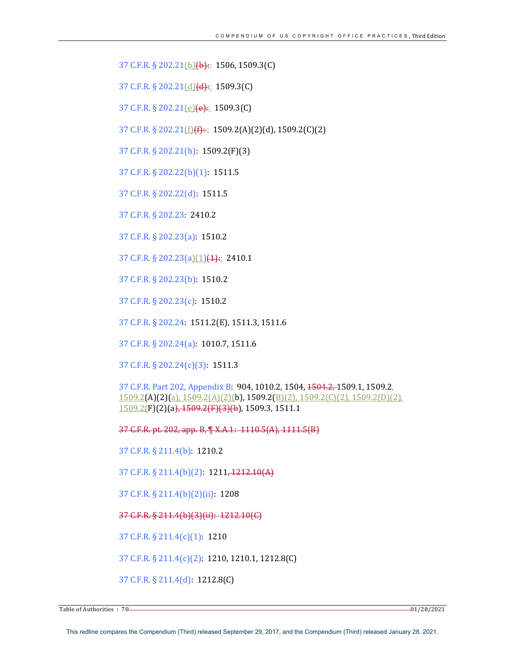37 C.F.R. § 202.21(b)(b):: 1506, 1509.3(C)

37 C.F.R. § 202.21(d)(d):: 1509.3(C)

37 C.F.R. § 202.21(e)(e):: 1509.3(C)

37 C.F.R. § 202.21 $(f)$ (f): 1509.2(A)(2)(d), 1509.2(C)(2)

37 C.F.R. § 202.21(h): 1509.2(F)(3)

37 C.F.R. § 202.22(b)(1): 1511.5

37 C.F.R. § 202.22(d): 1511.5

37 C.F.R. § 202.23: 2410.2 

37 C.F.R. § 202.23(a): 1510.2

37 C.F.R. § 202.23(a)(1)(4):: 2410.1

37 C.F.R. § 202.23(b): 1510.2

37 C.F.R. § 202.23(c): 1510.2

37 C.F.R. § 202.24: 1511.2(E), 1511.3, 1511.6

37 C.F.R. § 202.24(a): 1010.7, 1511.6

37 C.F.R. § 202.24(c)(3): 1511.3

37 C.F.R. Part 202, Appendix B: 904, 1010.2, 1504, 1504.2, 1509.1, 1509.2,  $1509.2(A)(2)(a)$ ,  $1509.2(A)(2)(b)$ ,  $1509.2(B)(2)$ ,  $1509.2(C)(2)$ ,  $1509.2(D)(2)$ ,  $1509.2$ [F](2)(a),  $1509.2$ [F](3)(b), 1509.3, 1511.1

37 C.F.R. pt. 202, app. B,  $\P$  X.A.1: 1110.5(A), 1111.5(B)

37 C.F.R. § 211.4(b): 1210.2

37 C.F.R. § 211.4(b)(2): 1211<del>, 1212.10(A)</del>

37 C.F.R. § 211.4(b)(2)(ii): 1208

37 C.F.R. § 211.4(b)(3)(ii): 1212.10(C)

37 C.F.R. § 211.4(c)(1): 1210

37 C.F.R. § 211.4(c)(2): 1210, 1210.1, 1212.8(C)

37 C.F.R. § 211.4(d): 1212.8(C)

Table of Authorities : 70 01/28/2021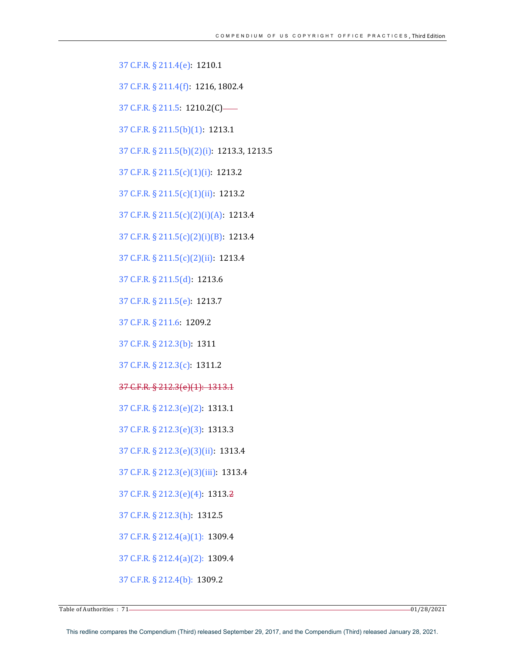37 C.F.R. § 211.4(e): 1210.1

37 C.F.R. § 211.4(f): 1216, 1802.4

37 C.F.R. § 211.5: 1210.2(C)-

37 C.F.R. § 211.5(b)(1): 1213.1

37 C.F.R. § 211.5(b)(2)(i): 1213.3, 1213.5

37 C.F.R. § 211.5(c)(1)(i): 1213.2

37 C.F.R. § 211.5(c)(1)(ii): 1213.2

37 C.F.R. § 211.5(c)(2)(i)(A): 1213.4

37 C.F.R. § 211.5(c)(2)(i)(B): 1213.4

37 C.F.R. § 211.5(c)(2)(ii): 1213.4

37 C.F.R. § 211.5(d): 1213.6

37 C.F.R. § 211.5(e): 1213.7

37 C.F.R. § 211.6: 1209.2

37 C.F.R. § 212.3(b): 1311

37 C.F.R. § 212.3(c): 1311.2

37 C.F.R. § 212.3(e)(1): 1313.1

37 C.F.R. § 212.3(e)(2): 1313.1

37 C.F.R. § 212.3(e)(3): 1313.3

37 C.F.R. § 212.3(e)(3)(ii): 1313.4

37 C.F.R. § 212.3(e)(3)(iii): 1313.4

37 C.F.R. § 212.3(e)(4): 1313.2

37 C.F.R. § 212.3(h): 1312.5

37 C.F.R. § 212.4(a)(1): 1309.4

37 C.F.R. § 212.4(a)(2): 1309.4

37 C.F.R. § 212.4(b): 1309.2

Table of Authorities  $: 71$  01/28/2021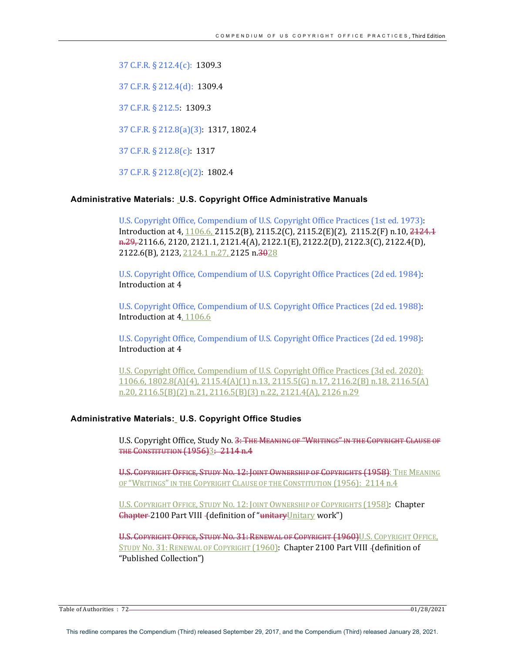37 C.F.R. § 212.4(c): 1309.3

37 C.F.R. § 212.4(d): 1309.4

37 C.F.R. § 212.5: 1309.3

37 C.F.R. § 212.8(a)(3): 1317, 1802.4

37 C.F.R. § 212.8(c): 1317

37 C.F.R. § 212.8(c)(2): 1802.4

# **Administrative Materials: U.S. Copyright Office Administrative Manuals**

U.S. Copyright Office, Compendium of U.S. Copyright Office Practices (1st ed. 1973): Introduction at 4, 1106.6, 2115.2(B), 2115.2(C), 2115.2(E)(2), 2115.2(F) n.10, 2124.1 n.29, 2116.6, 2120, 2121.1, 2121.4(A), 2122.1(E), 2122.2(D), 2122.3(C), 2122.4(D), 2122.6(B), 2123, 2124.1 n.27, 2125 n.3028

U.S. Copyright Office, Compendium of U.S. Copyright Office Practices (2d ed. 1984): Introduction at 4

U.S. Copyright Office, Compendium of U.S. Copyright Office Practices (2d ed. 1988): Introduction at 4, 1106.6

U.S. Copyright Office, Compendium of U.S. Copyright Office Practices (2d ed. 1998): Introduction at 4

U.S. Copyright Office, Compendium of U.S. Copyright Office Practices (3d ed. 2020):  $1106.6$ ,  $1802.8(A)(4)$ ,  $2115.4(A)(1)$  n.13,  $2115.5(G)$  n.17,  $2116.2(B)$  n.18,  $2116.5(A)$ n.20, 2116.5(B)(2) n.21, 2116.5(B)(3) n.22, 2121.4(A), 2126 n.29

# **Administrative Materials: U.S. Copyright Office Studies**

U.S. Copyright Office, Study No. 3: THE MEANING OF "WRITINGS" IN THE COPYRIGHT CLAUSE OF THE CONSTITUTION (1956)3: 2114 n.4

U.S. COPYRIGHT OFFICE, STUDY NO. 12: JOINT OWNERSHIP OF COPYRIGHTS (1958): THE MEANING OF "WRITINGS" IN THE COPYRIGHT CLAUSE OF THE CONSTITUTION (1956): 2114 n.4

U.S. COPYRIGHT OFFICE, STUDY NO. 12: JOINT OWNERSHIP OF COPYRIGHTS (1958): Chapter Ghapter-2100 Part VIII - (definition of "unitaryUnitary work")

U.S. COPYRIGHT OFFICE, STUDY NO. 31: RENEWAL OF COPYRIGHT (1960)U.S. COPYRIGHT OFFICE, STUDY NO. 31: RENEWAL OF COPYRIGHT (1960): Chapter 2100 Part VIII - (definition of "Published Collection")

Table of Authorities : 72 01/28/2021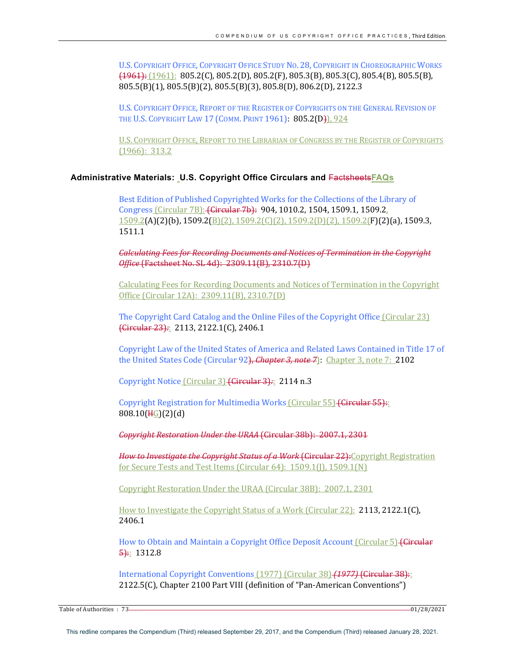U.S. COPYRIGHT OFFICE, COPYRIGHT OFFICE STUDY NO. 28, COPYRIGHT IN CHOREOGRAPHIC WORKS  $(1961)$ :  $(1961)$ :  $805.2(C)$ ,  $805.2(D)$ ,  $805.2(F)$ ,  $805.3(B)$ ,  $805.3(C)$ ,  $805.4(B)$ ,  $805.5(B)$ , 805.5(B)(1), 805.5(B)(2), 805.5(B)(3), 805.8(D), 806.2(D), 2122.3

U.S. COPYRIGHT OFFICE, REPORT OF THE REGISTER OF COPYRIGHTS ON THE GENERAL REVISION OF THE U.S. COPYRIGHT LAW 17 (COMM. PRINT 1961): 805.2(D)), 924

U.S. COPYRIGHT OFFICE, REPORT TO THE LIBRARIAN OF CONGRESS BY THE REGISTER OF COPYRIGHTS  $(1966): 313.2$ 

# **Administrative Materials: U.S. Copyright Office Circulars and** Factsheets**FAQs**

Best Edition of Published Copyrighted Works for the Collections of the Library of Congress (Circular 7B): (Circular 7b): 904, 1010.2, 1504, 1509.1, 1509.2,  $1509.2(A)(2)(b)$ ,  $1509.2(B)(2)$ ,  $1509.2(C)(2)$ ,  $1509.2(D)(2)$ ,  $1509.2(F)(2)(a)$ ,  $1509.3$ , 1511.1

*Calculating Fees for Recording Documents and Notices of Termination in the Copyright Office* (Factsheet No. SL 4d): 2309.11(B), 2310.7(D)

Calculating Fees for Recording Documents and Notices of Termination in the Copyright Office (Circular 12A): 2309.11(B), 2310.7(D)

The Copyright Card Catalog and the Online Files of the Copyright Office  $(Circular 23)$ (Circular 23)*:*: 2113, 2122.1(C), 2406.1

Copyright Law of the United States of America and Related Laws Contained in Title 17 of the United States Code (Circular 92), *Chapter 3, note 7*): Chapter 3, note 7: **2102** 

Copyright Notice (Circular 3) (Circular 3): 2114 n.3

Copyright Registration for Multimedia Works (Circular 55) (Circular 55): 808.10(HG)(2)(d)

*Copyright Restoration Under the URAA* (Circular 38b): 2007.1, 2301

*How to Investigate the Copyright Status of a Work* (Circular 22): Copyright Registration for Secure Tests and Test Items (Circular 64): 1509.1(J), 1509.1(N)

Copyright Restoration Under the URAA (Circular 38B): 2007.1, 2301

How to Investigate the Copyright Status of a Work (Circular 22): 2113, 2122.1(C), 2406.1

How to Obtain and Maintain a Copyright Office Deposit Account (Circular 5) <del>(Circular</del>  $5:1312.8$ 

International Copyright Conventions (1977) (Circular 38) (1977) (Circular 38): 2122.5(C), Chapter 2100 Part VIII (definition of "Pan-American Conventions")

Table of Authorities  $: 73$  01/28/2021 01/28/2021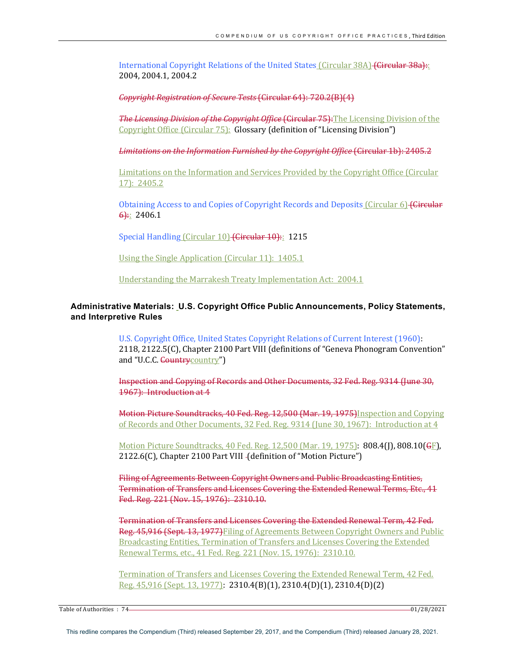International Copyright Relations of the United States (Circular 38A) (Circular 38a): 2004, 2004.1, 2004.2

*Copyright Registration of Secure Tests* (Circular 64): 720.2(B)(4)

**The Licensing Division of the Copyright Office (Circular 75):**The Licensing Division of the Copyright Office (Circular 75): Glossary (definition of "Licensing Division")

*Limitations on the Information Furnished by the Copyright Office* (Circular 1b): 2405.2

Limitations on the Information and Services Provided by the Copyright Office (Circular 17): 2405.2

Obtaining Access to and Copies of Copyright Records and Deposits (Circular 6) (Circular  $6$ : 2406.1

Special Handling (Circular 10) (Circular 10): 1215

Using the Single Application (Circular 11): 1405.1

Understanding the Marrakesh Treaty Implementation Act: 2004.1

# **Administrative Materials: U.S. Copyright Office Public Announcements, Policy Statements, and Interpretive Rules**

U.S. Copyright Office, United States Copyright Relations of Current Interest (1960): 2118, 2122.5(C), Chapter 2100 Part VIII (definitions of "Geneva Phonogram Convention" and "U.C.C. Countrycountry")

Inspection and Copying of Records and Other Documents, 32 Fed. Reg. 9314 (June 30, 1967): Introduction at 4

Motion Picture Soundtracks, 40 Fed. Reg. 12,500 (Mar. 19, 1975) Inspection and Copying of Records and Other Documents, 32 Fed. Reg. 9314 (June 30, 1967): Introduction at 4

Motion Picture Soundtracks, 40 Fed. Reg.  $12,500$  (Mar. 19, 1975):  $808.4$ (J),  $808.10$ (GF), 2122.6(C), Chapter 2100 Part VIII - (definition of "Motion Picture")

Filing of Agreements Between Copyright Owners and Public Broadcasting Entities, Termination of Transfers and Licenses Covering the Extended Renewal Terms, Etc., 41 Fed. Reg. 221 (Nov. 15, 1976): 2310.10.

Termination of Transfers and Licenses Covering the Extended Renewal Term, 42 Fed. Reg. 45,916 (Sept. 13, 1977) Filing of Agreements Between Copyright Owners and Public Broadcasting Entities, Termination of Transfers and Licenses Covering the Extended Renewal Terms, etc., 41 Fed. Reg. 221 (Nov. 15, 1976): 2310.10.

Termination of Transfers and Licenses Covering the Extended Renewal Term, 42 Fed. Reg. 45,916 (Sept. 13, 1977): 2310.4(B)(1), 2310.4(D)(1), 2310.4(D)(2)

Table of Authorities  $: 74$  01/28/2021 01/28/2021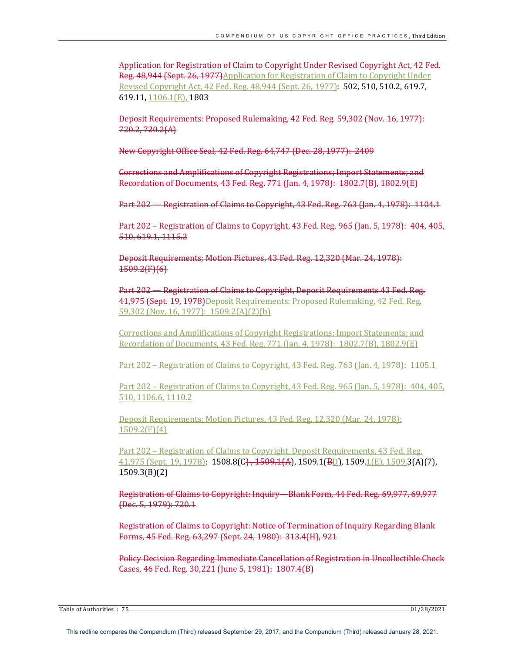Application for Registration of Claim to Copyright Under Revised Copyright Act, 42 Fed. Reg. 48,944 (Sept. 26, 1977)Application for Registration of Claim to Copyright Under Revised Copyright Act, 42 Fed. Reg. 48,944 (Sept. 26, 1977): **502, 510, 510.2, 619.7,** 619.11, 1106.1(E), 1803

Deposit Requirements: Proposed Rulemaking, 42 Fed. Reg. 59,302 (Nov. 16, 1977): 720.2, 720.2(A)

New Copyright Office Seal, 42 Fed. Reg. 64,747 (Dec. 28, 1977): 2409

Corrections and Amplifications of Copyright Registrations; Import Statements; and Recordation of Documents, 43 Fed. Reg. 771 (Jan. 4, 1978): 1802.7(B), 1802.9(E)

Part 202 — Registration of Claims to Copyright, 43 Fed. Reg. 763 (Jan. 4, 1978): 1104.1

Part 202 – Registration of Claims to Copyright, 43 Fed. Reg. 965 (Jan. 5, 1978): 404, 405, 510, 619.1, 1115.2

Deposit Requirements; Motion Pictures, 43 Fed. Reg. 12,320 (Mar. 24, 1978): 1509.2(F)(6) 

Part 202 – Registration of Claims to Copyright, Deposit Requirements 43 Fed. Reg. 41,975 (Sept. 19, 1978)Deposit Requirements: Proposed Rulemaking, 42 Fed. Reg. 59,302 (Nov. 16, 1977): 1509.2(A)(2)(b)

Corrections and Amplifications of Copyright Registrations; Import Statements; and Recordation of Documents, 43 Fed. Reg. 771 (Jan. 4, 1978): 1802.7(B), 1802.9(E)

Part  $202$  – Registration of Claims to Copyright, 43 Fed. Reg. 763 (Jan. 4, 1978):  $1105.1$ 

Part  $202$  – Registration of Claims to Copyright, 43 Fed. Reg. 965 (Jan. 5, 1978):  $404, 405$ , 510, 1106.6, 1110.2

Deposit Requirements; Motion Pictures, 43 Fed. Reg. 12,320 (Mar. 24, 1978): 1509.2(F)(4)

Part 202 - Registration of Claims to Copyright, Deposit Requirements, 43 Fed. Reg.  $41,975$  (Sept. 19, 1978):  $1508.8$ (C),  $1509.1(A)$ ,  $1509.1(B)$ ,  $1509.1(E)$ ,  $1509.3(A)(7)$ , 1509.3(B)(2)

Registration of Claims to Copyright: Inquiry—Blank Form, 44 Fed. Reg. 69,977, 69,977 (Dec. 5, 1979): 720.1

Registration of Claims to Copyright: Notice of Termination of Inquiry Regarding Blank Forms, 45 Fed. Reg. 63,297 (Sept. 24, 1980): 313.4(H), 921

Policy Decision Regarding Immediate Cancellation of Registration in Uncollectible Check Cases, 46 Fed. Reg. 30,221 (June 5, 1981): 1807.4(B)

Table of Authorities : 75 <u>2002 128 Authorities</u> : 75 2002 128 Authorities : 75 2002 128 Authorities : 75 2002 128 Authorities : 75 2004 128 Authorities : 75 2004 128 Authorities : 75 2004 128 Authorities : 75 2004 128 Aut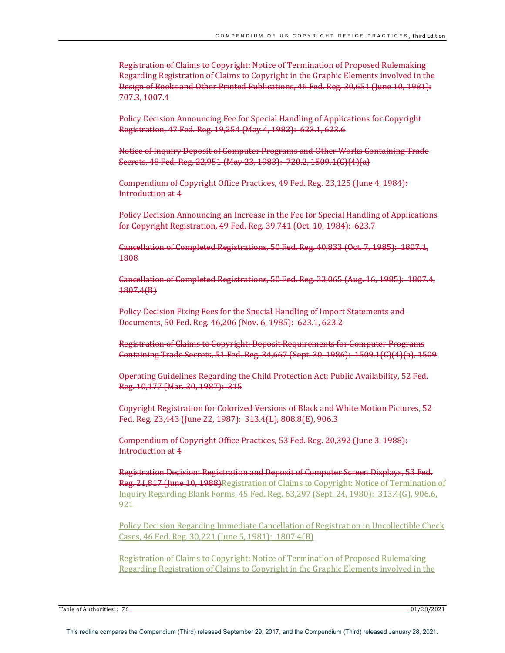Registration of Claims to Copyright: Notice of Termination of Proposed Rulemaking Regarding Registration of Claims to Copyright in the Graphic Elements involved in the Design of Books and Other Printed Publications, 46 Fed. Reg. 30,651 (June 10, 1981): 707.3, 1007.4

Policy Decision Announcing Fee for Special Handling of Applications for Copyright Registration, 47 Fed. Reg. 19,254 (May 4, 1982): 623.1, 623.6

Notice of Inquiry Deposit of Computer Programs and Other Works Containing Trade Secrets, 48 Fed. Reg. 22,951 (May 23, 1983): 720.2, 1509.1(C)(4)(a)

Compendium of Copyright Office Practices, 49 Fed. Reg. 23,125 (June 4, 1984): Introduction at 4

Policy Decision Announcing an Increase in the Fee for Special Handling of Applications for Copyright Registration, 49 Fed. Reg. 39,741 (Oct. 10, 1984): 623.7

Cancellation of Completed Registrations, 50 Fed. Reg. 40,833 (Oct. 7, 1985): 1807.1, 1808 

Cancellation of Completed Registrations, 50 Fed. Reg. 33,065 (Aug. 16, 1985): 1807.4, 1807.4(B)

Policy Decision Fixing Fees for the Special Handling of Import Statements and Documents, 50 Fed. Reg. 46,206 (Nov. 6, 1985): 623.1, 623.2

Registration of Claims to Copyright; Deposit Requirements for Computer Programs Containing Trade Secrets, 51 Fed. Reg. 34,667 (Sept. 30, 1986): 1509.1(C)(4)(a), 1509

Operating Guidelines Regarding the Child Protection Act; Public Availability, 52 Fed. Reg. 10,177 (Mar. 30, 1987): 315

Gopyright Registration for Colorized Versions of Black and White Motion Pictures, 52 Fed. Reg. 23,443 (June 22, 1987): 313.4(L), 808.8(E), 906.3

Compendium of Copyright Office Practices, 53 Fed. Reg. 20,392 (June 3, 1988): Introduction at 4

Registration Decision: Registration and Deposit of Computer Screen Displays, 53 Fed. Reg. 21,817 (June 10, 1988) Registration of Claims to Copyright: Notice of Termination of Inquiry Regarding Blank Forms, 45 Fed. Reg. 63,297 (Sept. 24, 1980): 313.4(G), 906.6, 921

Policy Decision Regarding Immediate Cancellation of Registration in Uncollectible Check Cases, 46 Fed. Reg. 30,221 (June 5, 1981): 1807.4(B)

Registration of Claims to Copyright: Notice of Termination of Proposed Rulemaking Regarding Registration of Claims to Copyright in the Graphic Elements involved in the

Table of Authorities : 76 01/28/2021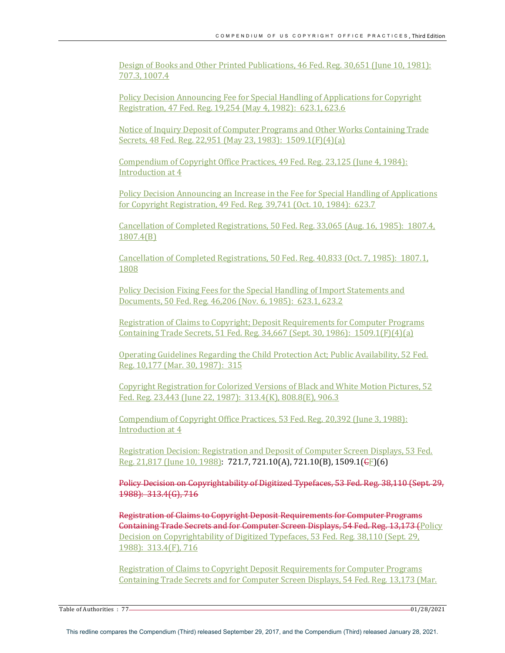Design of Books and Other Printed Publications, 46 Fed. Reg. 30,651 (June 10, 1981): 707.3, 1007.4

Policy Decision Announcing Fee for Special Handling of Applications for Copyright Registration, 47 Fed. Reg. 19,254 (May 4, 1982): 623.1, 623.6

Notice of Inquiry Deposit of Computer Programs and Other Works Containing Trade Secrets, 48 Fed. Reg. 22,951 (May 23, 1983): 1509.1(F)(4)(a)

Compendium of Copyright Office Practices, 49 Fed. Reg. 23,125 (June 4, 1984): Introduction at 4

Policy Decision Announcing an Increase in the Fee for Special Handling of Applications for Copyright Registration, 49 Fed. Reg. 39,741 (Oct. 10, 1984): 623.7

Cancellation of Completed Registrations, 50 Fed. Reg. 33,065 (Aug. 16, 1985): 1807.4, 1807.4(B)

Cancellation of Completed Registrations, 50 Fed. Reg. 40,833 (Oct. 7, 1985): 1807.1, 1808

Policy Decision Fixing Fees for the Special Handling of Import Statements and Documents, 50 Fed. Reg. 46,206 (Nov. 6, 1985): 623.1, 623.2

Registration of Claims to Copyright; Deposit Requirements for Computer Programs Containing Trade Secrets,  $51$  Fed. Reg.  $34.667$  (Sept.  $30.1986$ ):  $1509.1$ (F)( $4$ )(a)

Operating Guidelines Regarding the Child Protection Act; Public Availability, 52 Fed. Reg. 10,177 (Mar. 30, 1987): 315

Copyright Registration for Colorized Versions of Black and White Motion Pictures, 52 Fed. Reg. 23,443 (June 22, 1987): 313.4(K), 808.8(E), 906.3

Compendium of Copyright Office Practices, 53 Fed. Reg. 20,392 (June 3, 1988): Introduction at 4

Registration Decision: Registration and Deposit of Computer Screen Displays, 53 Fed. Reg. 21,817 (June 10, 1988): 721.7, 721.10(A), 721.10(B), 1509.1(CF)(6)

Policy Decision on Copyrightability of Digitized Typefaces, 53 Fed. Reg. 38,110 (Sept. 29, 1988): 313.4(G), 716

**Registration of Claims to Copyright Deposit Requirements for Computer Programs** Containing Trade Secrets and for Computer Screen Displays, 54 Fed. Reg. 13,173 (Policy Decision on Copyrightability of Digitized Typefaces, 53 Fed. Reg. 38,110 (Sept. 29, 1988): 313.4(F), 716

Registration of Claims to Copyright Deposit Requirements for Computer Programs Containing Trade Secrets and for Computer Screen Displays, 54 Fed. Reg. 13,173 (Mar.

Table of Authorities  $: 77$  01/28/2021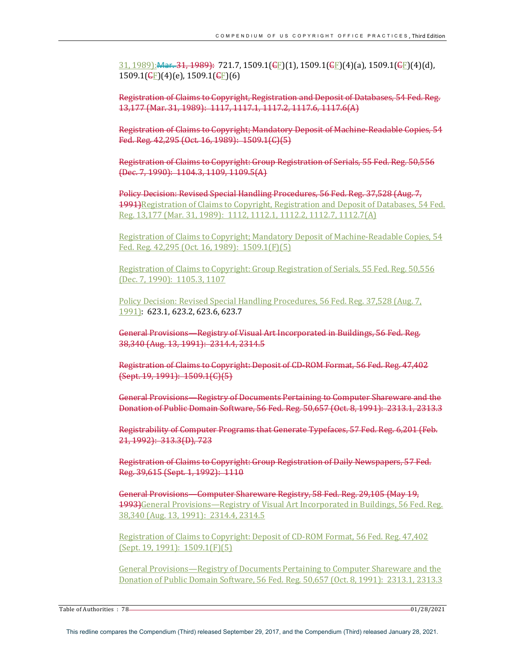$\frac{31,1989\cdot R$  Mar. 31, 1989): 721.7, 1509.1(GF)(1), 1509.1(GF)(4)(a), 1509.1(GF)(4)(d),  $1509.1$ ( $\bigoplus$ F)(4)(e),  $1509.1$ ( $\bigoplus$ F)(6)

Registration of Claims to Copyright, Registration and Deposit of Databases, 54 Fed. Reg. 13,177 (Mar. 31, 1989): 1117, 1117.1, 1117.2, 1117.6, 1117.6(A)

Registration of Claims to Copyright; Mandatory Deposit of Machine-Readable Copies, 54 Fed. Reg. 42,295 (Oct. 16, 1989): 1509.1(C)(5)

Registration of Claims to Copyright: Group Registration of Serials, 55 Fed. Reg. 50,556 (Dec. 7, 1990): 1104.3, 1109, 1109.5(A)

Policy Decision: Revised Special Handling Procedures, 56 Fed. Reg. 37,528 (Aug. 7, 1991)Registration of Claims to Copyright, Registration and Deposit of Databases, 54 Fed. Reg. 13,177 (Mar. 31, 1989): 1112, 1112.1, 1112.2, 1112.7, 1112.7(A)

Registration of Claims to Copyright; Mandatory Deposit of Machine-Readable Copies, 54 Fed. Reg. 42,295 (Oct. 16, 1989): 1509.1(F)(5)

Registration of Claims to Copyright: Group Registration of Serials, 55 Fed. Reg. 50,556 (Dec. 7, 1990): 1105.3, 1107

Policy Decision: Revised Special Handling Procedures, 56 Fed. Reg. 37,528 (Aug. 7, 1991]: 623.1, 623.2, 623.6, 623.7

General Provisions—Registry of Visual Art Incorporated in Buildings, 56 Fed. Reg. 38,340 (Aug. 13, 1991): 2314.4, 2314.5

Registration of Claims to Copyright: Deposit of CD-ROM Format, 56 Fed. Reg. 47,402 (Sept. 19, 1991): 1509.1(C)(5) 

General Provisions—Registry of Documents Pertaining to Computer Shareware and the Donation of Public Domain Software, 56 Fed. Reg. 50,657 (Oct. 8, 1991): 2313.1, 2313.3

Registrability of Computer Programs that Generate Typefaces, 57 Fed. Reg. 6,201 (Feb. 21, 1992): 313.3(D), 723

Registration of Claims to Copyright: Group Registration of Daily Newspapers, 57 Fed. Reg. 39,615 (Sept. 1, 1992): 1110

General Provisions—Computer Shareware Registry, 58 Fed. Reg. 29,105 (May 19, 1993)General Provisions—Registry of Visual Art Incorporated in Buildings, 56 Fed. Reg. 38,340 (Aug. 13, 1991): 2314.4, 2314.5

Registration of Claims to Copyright: Deposit of CD-ROM Format, 56 Fed. Reg. 47,402 (Sept. 19, 1991): 1509.1(F)(5)

General Provisions—Registry of Documents Pertaining to Computer Shareware and the Donation of Public Domain Software, 56 Fed. Reg. 50,657 (Oct. 8, 1991): 2313.1, 2313.3

Table of Authorities : 78 01/28/2021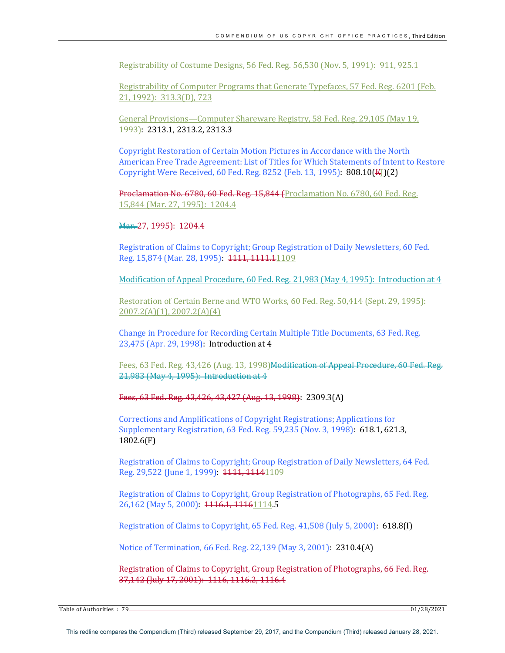Registrability of Costume Designs, 56 Fed. Reg. 56,530 (Nov. 5, 1991): 911, 925.1

Registrability of Computer Programs that Generate Typefaces, 57 Fed. Reg. 6201 (Feb. 21, 1992): 313.3(D), 723

General Provisions—Computer Shareware Registry, 58 Fed. Reg. 29,105 (May 19, 1993): 2313.1, 2313.2, 2313.3

Copyright Restoration of Certain Motion Pictures in Accordance with the North American Free Trade Agreement: List of Titles for Which Statements of Intent to Restore Copyright Were Received, 60 Fed. Reg. 8252 (Feb. 13, 1995): 808.10(KL)(2)

Proclamation No. 6780, 60 Fed. Reg. 15,844 (Proclamation No. 6780, 60 Fed. Reg. 15,844 (Mar. 27, 1995): 1204.4

## Mar. 27, 1995): 1204.4

Registration of Claims to Copyright; Group Registration of Daily Newsletters, 60 Fed. Reg. 15,874 (Mar. 28, 1995): 1111, 1111.11109

Modification of Appeal Procedure, 60 Fed. Reg. 21,983 (May 4, 1995): Introduction at  $4$ 

Restoration of Certain Berne and WTO Works, 60 Fed. Reg. 50,414 (Sept. 29, 1995): 2007.2(A)(1), 2007.2(A)(4)

Change in Procedure for Recording Certain Multiple Title Documents, 63 Fed. Reg. 23,475 (Apr. 29, 1998): Introduction at 4

Fees, 63 Fed. Reg. 43,426 (Aug. 13, 1998) Modification of Appeal Procedure, 60 Fed. Reg. 21,983 (May 4, 1995): Introduction at 4

Fees, 63 Fed. Reg. 43,426, 43,427 (Aug. 13, 1998): 2309.3(A)

Corrections and Amplifications of Copyright Registrations; Applications for Supplementary Registration, 63 Fed. Reg. 59,235 (Nov. 3, 1998): 618.1, 621.3, 1802.6(F)

Registration of Claims to Copyright; Group Registration of Daily Newsletters, 64 Fed. Reg. 29,522 (June 1, 1999): 1111, 11141109

Registration of Claims to Copyright, Group Registration of Photographs, 65 Fed. Reg. 26,162 (May 5, 2000): 1116.1, 11161114.5

Registration of Claims to Copyright, 65 Fed. Reg. 41,508 (July 5, 2000): 618.8(I)

Notice of Termination, 66 Fed. Reg. 22,139 (May 3, 2001): 2310.4(A)

Registration of Claims to Copyright, Group Registration of Photographs, 66 Fed. Reg. 37,142 (July 17, 2001): 1116, 1116.2, 1116.4

Table of Authorities  $: 79$   $-$  01/28/2021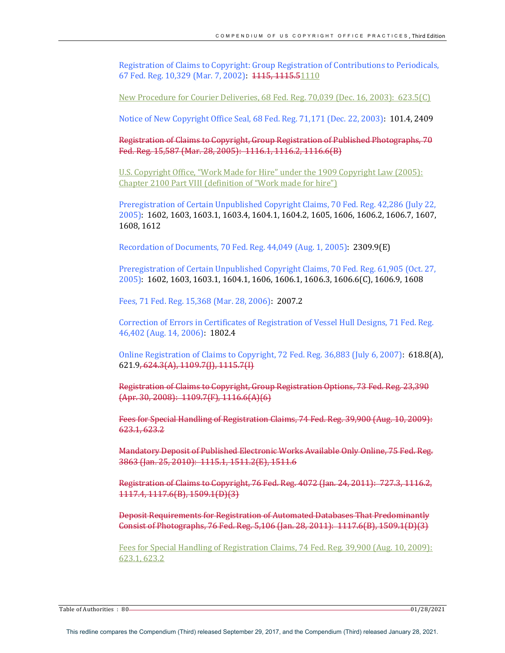Registration of Claims to Copyright: Group Registration of Contributions to Periodicals, 67 Fed. Reg. 10,329 (Mar. 7, 2002): 1115, 1115.51110

New Procedure for Courier Deliveries, 68 Fed. Reg. 70,039 (Dec. 16, 2003): 623.5(C)

Notice of New Copyright Office Seal, 68 Fed. Reg. 71,171 (Dec. 22, 2003): 101.4, 2409

Registration of Claims to Copyright, Group Registration of Published Photographs, 70 Fed. Reg. 15,587 (Mar. 28, 2005): 1116.1, 1116.2, 1116.6(B)

U.S. Copyright Office, "Work Made for Hire" under the 1909 Copyright Law (2005): Chapter 2100 Part VIII (definition of "Work made for hire")

Preregistration of Certain Unpublished Copyright Claims, 70 Fed. Reg. 42,286 (July 22, 2005): 1602, 1603, 1603.1, 1603.4, 1604.1, 1604.2, 1605, 1606, 1606.2, 1606.7, 1607, 1608, 1612

Recordation of Documents, 70 Fed. Reg.  $44,049$  (Aug. 1, 2005):  $2309.9(E)$ 

Preregistration of Certain Unpublished Copyright Claims, 70 Fed. Reg. 61,905 (Oct. 27, 2005): 1602, 1603, 1603.1, 1604.1, 1606, 1606.1, 1606.3, 1606.6(C), 1606.9, 1608

Fees, 71 Fed. Reg. 15,368 (Mar. 28, 2006): 2007.2

Correction of Errors in Certificates of Registration of Vessel Hull Designs, 71 Fed. Reg. 46,402 (Aug. 14, 2006): 1802.4

Online Registration of Claims to Copyright,  $72$  Fed. Reg.  $36,883$  (July 6, 2007):  $618.8(A)$ ,  $621.9, 624.3(A), 1109.7(I), 1115.7(I)$ 

Registration of Claims to Copyright, Group Registration Options, 73 Fed. Reg. 23,390  ${Apr. }30, 2008): 1109.7(F), 1116.6(A)(6)$ 

Fees for Special Handling of Registration Claims, 74 Fed. Reg. 39,900 (Aug. 10, 2009): 623.2

Mandatory Deposit of Published Electronic Works Available Only Online, 75 Fed. Reg. 3863 (Jan. 25, 2010): 1115.1, 1511.2(E), 1511.6

Registration of Claims to Copyright, 76 Fed. Reg. 4072 (Jan. 24, 2011): 727.3, 1116.2, 1117.4, 1117.6(B), 1509.1(D)(3)

Deposit Requirements for Registration of Automated Databases That Predominantly Consist of Photographs, 76 Fed. Reg. 5,106 (Jan. 28, 2011): 1117.6(B), 1509.1(D)(3)

Fees for Special Handling of Registration Claims, 74 Fed. Reg. 39,900 (Aug. 10, 2009): 623.1, 623.2

Table of Authorities : 80 01/28/2021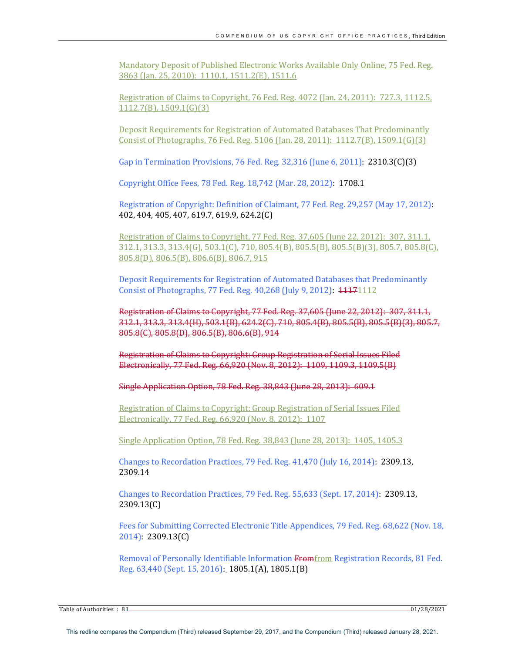Mandatory Deposit of Published Electronic Works Available Only Online, 75 Fed. Reg. 3863 (Jan. 25, 2010): 1110.1, 1511.2(E), 1511.6

Registration of Claims to Copyright,  $76$  Fed. Reg.  $4072$  (Jan. 24, 2011):  $727.3$ , 1112.5,  $1112.7(B)$ ,  $1509.1(G)(3)$ 

Deposit Requirements for Registration of Automated Databases That Predominantly Consist of Photographs, 76 Fed. Reg. 5106 (Jan. 28, 2011): 1112.7(B), 1509.1(G)(3)

Gap in Termination Provisions, 76 Fed. Reg. 32,316 (June 6, 2011): 2310.3(C)(3)

Copyright Office Fees, 78 Fed. Reg. 18,742 (Mar. 28, 2012): 1708.1

Registration of Copyright: Definition of Claimant, 77 Fed. Reg. 29,257 (May 17, 2012): 402, 404, 405, 407, 619.7, 619.9, 624.2(C)

Registration of Claims to Copyright,  $77$  Fed. Reg.  $37,605$  (June  $22, 2012$ ):  $307, 311.1$ , 312.1, 313.3, 313.4(G), 503.1(C), 710, 805.4(B), 805.5(B), 805.5(B)(3), 805.7, 805.8(C), 805.8(D), 806.5(B), 806.6(B), 806.7, 915

Deposit Requirements for Registration of Automated Databases that Predominantly Consist of Photographs, 77 Fed. Reg. 40,268 (July 9, 2012): 11171112

Registration of Claims to Copyright, 77 Fed. Reg. 37,605 (June 22, 2012): 307, 311.1, 312.1, 313.3, 313.4(H), 503.1(B), 624.2(C), 710, 805.4(B), 805.5(B), 805.5(B)(3), 805.7, 805.8(C), 805.8(D), 806.5(B), 806.6(B), 914

Registration of Claims to Copyright: Group Registration of Serial Issues Filed Electronically, 77 Fed. Reg. 66,920 (Nov. 8, 2012): 1109, 1109.3, 1109.5(B)

Single Application Option, 78 Fed. Reg. 38,843 (June 28, 2013): 609.1

Registration of Claims to Copyright: Group Registration of Serial Issues Filed Electronically, 77 Fed. Reg. 66,920 (Nov. 8, 2012): 1107

Single Application Option, 78 Fed. Reg. 38,843 (June 28, 2013): 1405, 1405.3

Changes to Recordation Practices, 79 Fed. Reg. 41,470 (July 16, 2014): 2309.13, 2309.14

Changes to Recordation Practices, 79 Fed. Reg. 55,633 (Sept. 17, 2014): 2309.13, 2309.13(C)

Fees for Submitting Corrected Electronic Title Appendices, 79 Fed. Reg. 68,622 (Nov. 18, 2014): 2309.13(C)

Removal of Personally Identifiable Information Fromfrom Registration Records, 81 Fed. Reg. 63,440 (Sept. 15, 2016): 1805.1(A), 1805.1(B)

Table of Authorities : 81 01/28/2021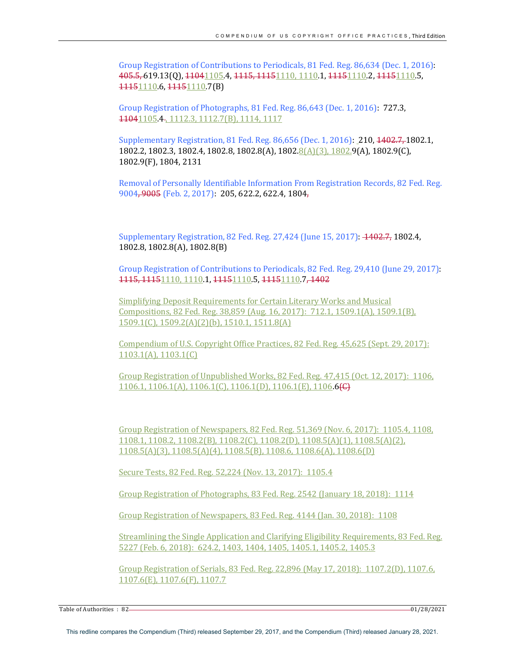Group Registration of Contributions to Periodicals, 81 Fed. Reg. 86,634 (Dec. 1, 2016): 405.5, 619.13(0), 41041105.4, 4115, 11151110, 1110.1, 41151110.2, 41151110.5, 11151110.6, 11151110.7(B)

Group Registration of Photographs, 81 Fed. Reg. 86,643 (Dec. 1, 2016): 727.3, 11041105.4-, 1112.3, 1112.7(B), 1114, 1117

Supplementary Registration, 81 Fed. Reg. 86,656 (Dec. 1, 2016): 210, 1402.7, 1802.1,  $1802.2, 1802.3, 1802.4, 1802.8, 1802.8(A), 1802.8(A), 1802.9(A), 1802.9(A), 1802.9(C),$ 1802.9(F), 1804, 2131

Removal of Personally Identifiable Information From Registration Records, 82 Fed. Reg. 9004, 9005 (Feb. 2, 2017): 205, 622.2, 622.4, 1804,

Supplementary Registration, 82 Fed. Reg. 27,424 (June 15, 2017): 4402.7, 1802.4, 1802.8, 1802.8(A), 1802.8(B)

Group Registration of Contributions to Periodicals, 82 Fed. Reg. 29,410 (June 29, 2017): 1115, 11151110, 1110.1, 11151110.5, 11151110.7, 1402

Simplifying Deposit Requirements for Certain Literary Works and Musical Compositions, 82 Fed. Reg. 38,859 (Aug. 16, 2017): 712.1, 1509.1(A), 1509.1(B), 1509.1(C), 1509.2(A)(2)(b), 1510.1, 1511.8(A)

Compendium of U.S. Copyright Office Practices, 82 Fed. Reg. 45,625 (Sept. 29, 2017):  $1103.1(A), 1103.1(C)$ 

Group Registration of Unpublished Works, 82 Fed. Reg. 47,415 (Oct. 12, 2017): 1106.  $1106.1, 1106.1(A), 1106.1(C), 1106.1(D), 1106.1(E), 1106.6(E)$ 

Group Registration of Newspapers, 82 Fed. Reg. 51,369 (Nov. 6, 2017): 1105.4, 1108.  $1108.1, 1108.2, 1108.2(B), 1108.2(C), 1108.2(D), 1108.5(A)(1), 1108.5(A)(2),$ 1108.5(A)(3), 1108.5(A)(4), 1108.5(B), 1108.6, 1108.6(A), 1108.6(D)

Secure Tests, 82 Fed. Reg. 52,224 (Nov. 13, 2017): 1105.4

Group Registration of Photographs, 83 Fed. Reg. 2542 (January 18, 2018): 1114

Group Registration of Newspapers, 83 Fed. Reg. 4144 (Jan. 30, 2018): 1108

Streamlining the Single Application and Clarifying Eligibility Requirements, 83 Fed. Reg. 5227 (Feb. 6, 2018): 624.2, 1403, 1404, 1405, 1405.1, 1405.2, 1405.3

Group Registration of Serials, 83 Fed. Reg. 22,896 (May 17, 2018): 1107.2(D), 1107.6, 1107.6(E), 1107.6(F), 1107.7

Table of Authorities : 82 01/28/2021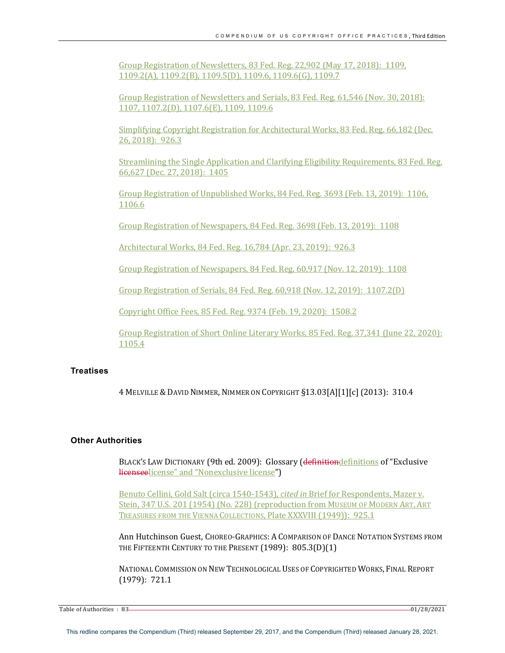Group Registration of Newsletters, 83 Fed. Reg. 22,902 (May 17, 2018): 1109, 1109.2(A), 1109.2(B), 1109.5(D), 1109.6, 1109.6(G), 1109.7

Group Registration of Newsletters and Serials, 83 Fed. Reg. 61,546 (Nov. 30, 2018): 1107, 1107.2(D), 1107.6(E), 1109, 1109.6

Simplifying Copyright Registration for Architectural Works, 83 Fed. Reg. 66,182 (Dec. 26, 2018): 926.3

Streamlining the Single Application and Clarifying Eligibility Requirements, 83 Fed. Reg. 66,627 (Dec. 27, 2018): 1405

Group Registration of Unpublished Works, 84 Fed. Reg. 3693 (Feb. 13, 2019): 1106, 1106.6

Group Registration of Newspapers, 84 Fed. Reg. 3698 (Feb. 13, 2019): 1108

Architectural Works, 84 Fed. Reg. 16,784 (Apr. 23, 2019): 926.3

Group Registration of Newspapers, 84 Fed. Reg. 60,917 (Nov. 12, 2019): 1108

Group Registration of Serials, 84 Fed. Reg. 60,918 (Nov. 12, 2019): 1107.2(D)

Copyright Office Fees, 85 Fed. Reg. 9374 (Feb. 19, 2020): 1508.2

Group Registration of Short Online Literary Works, 85 Fed. Reg. 37,341 (June 22, 2020): 1105.4

## **Treatises**

4 MELVILLE & DAVID NIMMER, NIMMER ON COPYRIGHT §13.03[A][1][c] (2013): 310.4

## **Other Authorities**

BLACK'S LAW DICTIONARY (9th ed. 2009): Glossary (definitiondefinitions of "Exclusive licenseelicense" and "Nonexclusive license")

Benuto Cellini, Gold Salt (circa 1540-1543), *cited in* Brief for Respondents, Mazer v. Stein, 347 U.S. 201 (1954) (No. 228) (reproduction from MUSEUM OF MODERN ART, ART TREASURES FROM THE VIENNA COLLECTIONS, Plate XXXVIII (1949)): 925.1

Ann Hutchinson Guest, ChOREO-GRAPHICS: A COMPARISON OF DANCE NOTATION SYSTEMS FROM THE FIFTEENTH CENTURY TO THE PRESENT (1989): 805.3(D)(1)

NATIONAL COMMISSION ON NEW TECHNOLOGICAL USES OF COPYRIGHTED WORKS, FINAL REPORT (1979): 721.1

Table of Authorities : 83 01/28/2021